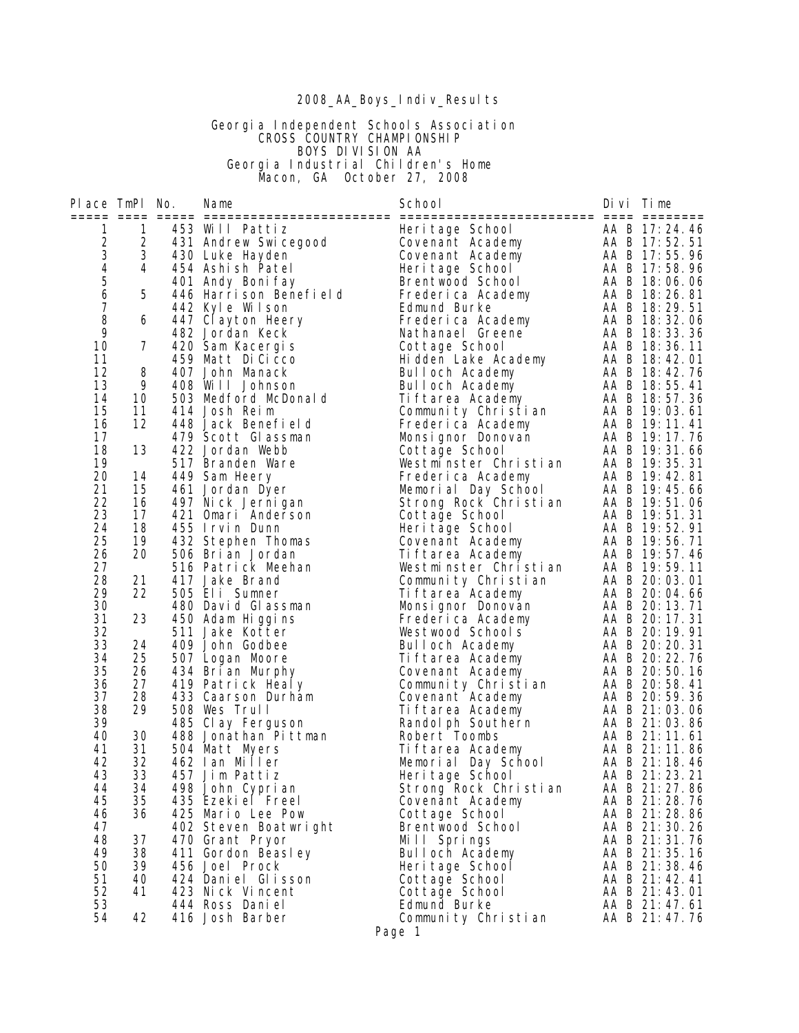# 2008\_AA\_Boys\_Indiv\_Results

 Georgia Independent Schools Association **CROSS COUNTRY CHAMPIONSHIP**  BOYS DIVISION AA Georgia Industrial Children's Home Macon, GA October 27, 2008

| Place TmPl No.                             |                | Name                                | School                                 | Divi lime |                                |
|--------------------------------------------|----------------|-------------------------------------|----------------------------------------|-----------|--------------------------------|
|                                            |                |                                     |                                        |           |                                |
| 1                                          | 1              | 453 Will Pattiz                     | Heritage School                        |           | AA B 17:24.46                  |
| $\begin{array}{c} 2 \\ 3 \\ 4 \end{array}$ | $\overline{c}$ | 431 Andrew Swicegood                | Covenant Academy                       |           | AA B 17:52.51                  |
|                                            | 3              | 430 Luke Hayden                     | Covenant Academy                       |           | AA B 17:55.96                  |
|                                            | 4              | 454 Ashish Patel                    | Heritage School                        |           | AA B 17:58.96                  |
| $\begin{array}{c} 5 \\ 6 \end{array}$      |                | 401 Andy Boni fay                   | Brentwood School                       |           | AA B 18:06.06                  |
| $\boldsymbol{7}$                           | 5              | 446 Harrison Benefield              | Frederica Academy                      |           | AA B 18:26.81                  |
| 8                                          |                | 442 Kyle Wilson                     | Edmund Burke                           |           | AA B 18:29.51<br>AA B 18:32.06 |
| 9                                          | 6              | 447 Clayton Heery                   | Frederica Academy                      |           |                                |
| 10                                         |                | 482 Jordan Keck                     | Nathanael Greene                       |           | AA B 18:33.36                  |
| 11                                         | 7              | 420 Sam Kacergis                    | Cottage School<br>Hi dden Lake Academy |           | AA B 18:36.11<br>AA B 18:42.01 |
| 12                                         | 8              | 459 Matt Di Cicco                   |                                        |           | AA B 18:42.76                  |
| 13                                         | 9              | 407 John Manack<br>408 Will Johnson | Bulloch Academy<br>Bulloch Academy     |           | AA B 18:55.41                  |
| 14                                         | 10             | 503 Medford McDonald                | Tiftarea Academy                       |           | AA B 18:57.36                  |
| 15                                         | 11             | 414 Josh Reim                       | Community Christian                    |           | AA B 19:03.61                  |
| 16                                         | 12             | 448 Jack Benefield                  | Frederica Academy                      |           | AA B 19:11.41                  |
| 17                                         |                | 479 Scott Glassman                  | Monsignor Donovan                      |           | AA B 19:17.76                  |
| 18                                         | 13             | 422 Jordan Webb                     | Cottage School                         |           | AA B 19:31.66                  |
| 19                                         |                | 517 Branden Ware                    | Westminster Christian                  |           | AA B 19:35.31                  |
| 20                                         | 14             | 449 Sam Heery                       | Frederica Academy                      |           | AA B 19:42.81                  |
| 21                                         | 15             | 461 Jordan Dyer                     | Memorial Day School                    |           | AA B 19:45.66                  |
| 22                                         | 16             | 497 Nick Jernigan                   | Strong Rock Christian                  |           | AA B 19:51.06                  |
| 23                                         | 17             | 421 Omari Anderson                  | Cottage School                         |           | AA B 19:51.31                  |
| 24                                         | 18             | 455 Irvin Dunn                      | Heritage School                        |           | AA B 19:52.91                  |
| 25                                         | 19             | 432 Stephen Thomas                  | Covenant Academy                       |           | AA B 19:56.71                  |
| 26                                         | 20             | 506 Bri an Jordan                   | Ti ftarea Academy                      |           | AA B 19:57.46                  |
| 27                                         |                | 516 Patrick Meehan                  | Westminster Christian                  |           | AA B 19:59.11                  |
| 28                                         | 21             | 417 Jake Brand                      | Community Christian                    |           | AA B 20:03.01                  |
| 29                                         | 22             | 505 Eli Sumner                      | Tiftarea Academy                       |           | AA B 20:04.66                  |
| 30                                         |                | 480 David Glassman                  | Monsignor Donovan                      |           | AA B 20:13.71                  |
| 31                                         | 23             | 450 Adam Higgins                    | Frederica Academy                      |           | AA B 20:17.31                  |
| 32                                         |                | 511 Jake Kotter                     | Westwood Schools                       |           | AA B 20:19.91                  |
| 33                                         | 24             | 409 John Godbee                     | Bulloch Academy                        |           | AA B 20:20.31                  |
| 34                                         | 25             | 507 Logan Moore                     | Ti ftarea Academy                      |           | AA B 20: 22. 76                |
| 35                                         | 26             | 434 Brian Murphy                    | Covenant Academy                       |           | AA B 20:50.16                  |
| 36                                         | 27             | 419 Patrick Healy                   | Community Christian                    |           | AA B 20:58.41                  |
| 37                                         | 28             | 433 Caarson Durham                  | Covenant Academy                       |           | AA B 20:59.36                  |
| 38                                         | 29             | 508 Wes Trull                       | Ti ftarea Academy                      |           | AA B 21:03.06                  |
| 39                                         |                | 485 Clay Ferguson                   | Randol ph Southern                     |           | AA B 21:03.86                  |
| 40                                         | 30             | 488 Jonathan Pittman                | Robert Toombs                          |           | AA B 21:11.61                  |
| 41                                         | 31             | 504 Matt Myers                      | Ti ftarea Academy                      |           | AA B 21:11.86                  |
| 42                                         | 32             | 462 Ian Miller                      | Memorial Day School                    |           | AA B 21:18.46                  |
| 43                                         | 33             | 457 Jim Pattiz                      | Heri tage School                       |           | AA B 21:23.21                  |
| 44                                         | 34             | 498 John Cyprian                    | Strong Rock Christian                  |           | AA B 21:27.86                  |
| 45                                         | 35             | 435 Ezeki el Freel                  | Covenant Academy                       |           | AA B 21:28.76                  |
| 46                                         | 36             | 425 Mario Lee Pow                   | Cottage School                         |           | AA B 21:28.86                  |
| 47                                         |                | 402 Steven Boatwright               | Brentwood School                       |           | AA B 21:30.26                  |
| 48                                         | 37             | 470 Grant Pryor                     | Mill Springs                           |           | AA B 21:31.76                  |
| 49                                         | 38             | 411 Gordon Beasley                  | Bulloch Academy                        |           | AA B 21:35.16                  |
| 50                                         | 39             | 456 Joel Prock                      | Heri tage School                       |           | AA B 21:38.46                  |
| 51                                         | 40             | 424 Daniel Glisson                  | Cottage School                         |           | AA B 21:42.41                  |
| 52                                         | 41             | 423 Nick Vincent<br>444 Ross Daniel | Cottage School                         |           | AA B 21:43.01                  |
| 53<br>54                                   | 42             | 416 Josh Barber                     | Edmund Burke                           |           | AA B 21:47.61<br>AA B 21:47.76 |
|                                            |                |                                     | Community Christian                    |           |                                |
|                                            |                |                                     | Page 1                                 |           |                                |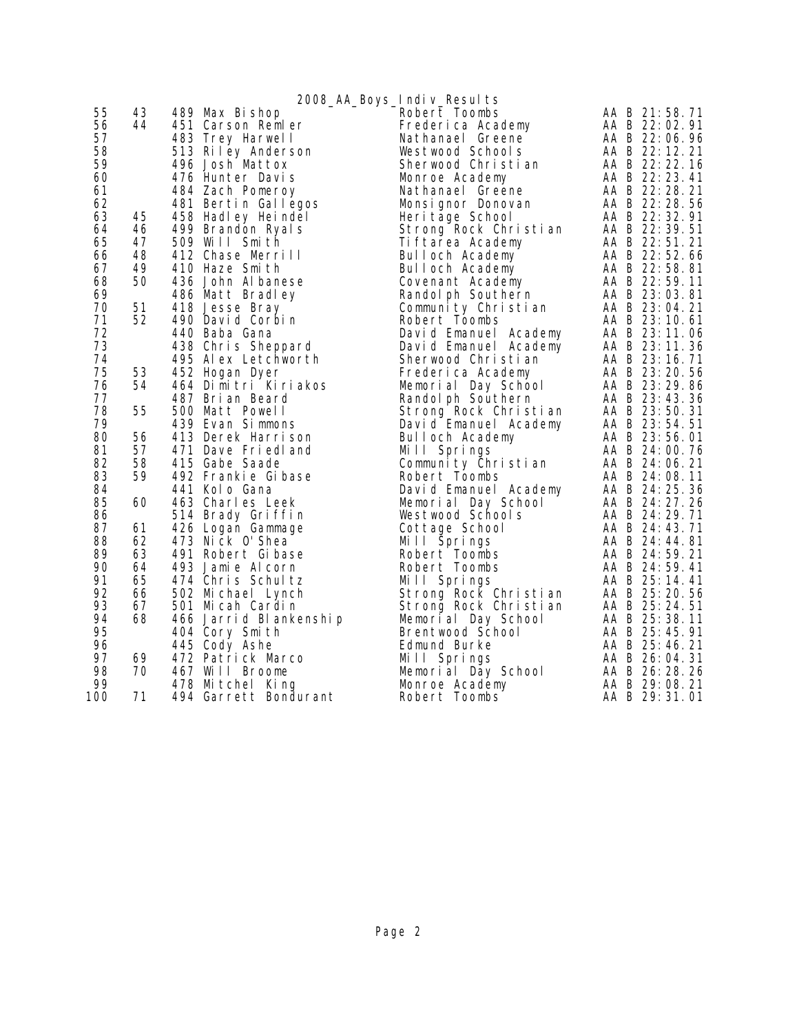|     |    |                        | 2008_AA_Boys_Indiv_Results |                 |
|-----|----|------------------------|----------------------------|-----------------|
| 55  | 43 | 489 Max Bishop         | Robert Toombs              | AA B 21:58.71   |
| 56  | 44 | 451 Carson Remler      | Frederica Academy          | AA B 22:02.91   |
| 57  |    | 483 Trey Harwell       | Nathanael Greene           | AA B 22:06.96   |
| 58  |    | 513 Riley Anderson     | Westwood Schools           | AA B 22:12.21   |
| 59  |    | 496 Josh Mattox        | Sherwood Christian         | AA B 22:22.16   |
| 60  |    | 476 Hunter Davis       |                            | AA B 22: 23.41  |
|     |    |                        | Monroe Academy             |                 |
| 61  |    | 484 Zach Pomeroy       | Nathanael Greene           | AA B 22:28.21   |
| 62  |    | 481 Bertin Gallegos    | Monsignor Donovan          | AA B 22:28.56   |
| 63  | 45 | 458 Hadley Heindel     | Heri tage School           | AA B 22:32.91   |
| 64  | 46 | 499 Brandon Ryals      | Strong Rock Christian      | AA B 22:39.51   |
| 65  | 47 | 509 Will Smith         | Ti ftarea Academy          | AA B 22:51.21   |
| 66  | 48 | 412 Chase Merrill      | Bulloch Academy            | AA B 22:52.66   |
| 67  | 49 | 410 Haze Smith         | Bulloch Academy            | AA B 22:58.81   |
| 68  | 50 | 436 John Al banese     | Covenant Academy           | AA B 22:59.11   |
| 69  |    | 486 Matt Bradley       | Randol ph Southern         | AA B 23:03.81   |
| 70  | 51 | 418 Jesse Bray         | Community Christian        | AA B 23:04.21   |
| 71  | 52 | 490 David Corbin       | Robert Toombs              | AA B 23:10.61   |
| 72  |    | 440 Baba Gana          | David Emanuel Academy      | AA B 23:11.06   |
| 73  |    | 438 Chris Sheppard     | David Emanuel Academy      | AA B 23:11.36   |
| 74  |    | 495 Alex Letchworth    | Sherwood Christian         | AA B 23:16.71   |
| 75  | 53 | 452 Hogan Dyer         | Frederica Academy          | AA B 23:20.56   |
| 76  | 54 | 464 Dimitri Kiriakos   | Memorial Day School        | AA B 23:29.86   |
| 77  |    | 487 Brian Beard        | Randol ph Southern         | AA B 23:43.36   |
| 78  | 55 | 500 Matt Powell        | Strong Rock Christian      | AA B 23:50.31   |
| 79  |    | 439 Evan Simmons       | David Emanuel Academy      | AA B 23:54.51   |
| 80  | 56 | 413 Derek Harrison     | Bulloch Academy            | AA B 23:56.01   |
| 81  | 57 | 471 Dave Friedland     | Mill Springs               | AA B 24:00.76   |
| 82  | 58 | 415 Gabe Saade         | Community Christian        | AA B 24:06.21   |
| 83  | 59 | 492 Frankie Gibase     | Robert Toombs              | AA B 24:08.11   |
| 84  |    | 441 Kolo Gana          | David Emanuel Academy      | AA B 24:25.36   |
| 85  | 60 | 463 Charles Leek       | Memorial Day School        | AA B 24: 27. 26 |
| 86  |    |                        | Westwood Schools           | AA B 24: 29. 71 |
| 87  | 61 | 514 Brady Griffin      |                            | AA B 24:43.71   |
| 88  |    | 426 Logan Gammage      | Cottage School             |                 |
|     | 62 | 473 Nick 0' Shea       | Mill Springs               | AA B 24:44.81   |
| 89  | 63 | 491 Robert Gibase      | Robert Toombs              | AA B 24:59.21   |
| 90  | 64 | 493 Jamie Alcorn       | Robert Toombs              | AA B 24:59.41   |
| 91  | 65 | 474 Chris Schultz      | Mill Springs               | AA B 25:14.41   |
| 92  | 66 | 502 Michael Lynch      | Strong Rock Christian      | AA B 25:20.56   |
| 93  | 67 | 501 Micah Cardin       | Strong Rock Christian      | AA B 25:24.51   |
| 94  | 68 | 466 Jarrid Blankenship | Memorial Day School        | AA B 25:38.11   |
| 95  |    | 404 Cory Smith         | Brentwood School           | AA B 25:45.91   |
| 96  |    | 445 Cody Ashe          | Edmund Burke               | AA B 25:46.21   |
| 97  | 69 | 472 Patrick Marco      | Mill Springs               | AA B 26:04.31   |
| 98  | 70 | 467 Will Broome        | Memorial Day School        | AA B 26:28.26   |
| 99  |    | 478 Mitchel King       | Monroe Academy             | AA B 29:08.21   |
| 100 | 71 | 494 Garrett Bondurant  | Robert Toombs              | AA B 29:31.01   |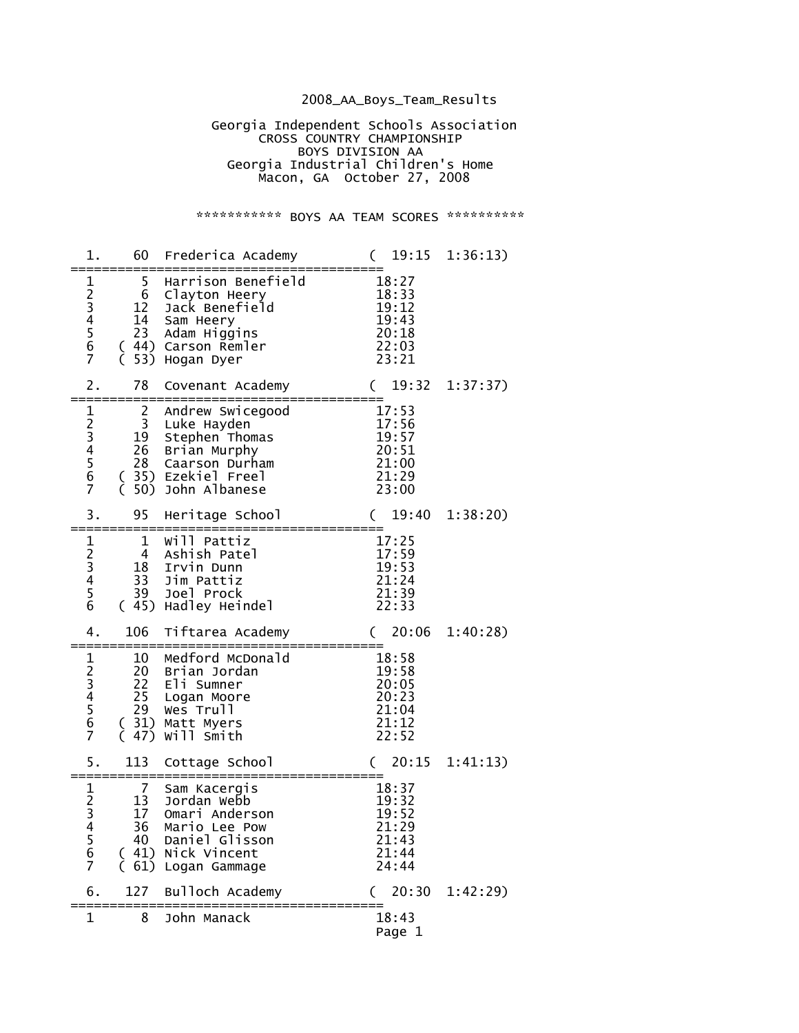## 2008\_AA\_Boys\_Team\_Results

 Georgia Independent Schools Association **CROSS COUNTRY CHAMPIONSHIP**  BOYS DIVISION AA Georgia Industrial Children's Home Macon, GA October 27, 2008

## \*\*\*\*\*\*\*\*\*\*\*\* BOYS AA TEAM SCORES \*\*\*\*\*\*\*\*\*\*\*

| 1.                                                                                           | 60                                                             | Frederica Academy                                                                                                          | 19:15                                                       | 1:36:13) |
|----------------------------------------------------------------------------------------------|----------------------------------------------------------------|----------------------------------------------------------------------------------------------------------------------------|-------------------------------------------------------------|----------|
| $\mathbf 1$<br>23456<br>$\overline{7}$                                                       | 5<br>6<br>12<br>14<br>23<br>(<br>(<br>53)                      | Harrison Benefield<br>Clayton Heery<br>Jack Benefield<br>Sam Heery<br>Adam Higgins<br>44) Carson Remler<br>Hogan Dyer      | 18:27<br>18:33<br>19:12<br>19:43<br>20:18<br>22:03<br>23:21 |          |
| 2.                                                                                           | 78                                                             | Covenant Academy                                                                                                           | 19:32<br>C                                                  | 1:37:37) |
| 123456<br>$\overline{7}$                                                                     | $\overline{c}$<br>$\overline{3}$<br>19<br>26<br>28<br>50)<br>€ | Andrew Swicegood<br>Luke Hayden<br>Stephen Thomas<br>Brian Murphy<br>Caarson Durham<br>(35) Ezekiel Freel<br>John Albanese | 17:53<br>17:56<br>19:57<br>20:51<br>21:00<br>21:29<br>23:00 |          |
| 3.                                                                                           | 95                                                             | Heritage School                                                                                                            | 19:40<br>C                                                  | 1:38:20  |
| $\mathbf 1$<br>23456                                                                         | $\mathbf 1$<br>$\overline{4}$<br>18<br>33<br>39<br>(45)        | Will Pattiz<br>Ashish Patel<br>Irvin Dunn<br>Jim Pattiz<br>Joel Prock<br>Hadley Heindel                                    | 17:25<br>17:59<br>19:53<br>21:24<br>21:39<br>22:33          |          |
| 4.                                                                                           | 106                                                            | Tiftarea Academy                                                                                                           | 20:06                                                       | 1:40:28  |
| 123456<br>$\overline{7}$                                                                     | 10<br>20<br>22<br>25<br>29<br>31)<br>$\left($                  | Medford McDonald<br>Brian Jordan<br>Eli Sumner<br>Logan Moore<br>Wes Trull<br>Matt Myers<br>47) Will Smith                 | 18:58<br>19:58<br>20:05<br>20:23<br>21:04<br>21:12<br>22:52 |          |
| 5.                                                                                           | 113                                                            | Cottage School                                                                                                             | 20:15<br>$\left($                                           | 1:41:13) |
| $\mathbf 1$<br>$\begin{array}{c} 2 \\ 3 \\ 4 \end{array}$<br>$\frac{5}{6}$<br>$\overline{7}$ | 7<br>13<br>17<br>36<br>40<br>(61)                              | Sam Kacergis<br>Jordan Webb<br>Omari Anderson<br>Mario Lee Pow<br>Daniel Glisson<br>(41) Nick Vincent<br>Logan Gammage     | 18:37<br>19:32<br>19:52<br>21:29<br>21:43<br>21:44<br>24:44 |          |
| 6.                                                                                           | 127                                                            | Bulloch Academy                                                                                                            | 20:30                                                       | 1:42:29  |
| 1                                                                                            | 8                                                              | John Manack                                                                                                                | 18:43<br>Page 1                                             |          |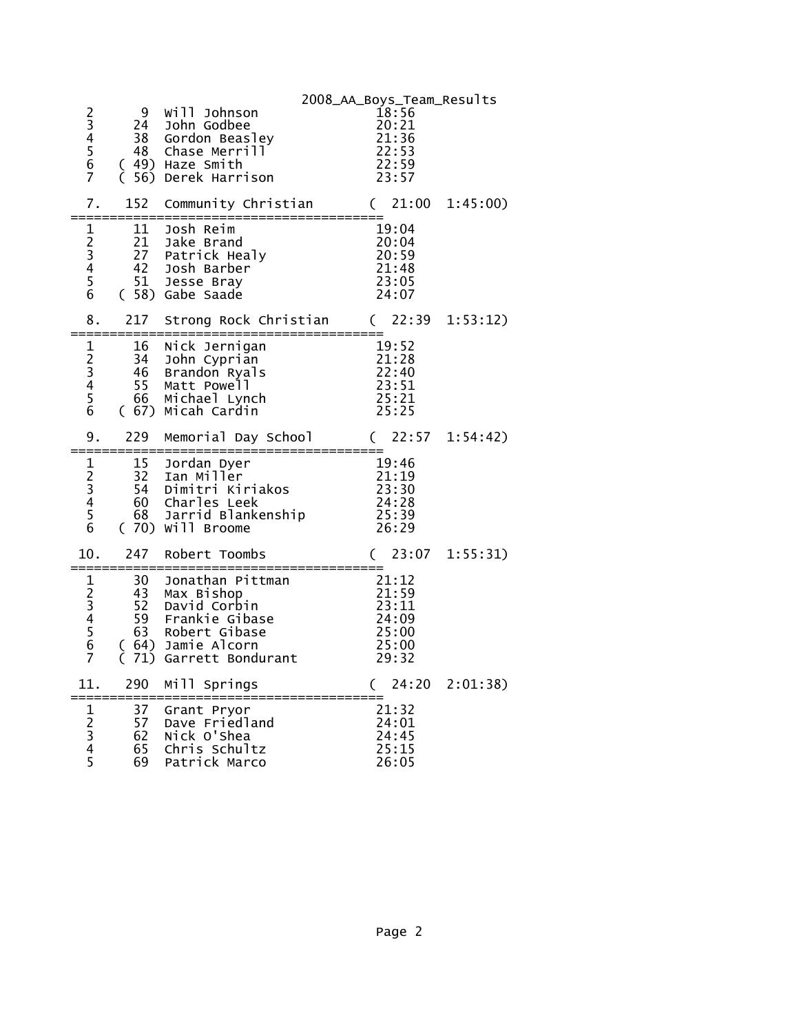|                                                             |                       |                                                     | 2008_AA_Boys_Team_Results     |  |
|-------------------------------------------------------------|-----------------------|-----------------------------------------------------|-------------------------------|--|
| 2<br>3<br>4<br>5<br>6                                       | 9<br>24               | Will Johnson<br>John Godbee                         | 18:56<br>20:21                |  |
|                                                             | 38<br>48              | Gordon Beasley<br>Chase Merrill                     | 21:36<br>22:53                |  |
|                                                             |                       | (49) Haze Smith                                     | 22:59                         |  |
| $\overline{7}$                                              |                       | (56) Derek Harrison                                 | 23:57                         |  |
| 7.<br>===                                                   | 152<br>------         | Community Christian<br>=====================        | (21:00)<br>1:45:00)           |  |
| 1                                                           | 11                    | Josh Reim                                           | 19:04                         |  |
| $\begin{array}{c} 2 \\ 3 \\ 4 \\ 5 \end{array}$             | 21<br>27              | Jake Brand<br>Patrick Healy                         | 20:04<br>20:59                |  |
|                                                             | 42<br>51              | Josh Barber<br>Jesse Bray                           | 21:48<br>23:05                |  |
| $\overline{6}$                                              |                       | (58) Gabe Saade                                     | 24:07                         |  |
| 8.                                                          | 217                   | Strong Rock Christian (22:39 1:53:12)               |                               |  |
| $\mathbf{1}$                                                | 16                    | Nick Jernigan                                       | 19:52                         |  |
| 23456                                                       | 34<br>46              | John Cyprian<br>Brandon Ryals                       | $\frac{21:28}{22:40}$         |  |
|                                                             | 55<br>66              | Matt Powell<br>Michael Lynch                        | 23:51<br>25:21                |  |
|                                                             |                       | (67) Micah Cardin                                   | 25:25                         |  |
| 9.                                                          | 229<br>:============= | Memorial Day School<br>=====<br>=================== | 22:57<br>$\left($<br>1:54:42) |  |
|                                                             | 15                    | Jordan Dyer                                         | 19:46                         |  |
|                                                             | 32<br>54              | Ian Miller<br>Dimitri Kiriakos                      | 21:19<br>21:19<br>23:30       |  |
|                                                             | $\frac{5}{60}$        | Charles Leek                                        | 24:28                         |  |
| $\begin{array}{c}\n1 \\ 2 \\ 3 \\ 4 \\ 5 \\ 6\n\end{array}$ | 68                    | Jarrid Blankenship<br>(70) Will Broome              | 25:39<br>26:29                |  |
| 10.                                                         | 247                   | Robert Toombs                                       | 23:07 1:55:31)<br>$\left($    |  |
| $\mathbf{1}$                                                | ======<br>30          | Jonathan Pittman                                    | 21:12                         |  |
| 23456                                                       | $\frac{43}{52}$       | Max Bishop<br>David Corbin                          | 21:59<br>23:11                |  |
|                                                             | 59                    | Frankie Gibase                                      | 24:09                         |  |
|                                                             | 63<br>(64)            | Robert Gibase<br>Jamie Alcorn                       | 25:00<br>25:00                |  |
| $\overline{7}$                                              | 71)                   | Garrett Bondurant                                   | 29:32                         |  |
| 11.                                                         | 290                   | Mill Springs                                        | 24:20 2:01:38)<br>$\left($    |  |
| $\mathbf{1}$                                                | 37                    | Grant Pryor                                         | 21:32                         |  |
| $\begin{array}{c} 2 \\ 3 \\ 4 \end{array}$                  | 57<br>62              | Dave Friedland<br>Nick O'Shea                       | 24:01<br>24:45                |  |
| 5                                                           | 65<br>69              | Chris Schultz                                       | 25:15<br>26:05                |  |
|                                                             |                       | Patrick Marco                                       |                               |  |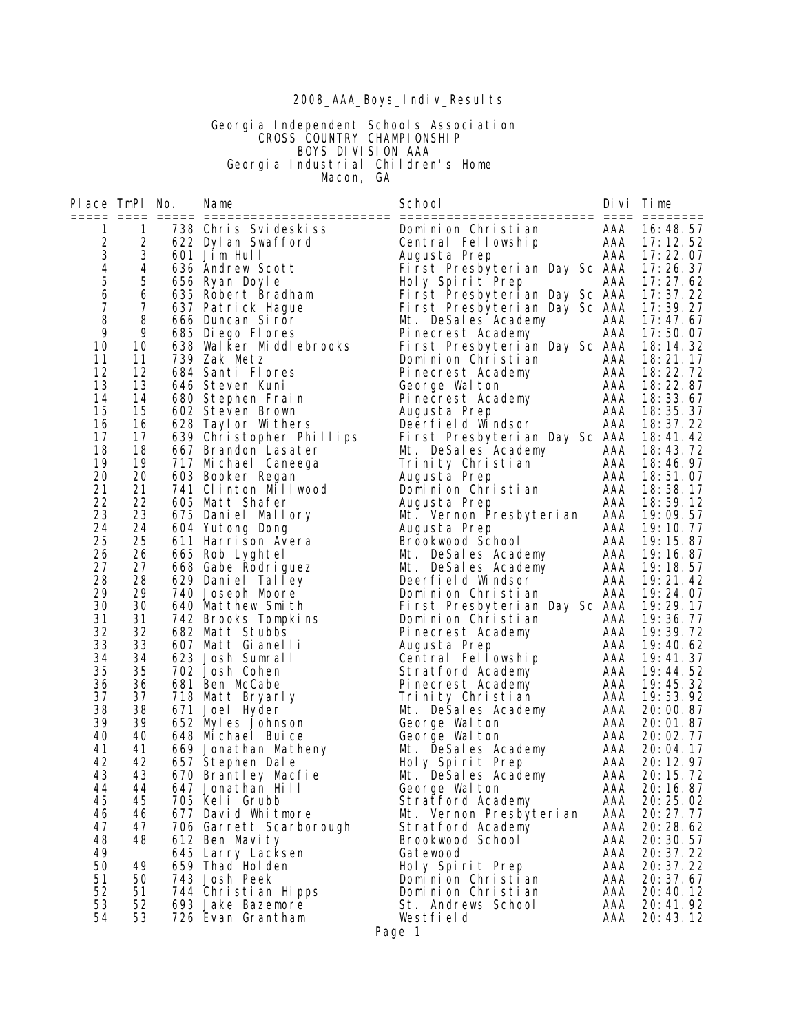#### 2008\_AAA\_Boys\_Indiv\_Results

#### Georgia Independent Schools Association **CROSS COUNTRY CHAMPIONSHIP**  BOYS DIVISION AAA Georgia Industrial Children's Home **Macon, GA**

Place TmPl No. Name School Divi Time ===== ==== ===== ======================== ========================= ==== ======== 1 1 738 Chris Svideskiss Dominion Christian AAA 16:48.57 2 2 622 Dylan Swafford Central Fellowship AAA 17:12.52 3 3 601 Jim Hull Augusta Prep AAA 17:22.07 4 4 636 Andrew Scott First Presbyterian Day Sc AAA 17:26.37 5 5 656 Ryan Doyle Holy Spirit Prep AAA 17:27.62 6 6 635 Robert Bradham First Presbyterian Day Sc AAA 17:37.22 7 7 637 Patrick Hague First Presbyterian Day Sc AAA 17:39.27 8 8 666 Duncan Siror Mt. DeSales Academy AAA 17:47.67 9 9 685 Diego Flores Pinecrest Academy AAA 17:50.07 10 10 638 Walker Middlebrooks First Presbyterian Day Sc AAA 18:14.32 11 11 739 Zak Metz Dominion Christian AAA 18:21.17 12 12 684 Santi Flores Pinecrest Academy AAA 18:22.72 13 13 646 Steven Kuni George Walton AAA 18:22.87 14 14 680 Stephen Frain Pinecrest Academy AAA 18:33.67 15 15 602 Steven Brown Augusta Prep AAA 18:35.37 16 16 628 Taylor Withers Deerfield Windsor AAA 18:37.22 17 17 639 Christopher Phillips First Presbyterian Day Sc AAA 18:41.42 18 18 667 Brandon Lasater Mt. DeSales Academy AAA 18:43.72 19 19 717 Michael Caneega Trinity Christian AAA 18:46.97 20 20 603 Booker Regan Augusta Prep AAA 18:51.07 21 21 741 Clinton Millwood Dominion Christian AAA 18:58.17 22 22 605 Matt Shafer Augusta Prep AAA 18:59.12 23 23 675 Daniel Mallory Mt. Vernon Presbyterian AAA 19:09.57 24 24 604 Yutong Dong Augusta Prep AAA 19:10.77 25 25 611 Harrison Avera Brookwood School AAA 19:15.87 26 26 665 Rob Lyghtel Mt. DeSales Academy AAA 19:16.87 27 27 668 Gabe Rodriguez Mt. DeSales Academy AAA 19:18.57 28 28 629 Daniel Talley Deerfield Windsor AAA 19:21.42 29 29 740 Joseph Moore Dominion Christian AAA 19:24.07 30 30 640 Matthew Smith First Presbyterian Day Sc AAA 19:29.17 31 31 742 Brooks Tompkins Dominion Christian AAA 19:36.77 32 32 682 Matt Stubbs Pinecrest Academy AAA 19:39.72 33 33 607 Matt Gianelli Augusta Prep AAA 19:40.62 34 34 623 Josh Sumrall Central Fellowship AAA 19:41.37 35 35 702 Josh Cohen Stratford Academy AAA 19:44.52 36 36 681 Ben McCabe Pinecrest Academy AAA 19:45.32 37 37 718 Matt Bryarly Trinity Christian AAA 19:53.92 38 38 671 Joel Hyder Mt. DeSales Academy AAA 20:00.87 39 39 652 Myles Johnson George Walton AAA 20:01.87 40 40 648 Michael Buice George Walton AAA 20:02.77 41 41 669 Jonathan Matheny Mt. DeSales Academy AAA 20:04.17 42 42 657 Stephen Dale Holy Spirit Prep AAA 20:12.97 43 43 670 Brantley Macfie Mt. DeSales Academy AAA 20:15.72 44 44 647 Jonathan Hill George Walton AAA 20:16.87 45 45 705 Keli Grubb Stratford Academy AAA 20:25.02 46 46 677 David Whitmore Mt. Vernon Presbyterian AAA 20:27.77 47 47 706 Garrett Scarborough Stratford Academy AAA 20:28.62 48 48 612 Ben Mavity Brookwood School AAA 20:30.57 49 645 Larry Lacksen Gatewood AAA 20:37.22 50 49 659 Thad Holden Holy Spirit Prep AAA 20:37.22 51 50 743 Josh Peek Dominion Christian AAA 20:37.67 52 51 744 Christian Hipps Dominion Christian AAA 20:40.12 53 52 693 Jake Bazemore St. Andrews School AAA 20:41.92

 54 53 726 Evan Grantham Westfield AAA 20:43.12 Page 1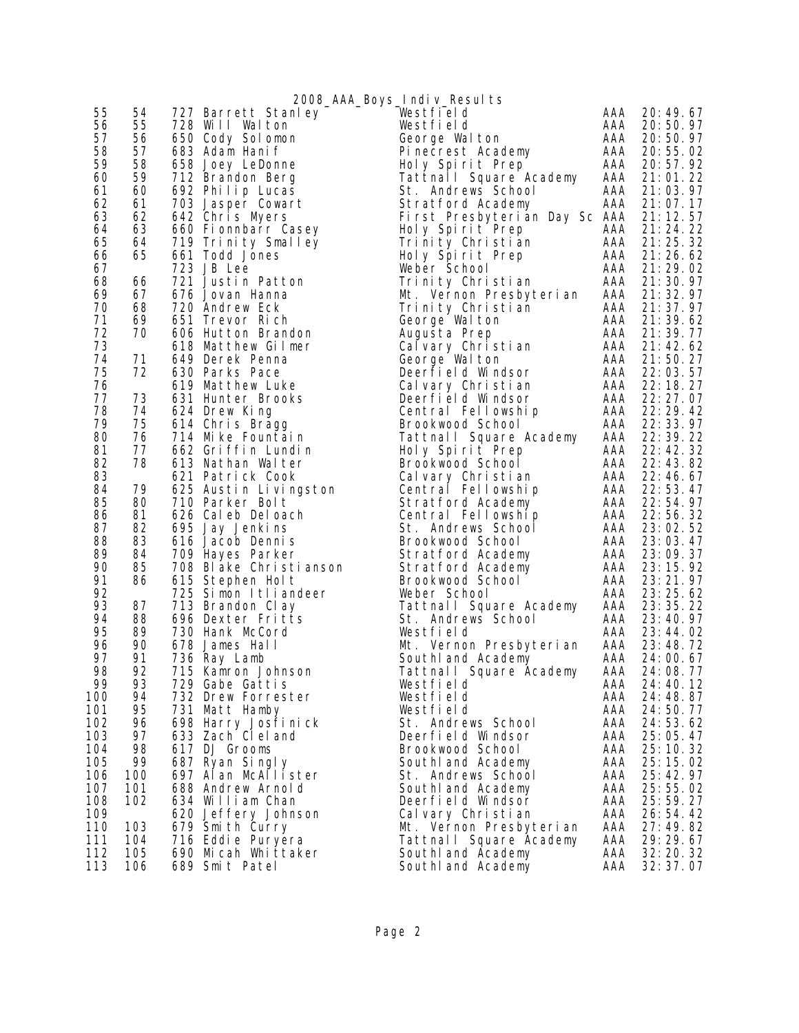|     |     |                        | 2008_AAA_Boys_Indiv_Results   |     |            |
|-----|-----|------------------------|-------------------------------|-----|------------|
| 55  | 54  | 727 Barrett Stanley    | Westfield                     | AAA | 20: 49. 67 |
| 56  | 55  | 728 Will Walton        | Westfield                     | AAA | 20:50.97   |
| 57  | 56  | 650 Cody Solomon       | George Walton                 | AAA | 20:50.97   |
| 58  | 57  | 683 Adam Hanif         | Pinecrest Academy             | AAA | 20:55.02   |
| 59  | 58  | 658 Joey LeDonne       | Holy Spirit Prep              | AAA | 20:57.92   |
| 60  | 59  | 712 Brandon Berg       | Tattnall Square Academy       | AAA | 21:01.22   |
| 61  | 60  | 692 Philip Lucas       | St. Andrews School            | AAA | 21:03.97   |
| 62  | 61  | 703 Jasper Cowart      | Stratford Academy             | AAA | 21:07.17   |
| 63  | 62  | 642 Chris Myers        | First Presbyterian Day Sc AAA |     | 21:12.57   |
| 64  | 63  | 660 Fionnbarr Casey    | Holy Spirit Prep              | AAA | 21:24.22   |
| 65  | 64  | 719 Trinity Smalley    | Trinity Christian             | AAA | 21:25.32   |
| 66  | 65  | 661 Todd Jones         | Holy Spirit Prep              | AAA | 21:26.62   |
| 67  |     | 723 JB Lee             | Weber School                  | AAA | 21: 29. 02 |
| 68  | 66  | 721 Justin Patton      | Trinity Christian             | AAA | 21:30.97   |
| 69  | 67  | 676 Jovan Hanna        | Mt. Vernon Presbyterian       | AAA | 21: 32. 97 |
| 70  | 68  | 720 Andrew Eck         |                               | AAA |            |
| 71  | 69  |                        | Trinity Christian             | AAA | 21:37.97   |
|     |     | 651 Trevor Rich        | George Walton                 |     | 21:39.62   |
| 72  | 70  | 606 Hutton Brandon     | Augusta Prep                  | AAA | 21:39.77   |
| 73  |     | 618 Matthew Gilmer     | Calvary Christian             | AAA | 21:42.62   |
| 74  | 71  | 649 Derek Penna        | George Walton                 | AAA | 21:50.27   |
| 75  | 72  | 630 Parks Pace         | Deerfield Windsor             | AAA | 22:03.57   |
| 76  |     | 619 Matthew Luke       | Calvary Christian             | AAA | 22: 18. 27 |
| 77  | 73  | 631 Hunter Brooks      | Deerfield Windsor             | AAA | 22: 27.07  |
| 78  | 74  | 624 Drew King          | Central Fellowship            | AAA | 22: 29. 42 |
| 79  | 75  | 614 Chris Bragg        | Brookwood School              | AAA | 22:33.97   |
| 80  | 76  | 714 Mike Fountain      | Tattnall Square Academy       | AAA | 22: 39. 22 |
| 81  | 77  | 662 Griffin Lundin     | Holy Spirit Prep              | AAA | 22:42.32   |
| 82  | 78  | 613 Nathan Walter      | Brookwood School              | AAA | 22: 43. 82 |
| 83  |     | 621 Patrick Cook       | Calvary Christian             | AAA | 22:46.67   |
| 84  | 79  | 625 Austin Livingston  | Central Fellowship            | AAA | 22:53.47   |
| 85  | 80  | 710 Parker Bolt        | Stratford Academy             | AAA | 22:54.97   |
| 86  | 81  | 626 Caleb Deloach      | Central Fellowship            | AAA | 22:56.32   |
| 87  | 82  | 695 Jay Jenkins        | St. Andrews School            | AAA | 23:02.52   |
| 88  | 83  | 616 Jacob Dennis       | Brookwood School              | AAA | 23:03.47   |
| 89  | 84  | 709 Hayes Parker       | Stratford Academy             | AAA | 23:09.37   |
| 90  | 85  | 708 Blake Christianson | Stratford Academy             | AAA | 23: 15. 92 |
| 91  | 86  | 615 Stephen Holt       | Brookwood School              | AAA | 23: 21. 97 |
| 92  |     | 725 Simon Itliandeer   | Weber School                  | AAA | 23: 25. 62 |
| 93  | 87  | 713 Brandon Clay       | Tattnall Square Academy       | AAA | 23: 35. 22 |
| 94  | 88  | 696 Dexter Fritts      | St. Andrews School            | AAA | 23:40.97   |
| 95  | 89  | 730 Hank McCord        | Westfield                     | AAA | 23:44.02   |
| 96  | 90  | 678 James Hall         | Mt. Vernon Presbyterian       | AAA | 23:48.72   |
| 97  | 91  | 736 Ray Lamb           | South and Academy             | AAA | 24:00.67   |
| 98  | 92  | 715 Kamron Johnson     | Tattnall Square Academy       | AAA | 24:08.77   |
| 99  | 93  | 729 Gabe Gattis        | Westfield                     | AAA | 24: 40. 12 |
| 100 | 94  | 732 Drew Forrester     | Westfield                     | AAA | 24:48.87   |
| 101 | 95  | 731 Matt Hamby         | Westfield                     | AAA | 24:50.77   |
| 102 | 96  | 698 Harry Josfi ni ck  | St. Andrews School            | AAA | 24:53.62   |
| 103 | 97  | 633 Zach CI el and     | Deerfield Windsor             | AAA | 25:05.47   |
| 104 | 98  | 617 DJ Grooms          | Brookwood School              | AAA | 25: 10. 32 |
| 105 | 99  | 687 Ryan Singly        | Southl and Academy            | AAA | 25: 15. 02 |
| 106 | 100 | 697 Alan McAllister    | St. Andrews School            | AAA | 25:42.97   |
| 107 | 101 | 688 Andrew Arnold      | Southl and Academy            | AAA | 25:55.02   |
| 108 | 102 | 634 William Chan       | Deerfield Windsor             | AAA | 25: 59. 27 |
| 109 |     | 620 Jeffery Johnson    | Cal vary Christian            | AAA | 26:54.42   |
| 110 | 103 | 679 Smith Curry        | Mt. Vernon Presbyterian       | AAA | 27:49.82   |
| 111 | 104 | 716 Eddie Puryera      | Tattnall Square Academy       | AAA | 29:29.67   |
| 112 | 105 | 690 Micah Whittaker    | South and Academy             | AAA | 32: 20. 32 |
| 113 | 106 | 689 Smit Patel         | SouthI and Academy            | AAA | 32:37.07   |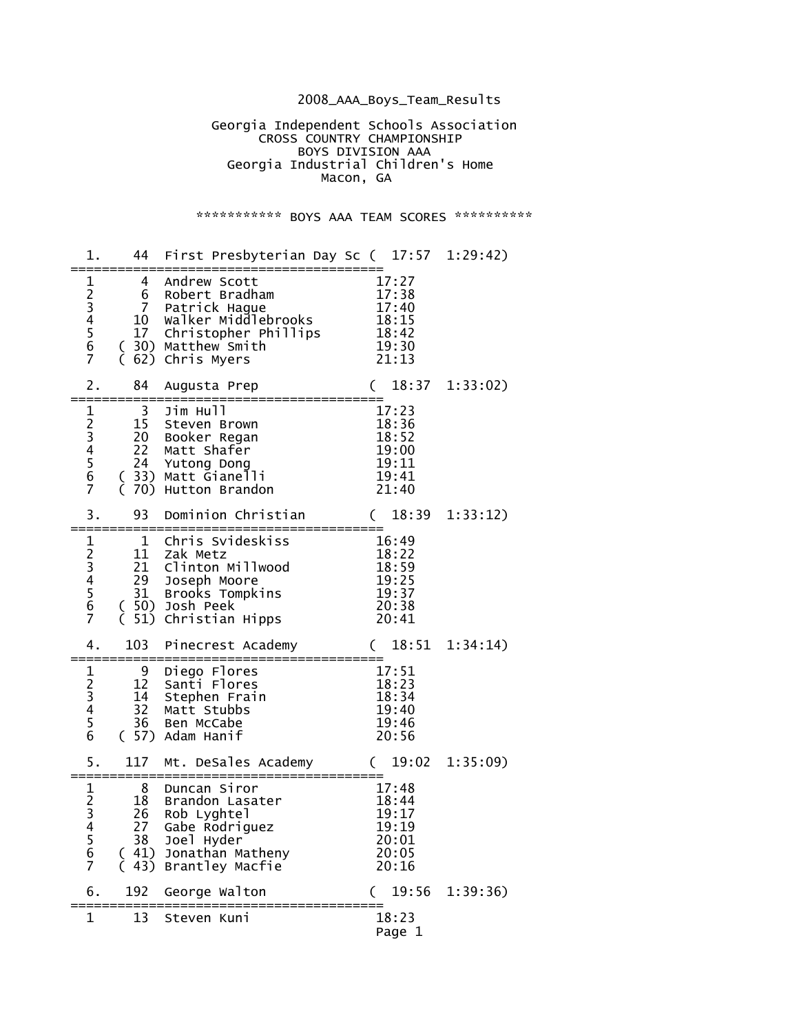## 2008\_AAA\_Boys\_Team\_Results

 Georgia Independent Schools Association **CROSS COUNTRY CHAMPIONSHIP**  BOYS DIVISION AAA Georgia Industrial Children's Home Macon, GA

## \*\*\*\*\*\*\*\*\*\*\*\* BOYS AAA TEAM SCORES \*\*\*\*\*\*\*\*\*\*\*

| 1.                                                      | 44                                                      | First Presbyterian Day Sc ( 17:57 1:29:42)                                                                                              |                                                             |          |
|---------------------------------------------------------|---------------------------------------------------------|-----------------------------------------------------------------------------------------------------------------------------------------|-------------------------------------------------------------|----------|
| $\mathbf 1$<br>23456<br>$\overline{7}$                  | $\overline{4}$<br>6<br>$7\overline{ }$<br>10<br>17<br>C | Andrew Scott<br>Robert Bradham<br>Patrick Hague<br>walker Middlebrooks<br>Christopher Phillips<br>(30) Matthew Smith<br>62) Chris Myers | 17:27<br>17:38<br>17:40<br>18:15<br>18:42<br>19:30<br>21:13 |          |
| 2.                                                      | 84                                                      | Augusta Prep<br>:=============                                                                                                          | 18:37<br>$\left($<br>======                                 | 1:33:02) |
| $\mathbf 1$<br>23456<br>$\overline{7}$                  | 3<br>15<br>22<br>24<br>70)                              | Jim Hull<br>Steven Brown<br>20 Booker Regan<br>Matt Shafer<br>Yutong Dong<br>( 33) Matt Gianelli<br>Hutton Brandon                      | 17:23<br>18:36<br>18:52<br>19:00<br>19:11<br>19:41<br>21:40 |          |
| 3.                                                      | 93                                                      | Dominion Christian                                                                                                                      | 18:39<br>$\left($                                           | 1:33:12) |
| $\mathbf{1}$<br>$\frac{2}{3}$ 456<br>$\overline{7}$     | $\mathbf{1}$<br>11<br>21<br>29<br>31<br>51)<br>C        | Chris Svideskiss<br>Zak Metz<br>Clinton Millwood<br>Joseph Moore<br>Brooks Tompkins<br>(50) Josh Peek<br>Christian Hipps                | 16:49<br>18:22<br>18:59<br>19:25<br>19:37<br>20:38<br>20:41 |          |
| 4.                                                      | 103                                                     | Pinecrest Academy                                                                                                                       | $\left($<br>18:51                                           | 1:34:14) |
| $\mathbf 1$<br>$2^{2}$<br>3 4 5<br>6                    | 9<br>12<br>14<br>32<br>36                               | Diego Flores<br>Santi Flores<br>Stephen Frain<br>Matt Stubbs<br>Ben McCabe<br>( 57) Adam Hanif                                          | 17:51<br>18:23<br>18:34<br>19:40<br>19:46<br>20:56          |          |
| 5.                                                      | 117                                                     | Mt. DeSales Academy                                                                                                                     | 19:02<br>$\left($                                           | 1:35:09  |
| $\mathbf 1$<br>$\frac{2}{3}$<br>4<br>$\frac{5}{6}$<br>7 | 8<br>18<br>26<br>38                                     | Duncan Siror<br>Brandon Lasater<br>Rob Lyghtel<br>27 Gabe Rodriguez<br>Joel Hyder<br>(41) Jonathan Matheny<br>(43) Brantley Macfie      | 17:48<br>18:44<br>19:17<br>19:19<br>20:01<br>20:05<br>20:16 |          |
| 6.                                                      | 192                                                     | George Walton                                                                                                                           | 19:56                                                       | 1:39:36) |
| 1                                                       | 13                                                      | Steven Kuni                                                                                                                             | 18:23<br>Page 1                                             |          |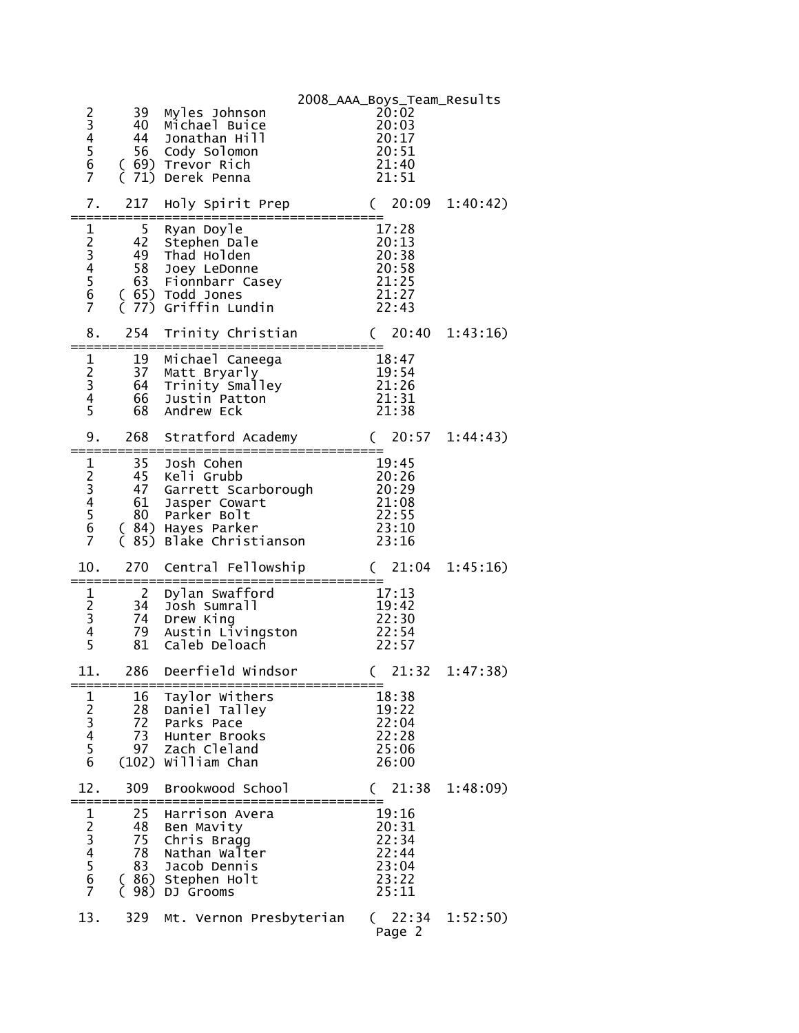| 23456<br>7                                                                | 39<br>40<br>44<br>56             | Myles Johnson<br>Michael Buice<br>Jonathan Hill<br>Cody Solomon<br>(69) Trevor Rich<br>(71) Derek Penna                               | 2008_AAA_Boys_Team_Results | 20:02<br>20:03<br>20:17<br>20:51<br>21:40<br>21:51          |          |
|---------------------------------------------------------------------------|----------------------------------|---------------------------------------------------------------------------------------------------------------------------------------|----------------------------|-------------------------------------------------------------|----------|
| 7.                                                                        | 217                              | Holy Spirit Prep                                                                                                                      |                            | 20:09<br>$\mathcal{C}$                                      | 1:40:42) |
| 123456<br>$\overline{7}$                                                  | 5<br>42<br>49<br>58              | Ryan Doyle<br>Stephen Dale<br>Thad Holden<br>Joey LeDonne<br>63 Fionnbarr Casey<br>(65) Todd Jones<br>(77) Griffin Lundin             |                            | 17:28<br>20:13<br>20:38<br>20:58<br>21:25<br>21:27<br>22:43 |          |
| 8.                                                                        | 254                              | Trinity Christian                                                                                                                     |                            | 20:40<br>$\left($                                           | 1:43:16) |
| $\mathbf 1$<br>$\frac{2}{3}$<br>4<br>5                                    | 19<br>37<br>64<br>66<br>68       | Michael Caneega<br>Matt Bryarly<br>Trinity Smalley<br>Justin Patton<br>Andrew Eck                                                     |                            | 18:47<br>19:54<br>21:26<br>21:31<br>21:38                   |          |
| 9.                                                                        | 268                              | Stratford Academy                                                                                                                     |                            | 20:57<br>C                                                  | 1:44:43) |
| $\frac{1}{2}$<br>$\frac{3}{4}$<br>5<br>$\overline{6}$<br>$\overline{7}$   | 35<br>47<br>61                   | Josh Cohen<br>45 Keli Grubb<br>Garrett Scarborough<br>Jasper Cowart<br>80 Parker Bolt<br>(84) Hayes Parker<br>(85) Blake Christianson |                            | 19:45<br>20:26<br>20:29<br>21:08<br>22:55<br>23:10<br>23:16 |          |
| 10.                                                                       | 270                              | Central Fellowship                                                                                                                    |                            | (21:04)                                                     | 1:45:16  |
| $\frac{1}{2}$ $\frac{3}{4}$ $\frac{4}{5}$                                 | $\overline{2}$<br>34<br>79<br>81 | Dylan Swafford<br>Josh Sumrall<br>74 Drew King<br>Austin Livingston<br>Caleb Deloach                                                  |                            | 17:13<br>19:42<br>22:30<br>22:54<br>22:57                   |          |
| 11.                                                                       | 286                              | Deerfield Windsor                                                                                                                     |                            | 21:32                                                       | 1:47:38) |
| $\frac{1}{2}$ 3 4 5 6                                                     | 16<br>28<br>72<br>73<br>97       | Taylor Withers<br>Daniel Talley<br>Parks Pace<br>Hunter Brooks<br>Zach Cleland<br>(102) William Chan                                  |                            | 18:38<br>19:22<br>22:04<br>22:28<br>25:06<br>26:00          |          |
| 12.                                                                       | 309                              | Brookwood School                                                                                                                      |                            | 21:38                                                       | 1:48:09  |
| $\frac{1}{2}$ $\frac{3}{4}$ $\frac{4}{5}$ $\frac{5}{6}$<br>$\overline{7}$ | 25<br>48<br>75<br>78<br>83<br>€  | Harrison Avera<br>Ben Mavity<br>Chris Bragg<br>Nathan Walter<br>Jacob Dennis<br>(86) Stephen Holt<br>98) DJ Grooms                    |                            | 19:16<br>20:31<br>22:34<br>22:44<br>23:04<br>23:22<br>25:11 |          |
| 13.                                                                       | 329                              | Mt. Vernon Presbyterian                                                                                                               |                            | (22:34)<br>Page 2                                           | 1:52:50) |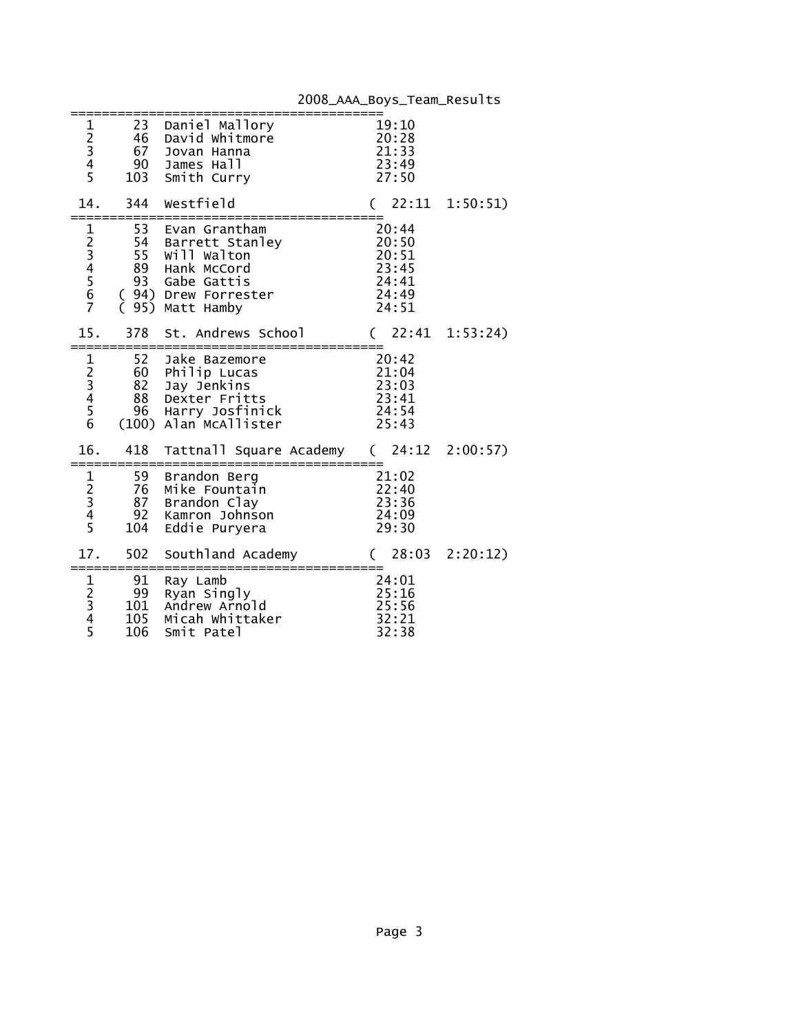| $\frac{1}{2}$<br>$\frac{3}{4}$<br>5                              | 23<br>46<br>67 | Daniel Mallory<br>David Whitmore<br>Jovan Hanna<br>$90$ James Hall<br>103 Smith Curry<br>103 Smith Curry                                       | $19:10$<br>$20:28$<br>21:33<br>23:49<br>27:50               |  |
|------------------------------------------------------------------|----------------|------------------------------------------------------------------------------------------------------------------------------------------------|-------------------------------------------------------------|--|
| 14.                                                              | =============  | 344 Westfield<br>===========                                                                                                                   | $(22:11 \t1:50:51)$                                         |  |
| 1234567                                                          | 53<br>(95)     | Evan Grantham<br>54 Barrett Sta<br>55 Will Walton<br>89 Hank McCord<br>Barrett Stanley<br>93 Gabe Gattis<br>( 94) Drew Forrester<br>Matt Hamby | 20:44<br>20:50<br>20:51<br>23:45<br>24:41<br>24:49<br>24:51 |  |
| 15.                                                              |                | 378 St. Andrews School                                                                                                                         | $(22:41 \t1:53:24)$                                         |  |
| $\frac{1}{2}$<br>$\frac{2}{3}$<br>$\frac{4}{5}$<br>$\frac{5}{6}$ | 52             | Jake Bazemore<br>20:42<br>21:04<br>60 Philip Lucas<br>82 Jay Jenkins<br>88 Dexter Fritts<br>96 Harry Josfinick<br>(100) Alan McAllister        | 23:03<br>23:41<br>24:54<br>25:43                            |  |
| 16.                                                              |                | 418 Tattnall Square Academy (24:12 2:00:57)                                                                                                    |                                                             |  |
|                                                                  |                | Mike Fountain<br>Kamron Johnson<br>Eddie Puryera                                                                                               | 21:02<br>21:02<br>22:40<br>23:36<br>24:09<br>29:30          |  |
| 17.                                                              |                | 502 Southland Academy<br>:===================<br>====================                                                                          | $(28:03 \t2:20:12)$                                         |  |
| $\begin{array}{c}\n1 \\ 2 \\ 3 \\ 4 \\ 5\n\end{array}$           | 106            | 91 Ray Lamb<br>99 Ryan Singly<br>yan singly --<br>101 Andrew Arnold<br>105 Miceb<br>105 Micah Whittaker<br>Smit Patel                          | 24:01<br>25:16<br>25:56<br>32:21<br>32:38                   |  |

2008\_AAA\_Boys\_Team\_Results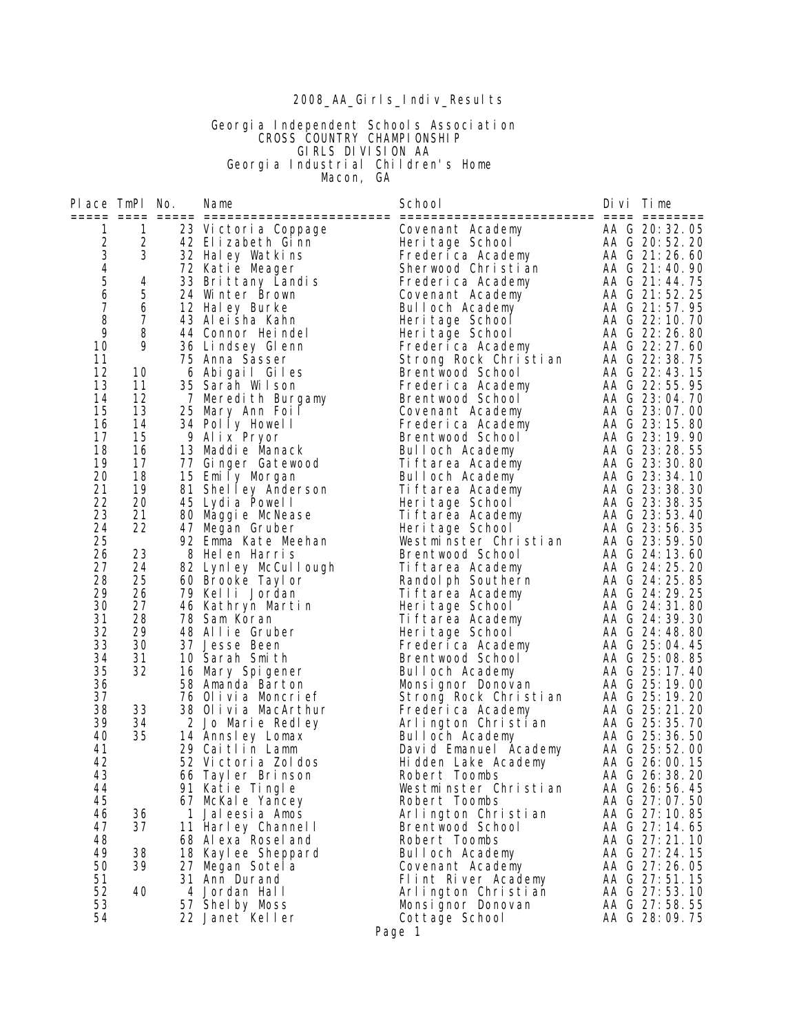#### 2008\_AA\_Girls\_Indiv\_Results

#### Georgia Independent Schools Association **CROSS COUNTRY CHAMPIONSHIP**  GIRLS DIVISION AA Georgia Industrial Children's Home **Macon, GA**

Place TmPl No. Name **School** School Divi Time ===== ==== ===== ======================== ========================= ==== ======== 1 1 23 Victoria Coppage Covenant Academy AA G 20:32.05 2 2 42 Elizabeth Ginn Heritage School AA G 20:52.20 3 3 32 Haley Watkins Frederica Academy AA G 21:26.60 4 72 Katie Meager Sherwood Christian AA G 21:40.90 5 4 33 Brittany Landis Frederica Academy AA G 21:44.75 6 5 24 Winter Brown Covenant Academy AA G 21:52.25 7 6 12 Haley Burke Bulloch Academy AA G 21:57.95 8 7 43 Aleisha Kahn Heritage School AA G 22:10.70 9 8 44 Connor Heindel Heritage School AA G 22:26.80 10 9 36 Lindsey Glenn Frederica Academy AA G 22:27.60 11 75 Anna Sasser Strong Rock Christian AA G 22:38.75 12 10 6 Abigail Giles Brentwood School AA G 22:43.15 13 11 35 Sarah Wilson Frederica Academy AA G 22:55.95 14 12 7 Meredith Burgamy Brentwood School AA G 23:04.70 15 13 25 Mary Ann Foil Covenant Academy AA G 23:07.00 16 14 34 Polly Howell Frederica Academy AA G 23:15.80 17 15 9 Alix Pryor Brentwood School AA G 23:19.90 18 16 13 Maddie Manack Bulloch Academy AA G 23:28.55 19 17 77 Ginger Gatewood Tiftarea Academy AA G 23:30.80 20 18 15 Emily Morgan Bulloch Academy AA G 23:34.10 21 19 81 Shelley Anderson Tiftarea Academy AA G 23:38.30 22 20 45 Lydia Powell Heritage School AA G 23:38.35 23 21 80 Maggie McNease Tiftarea Academy AA G 23:53.40 24 22 47 Megan Gruber Heritage School AA G 23:56.35 25 92 Emma Kate Meehan Westminster Christian AA G 23:59.50 26 23 8 Helen Harris Brentwood School AA G 24:13.60 27 24 82 Lynley McCullough Tiftarea Academy AA G 24:25.20 28 25 60 Brooke Taylor Randolph Southern AA G 24:25.85 29 26 79 Kelli Jordan Tiftarea Academy AA G 24:29.25 30 27 46 Kathryn Martin Heritage School AA G 24:31.80 31 28 78 Sam Koran Tiftarea Academy AA G 24:39.30 32 29 48 Allie Gruber Heritage School AA G 24:48.80 33 30 37 Jesse Been Frederica Academy AA G 25:04.45 34 31 10 Sarah Smith Brentwood School AA G 25:08.85 35 32 16 Mary Spigener Bulloch Academy AA G 25:17.40 36 58 Amanda Barton Monsignor Donovan AA G 25:19.00 37 76 Olivia Moncrief Strong Rock Christian AA G 25:19.20 38 33 38 Olivia MacArthur Frederica Academy AA G 25:21.20 39 34 2 Jo Marie Redley Arlington Christian AA G 25:35.70 40 35 14 Annsley Lomax Bulloch Academy AA G 25:36.50 41 29 Caitlin Lamm David Emanuel Academy AA G 25:52.00 42 52 Victoria Zoldos Hidden Lake Academy AA G 26:00.15 43 66 Tayler Brinson Robert Toombs AA G 26:38.20 44 91 Katie Tingle Westminster Christian AA G 26:56.45 45 67 McKale Yancey Robert Toombs AA G 27:07.50 46 36 1 Jaleesia Amos Arlington Christian AA G 27:10.85 47 37 11 Harley Channell Brentwood School AA G 27:14.65 48 68 Alexa Roseland Robert Toombs AA G 27:21.10 49 38 18 Kaylee Sheppard Bulloch Academy AA G 27:24.15 50 39 27 Megan Sotela Covenant Academy AA G 27:26.05 51 31 Ann Durand Flint River Academy AA G 27:51.15 52 40 4 Jordan Hall Arlington Christian AA G 27:53.10 53 57 Shelby Moss Monsignor Donovan AA G 27:58.55 54 22 Janet Keller Cottage School AA G 28:09.75

Page 1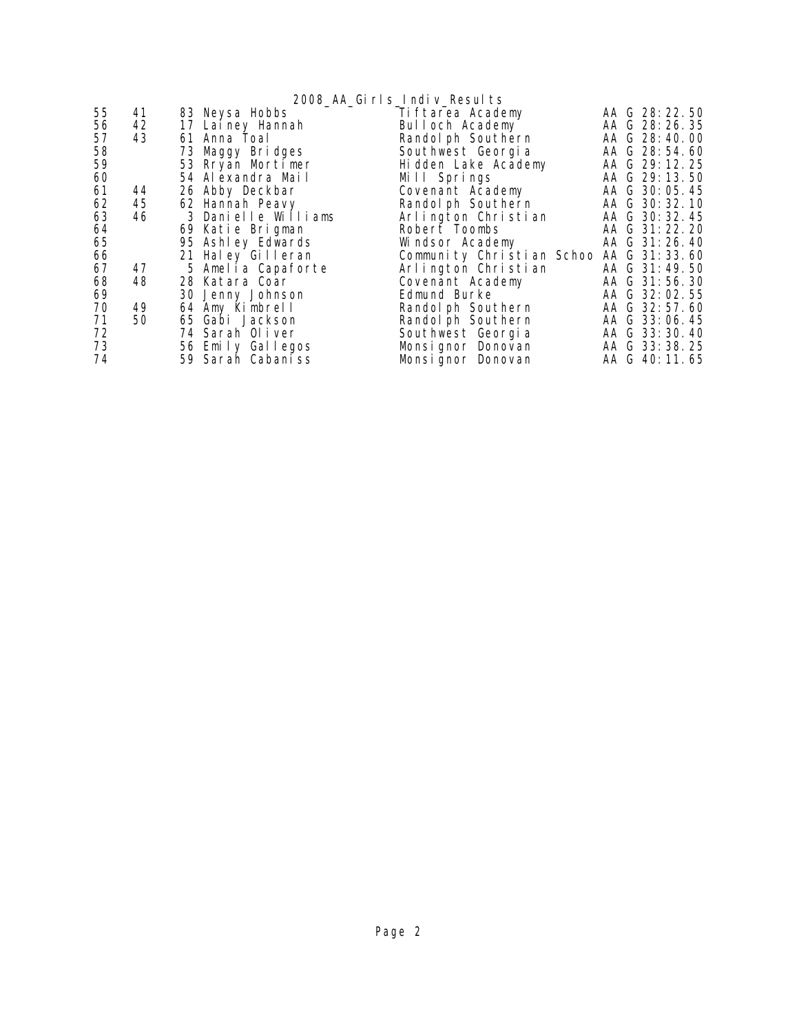2008\_AA\_Girls\_Indiv\_Results 55 41 83 Neysa Hobbs Tiftarea Academy AA G 28:22.50 56 42 17 Lainey Hannah<br>57 43 61 Anna Toal 57 43 61 Anna Toal Randolph Southern AA G 28:40.00<br>58 73 Maggy Bridges Southwest Georgia AA G 28:54.60<br>59 53 Rryan Mortimer Hidden Lake Academy AA G 29:12.25<br>60 54 Alexandra Mail Mill Springs AA G 29:13.50 58 73 Maggy Bridges<br>59 53 Rryan Mortimer 59 53 Rryan Mortimer Hidden Lake Academy AA G 29:12.25 ed a 54 Alexandra Mail Mill Springs and G 29:13.50<br>
61 44 26 Abby Deckbar Covenant Academy AA G 30:05.45 61 44 26 Abby Deckbar Covenant Academy AA G 30:05.45 62 45 62 Hannah Peavy Randolph Southern AA G 30:32.10 63 46 3 Danielle Williams Arlington Christian AA G 30:32.45 64 69 Katie Brigman Robert Toombs AA G 31:22.20 65 95 Ashley Edwards<br>66 21 Haley Gilleran<br>67 47 5 Amelia Capaforte<br>68 48 28 Katara Coar 66 21 Haley Gilleran Community Christian Schoo AA G 31:33.60 67 47 5 Amelia Capaforte Arlington Christian AA G 31:49.50 68 48 28 Katara Coar Covenant Academy AA G 31:56.30 69 30 Jenny Johnson Edmund Burke AA G 32:02.55<br>
70 49 64 Amy Kimbrell Randolph Southern AA G 32:57.60 70 49 64 Amy Kimbrell Randolph Southern AA G 32:57.60 71 50 65 Gabi Jackson Randolph Southern AA G 33:06.45 72 74 Sarah Oliver Southwest Georgia AA G 33:30.40 73 56 Emily Gallegos Monsignor Donovan AA G 33:38.25 74 59 Sarah Cabaniss Monsignor Donovan AA G 40:11.65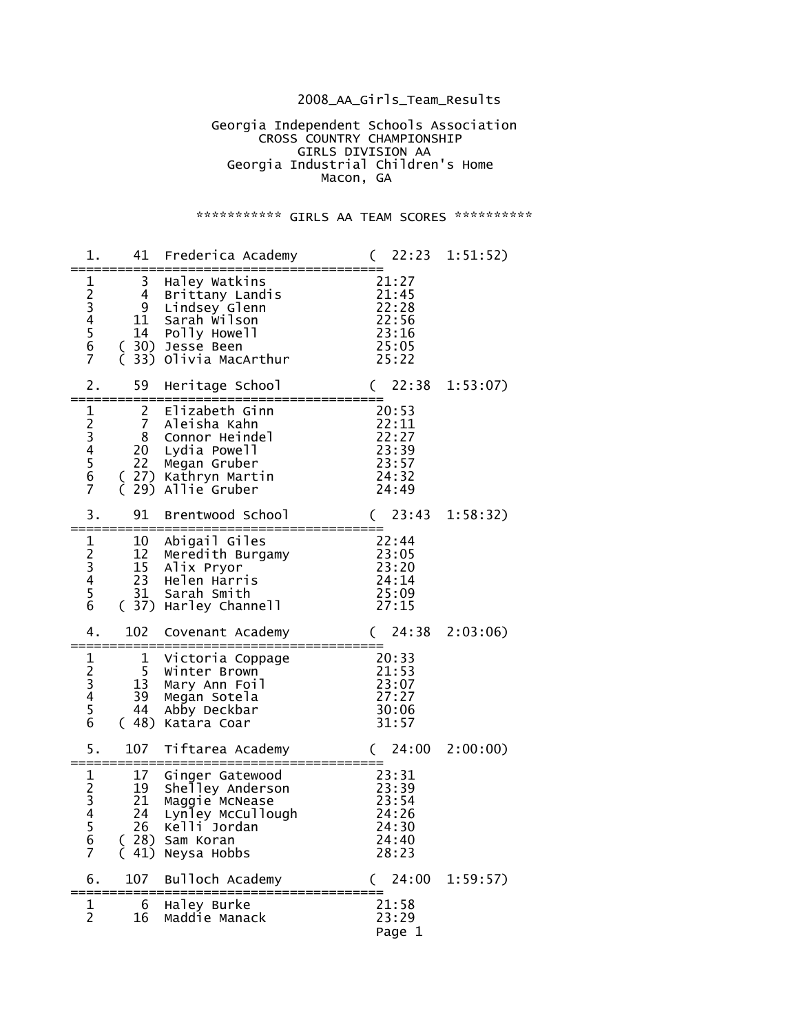## 2008\_AA\_Girls\_Team\_Results

 Georgia Independent Schools Association **CROSS COUNTRY CHAMPIONSHIP**  GIRLS DIVISION AA Georgia Industrial Children's Home Macon, GA

## \*\*\*\*\*\*\*\*\*\*\*\* GIRLS AA TEAM SCORES \*\*\*\*\*\*\*\*\*\*\*

| 1.                                                          | 41                                               | Frederica Academy<br>:======================                                                                                        | $(22:23 \t1:51:52)$<br>========                                                       |          |
|-------------------------------------------------------------|--------------------------------------------------|-------------------------------------------------------------------------------------------------------------------------------------|---------------------------------------------------------------------------------------|----------|
| $\mathbf 1$<br>234567                                       | 3 <sup>7</sup><br>$4 \quad$<br>{<br>(            | Haley Watkins<br>Brittany Landis<br>9 Lindsey Glenn<br>11 Sarah wilson<br>14 Polly Howell<br>30) Jesse Been<br>33) Olivia MacArthur | 21:27<br>$2\overline{1:45}$<br>22:28<br>$\overline{22}:56$<br>23:16<br>25:05<br>25:22 |          |
| 2.                                                          | 59                                               | Heritage School                                                                                                                     | (22:38)<br>======                                                                     | 1:53:07  |
| 1234567                                                     | $\mathbf{2}$<br>$\overline{7}$<br>8<br>22<br>(   | Elizabeth Ginn<br>Aleisha Kahn<br>Connor Heindel<br>20 Lydia Powell<br>Megan Gruber<br>(27) Kathryn Martin<br>29) Allie Gruber      | 20:53<br>22:11<br>22:27<br>$\frac{1}{23}:39$<br>23:57<br>24:32<br>24:49               |          |
| 3.                                                          | 91                                               | Brentwood School                                                                                                                    | (23:43)                                                                               | 1:58:32) |
| $\mathbf 1$<br>$\frac{2}{3}$<br>45<br>6                     | 10<br>12<br>31                                   | Abigail Giles<br>Meredith Burgamy 23:05<br>15 Alix Pryor<br>23 Helen Harris<br>Sarah Smith<br>(37) Harley Channell                  | 22:44<br>23:20<br>24:14<br>25:09<br>27:15                                             |          |
| 4.                                                          | 102                                              | Covenant Academy<br>:====================                                                                                           | 24:38<br>$\left($<br>========                                                         | 2:03:06  |
| $\frac{1}{2}$ $\frac{3}{4}$ $\frac{4}{5}$<br>$\overline{6}$ | $\mathbf{1}$<br>5 <sub>1</sub><br>13<br>39<br>44 | -------<br>Victoria Coppage<br>Winter Brown<br>Mary Ann Foil<br>Megan Sotela<br>Abby Deckbar<br>(48) Katara Coar                    | 20:33<br>21:53<br>23:07<br>27:27<br>30:06<br>31:57                                    |          |
| 5.                                                          | 107                                              | Tiftarea Academy                                                                                                                    | (24:00)                                                                               | 2:00:00) |
| $\frac{1}{2}$<br>$\frac{3}{4}$<br>5<br>6<br>$\overline{7}$  | 17<br>19<br>21<br>26<br>41)                      | Ginger Gatewood<br>Shelley Anderson<br>Maggie McNease<br>24 Lynley Mccullough<br>Kelli Jordan<br>28) Sam Koran<br>Neysa Hobbs       | 23:31<br>23:39<br>23:54<br>24:26<br>24:30<br>24:40<br>28:23                           |          |
| 6.                                                          | 107                                              | Bulloch Academy                                                                                                                     | 24:00<br>(                                                                            | 1:59:57) |
| 1<br>$\overline{2}$                                         | 6<br>16                                          | Haley Burke<br>Maddie Manack                                                                                                        | 21:58<br>23:29<br>Page 1                                                              |          |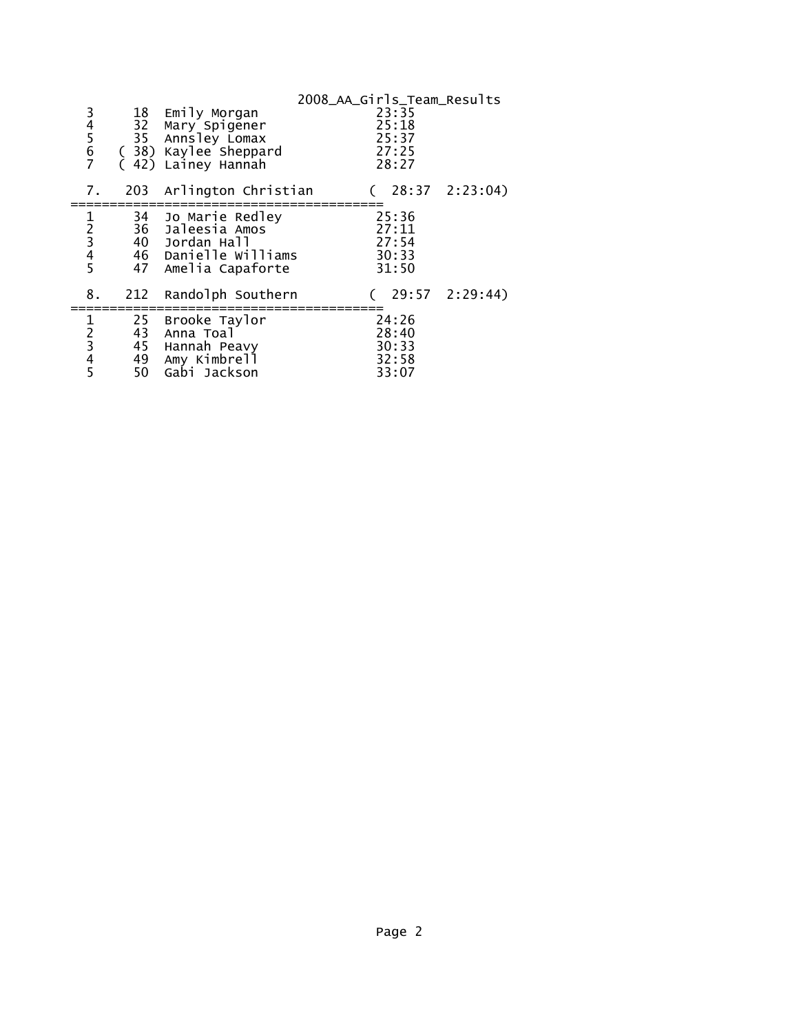|                                                   |    |                                                         | 2008_AA_Girls_Team_Results |                         |                  |
|---------------------------------------------------|----|---------------------------------------------------------|----------------------------|-------------------------|------------------|
| 34567                                             |    | 18 Emily Morgan<br>32 Mary Spigener<br>35 Annsley Lomax |                            | 23:35<br>25:18<br>25:37 |                  |
|                                                   |    | (38) Kaylee Sheppard<br>42) Lainey Hannah               |                            | 27:25<br>28:27          |                  |
| 7.                                                |    | 203 Arlington Christian                                 |                            |                         | 28:37 2:23:04)   |
|                                                   |    | 34 Jo Marie Redley                                      |                            | 25:36                   |                  |
| 1 2 3 4 5                                         |    | 36 Jaleesia Amos                                        |                            | 27:11                   |                  |
|                                                   |    | 40 Jordan Hall                                          |                            | 27:54                   |                  |
|                                                   |    | 46 Danielle Williams                                    |                            | 30:33                   |                  |
|                                                   |    | 47 Amelia Capaforte                                     |                            | 31:50                   |                  |
| 8.                                                |    | 212 Randolph Southern                                   |                            |                         | (29:572:2:29:44) |
| 1                                                 | 25 | Brooke Taylor                                           |                            | 24:26                   |                  |
| $\begin{array}{c}\n2 \\ 3 \\ 4 \\ 5\n\end{array}$ | 43 | Anna Toal                                               |                            | 28:40                   |                  |
|                                                   |    | 45 Hannah Peavy                                         |                            | 30:33                   |                  |
|                                                   |    | 49 Amy Kimbrell                                         |                            | 32:58                   |                  |
|                                                   |    | 50 Gabi Jackson                                         |                            | 33:07                   |                  |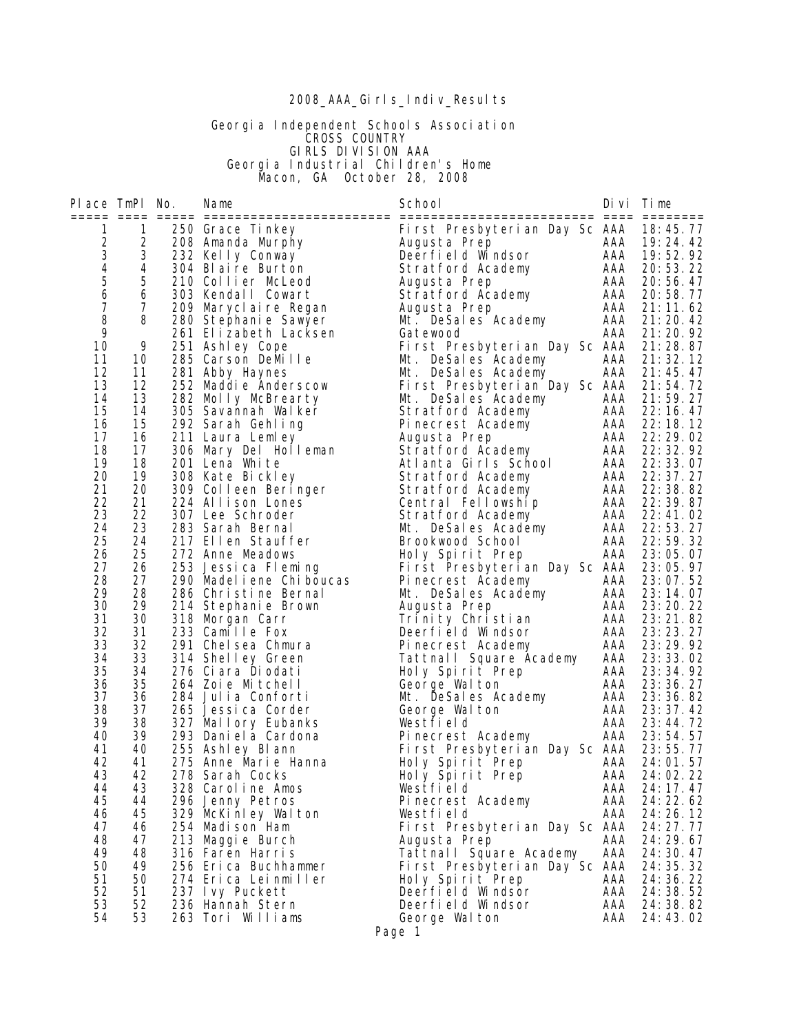# 2008\_AAA\_Girls\_Indiv\_Results

#### Georgia Independent Schools Association **CROSS COUNTRY**  GIRLS DIVISION AAA Georgia Industrial Children's Home Macon, GA October 28, 2008

| Place TmPl No.           |          | Name                                     | School                                                     |            | Divi Time                |
|--------------------------|----------|------------------------------------------|------------------------------------------------------------|------------|--------------------------|
| 1                        | 1        | 250 Grace Tinkey                         | First Presbyterian Day Sc AAA 18:45.77                     |            |                          |
| $\overline{c}$           | 2        | 208 Amanda Murphy                        | Augusta Prep                                               |            | AAA 19:24.42             |
| 3                        | 3        | 232 Kelly Conway                         | Deerfield Windsor                                          |            | AAA 19:52.92             |
| $\overline{\mathcal{A}}$ | 4<br>5   | 304 Blaire Burton                        | Stratford Academy                                          | AAA<br>AAA | 20:53.22                 |
| 5<br>6                   | 6        | 210 Collier McLeod<br>303 Kendall Cowart | Augusta Prep<br>Stratford Academy                          | AAA        | 20:56.47<br>20:58.77     |
| 7                        | 7        | 209 Marycl ai re Regan                   | Augusta Prep                                               | AAA        | 21:11.62                 |
| 8                        | 8        | 280 Stephanie Sawyer                     | Mt. DeSales Academy                                        | AAA        | 21:20.42                 |
| 9                        |          | 261 Elizabeth Lacksen                    | Gatewood                                                   | AAA        | 21:20.92                 |
| 10                       | 9        | 251 Ashley Cope                          | First Presbyterian Day Sc AAA                              |            | 21:28.87                 |
| 11                       | 10       | 285 Carson DeMille                       | Mt. DeSales Academy                                        | AAA        | 21:32.12                 |
| 12                       | 11       | 281 Abby Haynes                          | Mt. DeSales Academy                                        | AAA        | 21:45.47                 |
| 13                       | 12       | 252 Maddie Anderscow                     | First Presbyterian Day Sc AAA 21:54.72                     |            |                          |
| 14<br>15                 | 13       | 282 Molly McBrearty                      | Mt. DeSales Academy                                        | AAA        | 21:59.27<br>AAA 22:16.47 |
| 16                       | 14<br>15 | 305 Savannah Walker<br>292 Sarah Gehling | Stratford Academy<br>Pinecrest Academy                     | AAA        | 22: 18. 12               |
| 17                       | 16       | 211 Laura Lemley                         | Augusta Prep                                               | AAA        | 22: 29. 02               |
| 18                       | 17       | 306 Mary Del Holleman                    | Stratford Academy                                          | AAA        | 22: 32. 92               |
| 19                       | 18       | 201 Lena White                           | Atlanta Girls School                                       |            | AAA 22:33.07             |
| 20                       | 19       | 308 Kate Bickley                         | Stratford Academy                                          | AAA        | 22: 37. 27               |
| 21                       | 20       | 309 Colleen Beringer                     | Stratford Academy                                          | AAA        | 22: 38. 82               |
| 22                       | 21       | 224 Allison Lones                        | Central Fellowship                                         | AAA        | 22: 39. 87               |
| 23                       | 22       | 307 Lee Schroder                         | Stratford Academy                                          | AAA        | 22:41.02                 |
| 24                       | 23       | 283 Sarah Bernal                         | Mt. DeSales Academy                                        | AAA        | 22:53.27                 |
| 25<br>26                 | 24<br>25 | 217 Ellen Stauffer<br>272 Anne Meadows   | Brookwood School                                           | AAA<br>AAA | 22:59.32<br>23:05.07     |
| 27                       | 26       | 253 Jessica Fleming                      | Holy Spirit Prep<br>First Presbyterian Day Sc AAA 23:05.97 |            |                          |
| 28                       | 27       | 290 Madel i ene Chi boucas               | Pinecrest Academy                                          | AAA        | 23:07.52                 |
| 29                       | 28       | 286 Christine Bernal                     | Mt. DeSales Academy                                        | AAA        | 23:14.07                 |
| 30                       | 29       | 214 Stephanie Brown                      | Augusta Prep                                               | AAA        | 23:20.22                 |
| 31                       | 30       | 318 Morgan Carr                          | Trinity Christian                                          | AAA        | 23: 21.82                |
| 32                       | 31       | 233 Camille Fox                          | Deerfield Windsor                                          | AAA        | 23: 23. 27               |
| 33                       | 32       | 291 Chelsea Chmura                       | Pinecrest Academy                                          | AAA        | 23:29.92                 |
| 34<br>35                 | 33<br>34 | 314 Shelley Green<br>276 Ciara Diodati   | Tattnall Square Academy                                    | AAA        | 23:33.02                 |
| 36                       | 35       | 264 Zoie Mitchell                        | Holy Spirit Prep<br>George Walton                          | AAA<br>AAA | 23: 34. 92<br>23:36.27   |
| 37                       | 36       | 284 Julia Conforti                       | Mt. DeSales Academy                                        | AAA        | 23:36.82                 |
| 38                       | 37       | 265 Jessica Corder                       | George Walton                                              | AAA        | 23:37.42                 |
| 39                       | 38       | 327 Mallory Eubanks                      | Westfield                                                  | AAA        | 23:44.72                 |
| 40                       | 39       | 293 Dani el a Cardona                    | Pinecrest Academy                                          | AAA        | 23:54.57                 |
| 41                       | 40       | 255 Ashley Blann                         | First Presbyterian Day Sc AAA                              |            | 23:55.77                 |
| 42                       | 41       | 275 Anne Marie Hanna                     | Holy Spirit Prep                                           | AAA        | 24:01.57                 |
| 43                       | 42       | 278 Sarah Cocks                          | Holy Spirit Prep                                           | AAA        | 24:02.22                 |
| 44<br>45                 | 43<br>44 | 328 Caroline Amos                        | Westfield                                                  | AAA<br>AAA | 24: 17. 47               |
| 46                       | 45       | 296 Jenny Petros<br>329 McKinley Walton  | Pinecrest Academy<br>Westfield                             | AAA        | 24: 22. 62<br>24: 26. 12 |
| 47                       | 46       | 254 Madison Ham                          | First Presbyterian Day Sc AAA                              |            | 24: 27. 77               |
| 48                       | 47       | 213 Maggie Burch                         | Augusta Prep                                               | AAA        | 24: 29. 67               |
| 49                       | 48       | 316 Faren Harris                         | Tattnall Square Academy                                    | AAA        | 24: 30. 47               |
| 50                       | 49       | 256 Erica Buchhammer                     | First Presbyterian Day Sc AAA                              |            | 24: 35. 32               |
| 51                       | 50       | 274 Erica Leinmiller                     | Holy Spirit Prep                                           | AAA        | 24: 36. 22               |
| 52                       | 51       | 237 Ivy Puckett                          | Deerfield Windsor                                          | AAA        | 24: 38. 52               |
| 53                       | 52       | 236 Hannah Stern                         | Deerfield Windsor                                          | AAA        | 24:38.82                 |
| 54                       | 53       | 263 Tori Williams                        | George Walton                                              | AAA        | 24:43.02                 |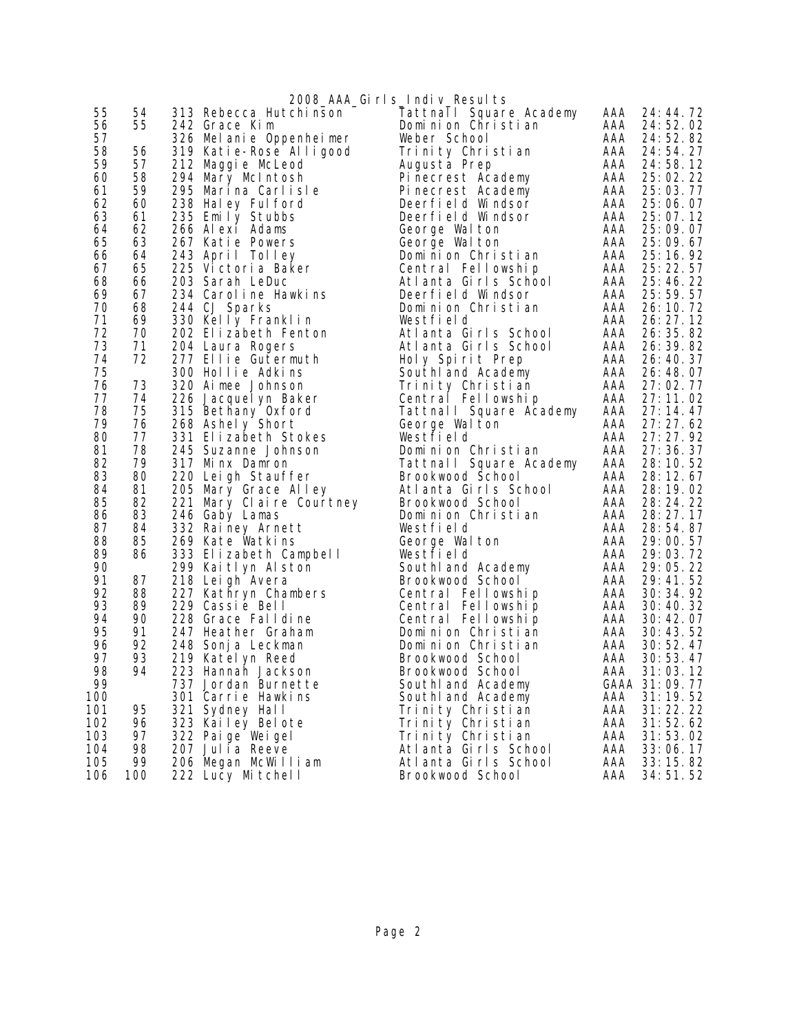| 2008_AAA_Girls_Indiv_Results<br>55<br>54<br>313 Rebecca Hutchinson<br>Tattnall Square Academy<br>AAA<br>24: 44. 72<br>55<br>56<br>AAA<br>24:52.02<br>242 Grace Kim<br>Dominion Christian<br>57<br>Weber School<br>AAA<br>24:52.82<br>326 Mel anie Oppenheimer<br>58<br>56<br>319 Katie-Rose Alligood<br>Trinity Christian<br>AAA<br>24:54.27<br>59<br>57<br>AAA<br>24:58.12<br>212 Maggie McLeod<br>Augusta Prep<br>60<br>58<br>294 Mary McIntosh<br>Pinecrest Academy<br>AAA<br>25:02.22<br>59<br>61<br>AAA<br>295 Marina Carlisle<br>Pinecrest Academy<br>25:03.77<br>62<br>60<br>AAA<br>238 Haley Ful ford<br>25:06.07<br>Deerfield Windsor<br>63<br>61<br>235 Emily Stubbs<br>AAA<br>Deerfield Windsor<br>25:07.12<br>62<br>AAA<br>64<br>266 Alexi Adams<br>George Walton<br>25:09.07<br>65<br>63<br>AAA<br>267 Katie Powers<br>George Walton<br>25:09.67<br>AAA<br>25:16.92<br>66<br>64<br>243 April Tolley<br>Dominion Christian<br>67<br>65<br>AAA<br>25: 22. 57<br>225 Victoria Baker<br>Central Fellowship<br>68<br>66<br>203 Sarah LeDuc<br>AAA<br>25:46.22<br>Atlanta Girls School<br>69<br>67<br>234 Carol i ne Hawki ns<br>Deerfield Windsor<br>AAA<br>25: 59. 57<br>70<br>68<br>AAA<br>244 CJ Sparks<br>26: 10. 72<br>Dominion Christian<br>71<br>69<br>AAA<br>330 Kelly Franklin<br>Westfield<br>26: 27. 12<br>72<br>70<br>26: 35. 82<br>202 Elizabeth Fenton<br>Atlanta Girls School<br>AAA<br>73<br>71<br>AAA<br>204 Laura Rogers<br>26: 39. 82<br>Atlanta Girls School<br>72<br>74<br>AAA<br>277 Ellie Gutermuth<br>26: 40. 37<br>Holy Spirit Prep<br>75<br>300 Hollie Adkins<br>South and Academy<br>AAA<br>26: 48. 07<br>76<br>73<br>320 Aimee Johnson<br>AAA<br>Trinity Christian<br>27:02.77<br>77<br>74<br>AAA<br>27:11.02<br>226 Jacquel yn Baker<br>Central Fellowship<br>78<br>27:14.47<br>75<br>315 Bethany Oxford<br>AAA<br>Tattnall Square Academy<br>79<br>76<br>AAA<br>27:27.62<br>268 Ashely Short<br>George Walton<br>80<br>77<br>331 Elizabeth Stokes<br>AAA<br>27: 27. 92<br>Westfield<br>78<br>81<br>27: 36. 37<br>245 Suzanne Johnson<br>Dominion Christian<br>AAA<br>82<br>79<br>317 Minx Damron<br>AAA<br>Tattnall Square Academy<br>28: 10. 52<br>83<br>80<br>AAA 28:12.67<br>220 Leigh Stauffer<br>Brookwood School<br>84<br>81<br>205 Mary Grace Alley<br>Atlanta Girls School<br>AAA<br>28: 19. 02<br>85<br>82<br>AAA<br>221 Mary Claire Courtney<br>Brookwood School<br>28: 24. 22<br>83<br>86<br>AAA<br>28: 27. 17<br>246 Gaby Lamas<br>Dominion Christian<br>87<br>AAA<br>84<br>332 Rainey Arnett<br>Westfield<br>28:54.87<br>88<br>85<br>AAA<br>269 Kate Watkins<br>29:00.57<br>George Walton<br>89<br>86<br>333 Elizabeth Campbell<br>AAA<br>29:03.72<br>Westfield<br>90<br>AAA<br>299 Kaitlyn Alston<br>29:05.22<br>South and Academy<br>91<br>218 Leigh Avera<br>AAA<br>87<br>Brookwood School<br>29: 41. 52<br>92<br>88<br>227 Kathryn Chambers<br>30: 34. 92<br>AAA<br>Central Fellowship<br>93<br>229 Cassie Bell<br>89<br>AAA<br>Central Fellowship<br>30:40.32<br>90<br>94<br>228 Grace Falldine<br>AAA 30:42.07<br>Central Fellowship<br>95<br>91<br>247 Heather Graham<br>Dominion Christian<br>AAA<br>30:43.52<br>96<br>30:52.47<br>92<br>248 Sonj a Leckman<br>Dominion Christian<br>AAA<br>97<br>93<br>AAA<br>30:53.47<br>219 Katel yn Reed<br>Brookwood School<br>98<br>223 Hannah Jackson<br>94<br>Brookwood School<br>AAA 31:03.12<br>99<br>GAAA 31:09.77<br>737 Jordan Burnette<br>South and Academy<br>100<br>301 Carrie Hawkins<br>AAA<br>31:19.52<br>Southl and Academy<br>31:22.22<br>101<br>95<br>321 Sydney Hall<br>AAA<br>Trinity Christian<br>102<br>323 Kailey Belote<br>AAA<br>31:52.62<br>96<br>Trinity Christian<br>103<br>97<br>AAA<br>322 Paige Weigel<br>Trinity Christian<br>31:53.02 |     |    |                 |                      |     |          |
|-----------------------------------------------------------------------------------------------------------------------------------------------------------------------------------------------------------------------------------------------------------------------------------------------------------------------------------------------------------------------------------------------------------------------------------------------------------------------------------------------------------------------------------------------------------------------------------------------------------------------------------------------------------------------------------------------------------------------------------------------------------------------------------------------------------------------------------------------------------------------------------------------------------------------------------------------------------------------------------------------------------------------------------------------------------------------------------------------------------------------------------------------------------------------------------------------------------------------------------------------------------------------------------------------------------------------------------------------------------------------------------------------------------------------------------------------------------------------------------------------------------------------------------------------------------------------------------------------------------------------------------------------------------------------------------------------------------------------------------------------------------------------------------------------------------------------------------------------------------------------------------------------------------------------------------------------------------------------------------------------------------------------------------------------------------------------------------------------------------------------------------------------------------------------------------------------------------------------------------------------------------------------------------------------------------------------------------------------------------------------------------------------------------------------------------------------------------------------------------------------------------------------------------------------------------------------------------------------------------------------------------------------------------------------------------------------------------------------------------------------------------------------------------------------------------------------------------------------------------------------------------------------------------------------------------------------------------------------------------------------------------------------------------------------------------------------------------------------------------------------------------------------------------------------------------------------------------------------------------------------------------------------------------------------------------------------------------------------------------------------------------------------------------------------------------------------------------------------------------------------------------------------------------------------------------------------------------------------------------------------------------------------------------------------------------------------------------------------------------------------------------------------|-----|----|-----------------|----------------------|-----|----------|
|                                                                                                                                                                                                                                                                                                                                                                                                                                                                                                                                                                                                                                                                                                                                                                                                                                                                                                                                                                                                                                                                                                                                                                                                                                                                                                                                                                                                                                                                                                                                                                                                                                                                                                                                                                                                                                                                                                                                                                                                                                                                                                                                                                                                                                                                                                                                                                                                                                                                                                                                                                                                                                                                                                                                                                                                                                                                                                                                                                                                                                                                                                                                                                                                                                                                                                                                                                                                                                                                                                                                                                                                                                                                                                                                                                       |     |    |                 |                      |     |          |
|                                                                                                                                                                                                                                                                                                                                                                                                                                                                                                                                                                                                                                                                                                                                                                                                                                                                                                                                                                                                                                                                                                                                                                                                                                                                                                                                                                                                                                                                                                                                                                                                                                                                                                                                                                                                                                                                                                                                                                                                                                                                                                                                                                                                                                                                                                                                                                                                                                                                                                                                                                                                                                                                                                                                                                                                                                                                                                                                                                                                                                                                                                                                                                                                                                                                                                                                                                                                                                                                                                                                                                                                                                                                                                                                                                       |     |    |                 |                      |     |          |
|                                                                                                                                                                                                                                                                                                                                                                                                                                                                                                                                                                                                                                                                                                                                                                                                                                                                                                                                                                                                                                                                                                                                                                                                                                                                                                                                                                                                                                                                                                                                                                                                                                                                                                                                                                                                                                                                                                                                                                                                                                                                                                                                                                                                                                                                                                                                                                                                                                                                                                                                                                                                                                                                                                                                                                                                                                                                                                                                                                                                                                                                                                                                                                                                                                                                                                                                                                                                                                                                                                                                                                                                                                                                                                                                                                       |     |    |                 |                      |     |          |
|                                                                                                                                                                                                                                                                                                                                                                                                                                                                                                                                                                                                                                                                                                                                                                                                                                                                                                                                                                                                                                                                                                                                                                                                                                                                                                                                                                                                                                                                                                                                                                                                                                                                                                                                                                                                                                                                                                                                                                                                                                                                                                                                                                                                                                                                                                                                                                                                                                                                                                                                                                                                                                                                                                                                                                                                                                                                                                                                                                                                                                                                                                                                                                                                                                                                                                                                                                                                                                                                                                                                                                                                                                                                                                                                                                       |     |    |                 |                      |     |          |
|                                                                                                                                                                                                                                                                                                                                                                                                                                                                                                                                                                                                                                                                                                                                                                                                                                                                                                                                                                                                                                                                                                                                                                                                                                                                                                                                                                                                                                                                                                                                                                                                                                                                                                                                                                                                                                                                                                                                                                                                                                                                                                                                                                                                                                                                                                                                                                                                                                                                                                                                                                                                                                                                                                                                                                                                                                                                                                                                                                                                                                                                                                                                                                                                                                                                                                                                                                                                                                                                                                                                                                                                                                                                                                                                                                       |     |    |                 |                      |     |          |
|                                                                                                                                                                                                                                                                                                                                                                                                                                                                                                                                                                                                                                                                                                                                                                                                                                                                                                                                                                                                                                                                                                                                                                                                                                                                                                                                                                                                                                                                                                                                                                                                                                                                                                                                                                                                                                                                                                                                                                                                                                                                                                                                                                                                                                                                                                                                                                                                                                                                                                                                                                                                                                                                                                                                                                                                                                                                                                                                                                                                                                                                                                                                                                                                                                                                                                                                                                                                                                                                                                                                                                                                                                                                                                                                                                       |     |    |                 |                      |     |          |
|                                                                                                                                                                                                                                                                                                                                                                                                                                                                                                                                                                                                                                                                                                                                                                                                                                                                                                                                                                                                                                                                                                                                                                                                                                                                                                                                                                                                                                                                                                                                                                                                                                                                                                                                                                                                                                                                                                                                                                                                                                                                                                                                                                                                                                                                                                                                                                                                                                                                                                                                                                                                                                                                                                                                                                                                                                                                                                                                                                                                                                                                                                                                                                                                                                                                                                                                                                                                                                                                                                                                                                                                                                                                                                                                                                       |     |    |                 |                      |     |          |
|                                                                                                                                                                                                                                                                                                                                                                                                                                                                                                                                                                                                                                                                                                                                                                                                                                                                                                                                                                                                                                                                                                                                                                                                                                                                                                                                                                                                                                                                                                                                                                                                                                                                                                                                                                                                                                                                                                                                                                                                                                                                                                                                                                                                                                                                                                                                                                                                                                                                                                                                                                                                                                                                                                                                                                                                                                                                                                                                                                                                                                                                                                                                                                                                                                                                                                                                                                                                                                                                                                                                                                                                                                                                                                                                                                       |     |    |                 |                      |     |          |
|                                                                                                                                                                                                                                                                                                                                                                                                                                                                                                                                                                                                                                                                                                                                                                                                                                                                                                                                                                                                                                                                                                                                                                                                                                                                                                                                                                                                                                                                                                                                                                                                                                                                                                                                                                                                                                                                                                                                                                                                                                                                                                                                                                                                                                                                                                                                                                                                                                                                                                                                                                                                                                                                                                                                                                                                                                                                                                                                                                                                                                                                                                                                                                                                                                                                                                                                                                                                                                                                                                                                                                                                                                                                                                                                                                       |     |    |                 |                      |     |          |
|                                                                                                                                                                                                                                                                                                                                                                                                                                                                                                                                                                                                                                                                                                                                                                                                                                                                                                                                                                                                                                                                                                                                                                                                                                                                                                                                                                                                                                                                                                                                                                                                                                                                                                                                                                                                                                                                                                                                                                                                                                                                                                                                                                                                                                                                                                                                                                                                                                                                                                                                                                                                                                                                                                                                                                                                                                                                                                                                                                                                                                                                                                                                                                                                                                                                                                                                                                                                                                                                                                                                                                                                                                                                                                                                                                       |     |    |                 |                      |     |          |
|                                                                                                                                                                                                                                                                                                                                                                                                                                                                                                                                                                                                                                                                                                                                                                                                                                                                                                                                                                                                                                                                                                                                                                                                                                                                                                                                                                                                                                                                                                                                                                                                                                                                                                                                                                                                                                                                                                                                                                                                                                                                                                                                                                                                                                                                                                                                                                                                                                                                                                                                                                                                                                                                                                                                                                                                                                                                                                                                                                                                                                                                                                                                                                                                                                                                                                                                                                                                                                                                                                                                                                                                                                                                                                                                                                       |     |    |                 |                      |     |          |
|                                                                                                                                                                                                                                                                                                                                                                                                                                                                                                                                                                                                                                                                                                                                                                                                                                                                                                                                                                                                                                                                                                                                                                                                                                                                                                                                                                                                                                                                                                                                                                                                                                                                                                                                                                                                                                                                                                                                                                                                                                                                                                                                                                                                                                                                                                                                                                                                                                                                                                                                                                                                                                                                                                                                                                                                                                                                                                                                                                                                                                                                                                                                                                                                                                                                                                                                                                                                                                                                                                                                                                                                                                                                                                                                                                       |     |    |                 |                      |     |          |
|                                                                                                                                                                                                                                                                                                                                                                                                                                                                                                                                                                                                                                                                                                                                                                                                                                                                                                                                                                                                                                                                                                                                                                                                                                                                                                                                                                                                                                                                                                                                                                                                                                                                                                                                                                                                                                                                                                                                                                                                                                                                                                                                                                                                                                                                                                                                                                                                                                                                                                                                                                                                                                                                                                                                                                                                                                                                                                                                                                                                                                                                                                                                                                                                                                                                                                                                                                                                                                                                                                                                                                                                                                                                                                                                                                       |     |    |                 |                      |     |          |
|                                                                                                                                                                                                                                                                                                                                                                                                                                                                                                                                                                                                                                                                                                                                                                                                                                                                                                                                                                                                                                                                                                                                                                                                                                                                                                                                                                                                                                                                                                                                                                                                                                                                                                                                                                                                                                                                                                                                                                                                                                                                                                                                                                                                                                                                                                                                                                                                                                                                                                                                                                                                                                                                                                                                                                                                                                                                                                                                                                                                                                                                                                                                                                                                                                                                                                                                                                                                                                                                                                                                                                                                                                                                                                                                                                       |     |    |                 |                      |     |          |
|                                                                                                                                                                                                                                                                                                                                                                                                                                                                                                                                                                                                                                                                                                                                                                                                                                                                                                                                                                                                                                                                                                                                                                                                                                                                                                                                                                                                                                                                                                                                                                                                                                                                                                                                                                                                                                                                                                                                                                                                                                                                                                                                                                                                                                                                                                                                                                                                                                                                                                                                                                                                                                                                                                                                                                                                                                                                                                                                                                                                                                                                                                                                                                                                                                                                                                                                                                                                                                                                                                                                                                                                                                                                                                                                                                       |     |    |                 |                      |     |          |
|                                                                                                                                                                                                                                                                                                                                                                                                                                                                                                                                                                                                                                                                                                                                                                                                                                                                                                                                                                                                                                                                                                                                                                                                                                                                                                                                                                                                                                                                                                                                                                                                                                                                                                                                                                                                                                                                                                                                                                                                                                                                                                                                                                                                                                                                                                                                                                                                                                                                                                                                                                                                                                                                                                                                                                                                                                                                                                                                                                                                                                                                                                                                                                                                                                                                                                                                                                                                                                                                                                                                                                                                                                                                                                                                                                       |     |    |                 |                      |     |          |
|                                                                                                                                                                                                                                                                                                                                                                                                                                                                                                                                                                                                                                                                                                                                                                                                                                                                                                                                                                                                                                                                                                                                                                                                                                                                                                                                                                                                                                                                                                                                                                                                                                                                                                                                                                                                                                                                                                                                                                                                                                                                                                                                                                                                                                                                                                                                                                                                                                                                                                                                                                                                                                                                                                                                                                                                                                                                                                                                                                                                                                                                                                                                                                                                                                                                                                                                                                                                                                                                                                                                                                                                                                                                                                                                                                       |     |    |                 |                      |     |          |
|                                                                                                                                                                                                                                                                                                                                                                                                                                                                                                                                                                                                                                                                                                                                                                                                                                                                                                                                                                                                                                                                                                                                                                                                                                                                                                                                                                                                                                                                                                                                                                                                                                                                                                                                                                                                                                                                                                                                                                                                                                                                                                                                                                                                                                                                                                                                                                                                                                                                                                                                                                                                                                                                                                                                                                                                                                                                                                                                                                                                                                                                                                                                                                                                                                                                                                                                                                                                                                                                                                                                                                                                                                                                                                                                                                       |     |    |                 |                      |     |          |
|                                                                                                                                                                                                                                                                                                                                                                                                                                                                                                                                                                                                                                                                                                                                                                                                                                                                                                                                                                                                                                                                                                                                                                                                                                                                                                                                                                                                                                                                                                                                                                                                                                                                                                                                                                                                                                                                                                                                                                                                                                                                                                                                                                                                                                                                                                                                                                                                                                                                                                                                                                                                                                                                                                                                                                                                                                                                                                                                                                                                                                                                                                                                                                                                                                                                                                                                                                                                                                                                                                                                                                                                                                                                                                                                                                       |     |    |                 |                      |     |          |
|                                                                                                                                                                                                                                                                                                                                                                                                                                                                                                                                                                                                                                                                                                                                                                                                                                                                                                                                                                                                                                                                                                                                                                                                                                                                                                                                                                                                                                                                                                                                                                                                                                                                                                                                                                                                                                                                                                                                                                                                                                                                                                                                                                                                                                                                                                                                                                                                                                                                                                                                                                                                                                                                                                                                                                                                                                                                                                                                                                                                                                                                                                                                                                                                                                                                                                                                                                                                                                                                                                                                                                                                                                                                                                                                                                       |     |    |                 |                      |     |          |
|                                                                                                                                                                                                                                                                                                                                                                                                                                                                                                                                                                                                                                                                                                                                                                                                                                                                                                                                                                                                                                                                                                                                                                                                                                                                                                                                                                                                                                                                                                                                                                                                                                                                                                                                                                                                                                                                                                                                                                                                                                                                                                                                                                                                                                                                                                                                                                                                                                                                                                                                                                                                                                                                                                                                                                                                                                                                                                                                                                                                                                                                                                                                                                                                                                                                                                                                                                                                                                                                                                                                                                                                                                                                                                                                                                       |     |    |                 |                      |     |          |
|                                                                                                                                                                                                                                                                                                                                                                                                                                                                                                                                                                                                                                                                                                                                                                                                                                                                                                                                                                                                                                                                                                                                                                                                                                                                                                                                                                                                                                                                                                                                                                                                                                                                                                                                                                                                                                                                                                                                                                                                                                                                                                                                                                                                                                                                                                                                                                                                                                                                                                                                                                                                                                                                                                                                                                                                                                                                                                                                                                                                                                                                                                                                                                                                                                                                                                                                                                                                                                                                                                                                                                                                                                                                                                                                                                       |     |    |                 |                      |     |          |
|                                                                                                                                                                                                                                                                                                                                                                                                                                                                                                                                                                                                                                                                                                                                                                                                                                                                                                                                                                                                                                                                                                                                                                                                                                                                                                                                                                                                                                                                                                                                                                                                                                                                                                                                                                                                                                                                                                                                                                                                                                                                                                                                                                                                                                                                                                                                                                                                                                                                                                                                                                                                                                                                                                                                                                                                                                                                                                                                                                                                                                                                                                                                                                                                                                                                                                                                                                                                                                                                                                                                                                                                                                                                                                                                                                       |     |    |                 |                      |     |          |
|                                                                                                                                                                                                                                                                                                                                                                                                                                                                                                                                                                                                                                                                                                                                                                                                                                                                                                                                                                                                                                                                                                                                                                                                                                                                                                                                                                                                                                                                                                                                                                                                                                                                                                                                                                                                                                                                                                                                                                                                                                                                                                                                                                                                                                                                                                                                                                                                                                                                                                                                                                                                                                                                                                                                                                                                                                                                                                                                                                                                                                                                                                                                                                                                                                                                                                                                                                                                                                                                                                                                                                                                                                                                                                                                                                       |     |    |                 |                      |     |          |
|                                                                                                                                                                                                                                                                                                                                                                                                                                                                                                                                                                                                                                                                                                                                                                                                                                                                                                                                                                                                                                                                                                                                                                                                                                                                                                                                                                                                                                                                                                                                                                                                                                                                                                                                                                                                                                                                                                                                                                                                                                                                                                                                                                                                                                                                                                                                                                                                                                                                                                                                                                                                                                                                                                                                                                                                                                                                                                                                                                                                                                                                                                                                                                                                                                                                                                                                                                                                                                                                                                                                                                                                                                                                                                                                                                       |     |    |                 |                      |     |          |
|                                                                                                                                                                                                                                                                                                                                                                                                                                                                                                                                                                                                                                                                                                                                                                                                                                                                                                                                                                                                                                                                                                                                                                                                                                                                                                                                                                                                                                                                                                                                                                                                                                                                                                                                                                                                                                                                                                                                                                                                                                                                                                                                                                                                                                                                                                                                                                                                                                                                                                                                                                                                                                                                                                                                                                                                                                                                                                                                                                                                                                                                                                                                                                                                                                                                                                                                                                                                                                                                                                                                                                                                                                                                                                                                                                       |     |    |                 |                      |     |          |
|                                                                                                                                                                                                                                                                                                                                                                                                                                                                                                                                                                                                                                                                                                                                                                                                                                                                                                                                                                                                                                                                                                                                                                                                                                                                                                                                                                                                                                                                                                                                                                                                                                                                                                                                                                                                                                                                                                                                                                                                                                                                                                                                                                                                                                                                                                                                                                                                                                                                                                                                                                                                                                                                                                                                                                                                                                                                                                                                                                                                                                                                                                                                                                                                                                                                                                                                                                                                                                                                                                                                                                                                                                                                                                                                                                       |     |    |                 |                      |     |          |
|                                                                                                                                                                                                                                                                                                                                                                                                                                                                                                                                                                                                                                                                                                                                                                                                                                                                                                                                                                                                                                                                                                                                                                                                                                                                                                                                                                                                                                                                                                                                                                                                                                                                                                                                                                                                                                                                                                                                                                                                                                                                                                                                                                                                                                                                                                                                                                                                                                                                                                                                                                                                                                                                                                                                                                                                                                                                                                                                                                                                                                                                                                                                                                                                                                                                                                                                                                                                                                                                                                                                                                                                                                                                                                                                                                       |     |    |                 |                      |     |          |
|                                                                                                                                                                                                                                                                                                                                                                                                                                                                                                                                                                                                                                                                                                                                                                                                                                                                                                                                                                                                                                                                                                                                                                                                                                                                                                                                                                                                                                                                                                                                                                                                                                                                                                                                                                                                                                                                                                                                                                                                                                                                                                                                                                                                                                                                                                                                                                                                                                                                                                                                                                                                                                                                                                                                                                                                                                                                                                                                                                                                                                                                                                                                                                                                                                                                                                                                                                                                                                                                                                                                                                                                                                                                                                                                                                       |     |    |                 |                      |     |          |
|                                                                                                                                                                                                                                                                                                                                                                                                                                                                                                                                                                                                                                                                                                                                                                                                                                                                                                                                                                                                                                                                                                                                                                                                                                                                                                                                                                                                                                                                                                                                                                                                                                                                                                                                                                                                                                                                                                                                                                                                                                                                                                                                                                                                                                                                                                                                                                                                                                                                                                                                                                                                                                                                                                                                                                                                                                                                                                                                                                                                                                                                                                                                                                                                                                                                                                                                                                                                                                                                                                                                                                                                                                                                                                                                                                       |     |    |                 |                      |     |          |
|                                                                                                                                                                                                                                                                                                                                                                                                                                                                                                                                                                                                                                                                                                                                                                                                                                                                                                                                                                                                                                                                                                                                                                                                                                                                                                                                                                                                                                                                                                                                                                                                                                                                                                                                                                                                                                                                                                                                                                                                                                                                                                                                                                                                                                                                                                                                                                                                                                                                                                                                                                                                                                                                                                                                                                                                                                                                                                                                                                                                                                                                                                                                                                                                                                                                                                                                                                                                                                                                                                                                                                                                                                                                                                                                                                       |     |    |                 |                      |     |          |
|                                                                                                                                                                                                                                                                                                                                                                                                                                                                                                                                                                                                                                                                                                                                                                                                                                                                                                                                                                                                                                                                                                                                                                                                                                                                                                                                                                                                                                                                                                                                                                                                                                                                                                                                                                                                                                                                                                                                                                                                                                                                                                                                                                                                                                                                                                                                                                                                                                                                                                                                                                                                                                                                                                                                                                                                                                                                                                                                                                                                                                                                                                                                                                                                                                                                                                                                                                                                                                                                                                                                                                                                                                                                                                                                                                       |     |    |                 |                      |     |          |
|                                                                                                                                                                                                                                                                                                                                                                                                                                                                                                                                                                                                                                                                                                                                                                                                                                                                                                                                                                                                                                                                                                                                                                                                                                                                                                                                                                                                                                                                                                                                                                                                                                                                                                                                                                                                                                                                                                                                                                                                                                                                                                                                                                                                                                                                                                                                                                                                                                                                                                                                                                                                                                                                                                                                                                                                                                                                                                                                                                                                                                                                                                                                                                                                                                                                                                                                                                                                                                                                                                                                                                                                                                                                                                                                                                       |     |    |                 |                      |     |          |
|                                                                                                                                                                                                                                                                                                                                                                                                                                                                                                                                                                                                                                                                                                                                                                                                                                                                                                                                                                                                                                                                                                                                                                                                                                                                                                                                                                                                                                                                                                                                                                                                                                                                                                                                                                                                                                                                                                                                                                                                                                                                                                                                                                                                                                                                                                                                                                                                                                                                                                                                                                                                                                                                                                                                                                                                                                                                                                                                                                                                                                                                                                                                                                                                                                                                                                                                                                                                                                                                                                                                                                                                                                                                                                                                                                       |     |    |                 |                      |     |          |
|                                                                                                                                                                                                                                                                                                                                                                                                                                                                                                                                                                                                                                                                                                                                                                                                                                                                                                                                                                                                                                                                                                                                                                                                                                                                                                                                                                                                                                                                                                                                                                                                                                                                                                                                                                                                                                                                                                                                                                                                                                                                                                                                                                                                                                                                                                                                                                                                                                                                                                                                                                                                                                                                                                                                                                                                                                                                                                                                                                                                                                                                                                                                                                                                                                                                                                                                                                                                                                                                                                                                                                                                                                                                                                                                                                       |     |    |                 |                      |     |          |
|                                                                                                                                                                                                                                                                                                                                                                                                                                                                                                                                                                                                                                                                                                                                                                                                                                                                                                                                                                                                                                                                                                                                                                                                                                                                                                                                                                                                                                                                                                                                                                                                                                                                                                                                                                                                                                                                                                                                                                                                                                                                                                                                                                                                                                                                                                                                                                                                                                                                                                                                                                                                                                                                                                                                                                                                                                                                                                                                                                                                                                                                                                                                                                                                                                                                                                                                                                                                                                                                                                                                                                                                                                                                                                                                                                       |     |    |                 |                      |     |          |
|                                                                                                                                                                                                                                                                                                                                                                                                                                                                                                                                                                                                                                                                                                                                                                                                                                                                                                                                                                                                                                                                                                                                                                                                                                                                                                                                                                                                                                                                                                                                                                                                                                                                                                                                                                                                                                                                                                                                                                                                                                                                                                                                                                                                                                                                                                                                                                                                                                                                                                                                                                                                                                                                                                                                                                                                                                                                                                                                                                                                                                                                                                                                                                                                                                                                                                                                                                                                                                                                                                                                                                                                                                                                                                                                                                       |     |    |                 |                      |     |          |
|                                                                                                                                                                                                                                                                                                                                                                                                                                                                                                                                                                                                                                                                                                                                                                                                                                                                                                                                                                                                                                                                                                                                                                                                                                                                                                                                                                                                                                                                                                                                                                                                                                                                                                                                                                                                                                                                                                                                                                                                                                                                                                                                                                                                                                                                                                                                                                                                                                                                                                                                                                                                                                                                                                                                                                                                                                                                                                                                                                                                                                                                                                                                                                                                                                                                                                                                                                                                                                                                                                                                                                                                                                                                                                                                                                       |     |    |                 |                      |     |          |
|                                                                                                                                                                                                                                                                                                                                                                                                                                                                                                                                                                                                                                                                                                                                                                                                                                                                                                                                                                                                                                                                                                                                                                                                                                                                                                                                                                                                                                                                                                                                                                                                                                                                                                                                                                                                                                                                                                                                                                                                                                                                                                                                                                                                                                                                                                                                                                                                                                                                                                                                                                                                                                                                                                                                                                                                                                                                                                                                                                                                                                                                                                                                                                                                                                                                                                                                                                                                                                                                                                                                                                                                                                                                                                                                                                       |     |    |                 |                      |     |          |
|                                                                                                                                                                                                                                                                                                                                                                                                                                                                                                                                                                                                                                                                                                                                                                                                                                                                                                                                                                                                                                                                                                                                                                                                                                                                                                                                                                                                                                                                                                                                                                                                                                                                                                                                                                                                                                                                                                                                                                                                                                                                                                                                                                                                                                                                                                                                                                                                                                                                                                                                                                                                                                                                                                                                                                                                                                                                                                                                                                                                                                                                                                                                                                                                                                                                                                                                                                                                                                                                                                                                                                                                                                                                                                                                                                       |     |    |                 |                      |     |          |
|                                                                                                                                                                                                                                                                                                                                                                                                                                                                                                                                                                                                                                                                                                                                                                                                                                                                                                                                                                                                                                                                                                                                                                                                                                                                                                                                                                                                                                                                                                                                                                                                                                                                                                                                                                                                                                                                                                                                                                                                                                                                                                                                                                                                                                                                                                                                                                                                                                                                                                                                                                                                                                                                                                                                                                                                                                                                                                                                                                                                                                                                                                                                                                                                                                                                                                                                                                                                                                                                                                                                                                                                                                                                                                                                                                       |     |    |                 |                      |     |          |
|                                                                                                                                                                                                                                                                                                                                                                                                                                                                                                                                                                                                                                                                                                                                                                                                                                                                                                                                                                                                                                                                                                                                                                                                                                                                                                                                                                                                                                                                                                                                                                                                                                                                                                                                                                                                                                                                                                                                                                                                                                                                                                                                                                                                                                                                                                                                                                                                                                                                                                                                                                                                                                                                                                                                                                                                                                                                                                                                                                                                                                                                                                                                                                                                                                                                                                                                                                                                                                                                                                                                                                                                                                                                                                                                                                       |     |    |                 |                      |     |          |
|                                                                                                                                                                                                                                                                                                                                                                                                                                                                                                                                                                                                                                                                                                                                                                                                                                                                                                                                                                                                                                                                                                                                                                                                                                                                                                                                                                                                                                                                                                                                                                                                                                                                                                                                                                                                                                                                                                                                                                                                                                                                                                                                                                                                                                                                                                                                                                                                                                                                                                                                                                                                                                                                                                                                                                                                                                                                                                                                                                                                                                                                                                                                                                                                                                                                                                                                                                                                                                                                                                                                                                                                                                                                                                                                                                       |     |    |                 |                      |     |          |
|                                                                                                                                                                                                                                                                                                                                                                                                                                                                                                                                                                                                                                                                                                                                                                                                                                                                                                                                                                                                                                                                                                                                                                                                                                                                                                                                                                                                                                                                                                                                                                                                                                                                                                                                                                                                                                                                                                                                                                                                                                                                                                                                                                                                                                                                                                                                                                                                                                                                                                                                                                                                                                                                                                                                                                                                                                                                                                                                                                                                                                                                                                                                                                                                                                                                                                                                                                                                                                                                                                                                                                                                                                                                                                                                                                       |     |    |                 |                      |     |          |
|                                                                                                                                                                                                                                                                                                                                                                                                                                                                                                                                                                                                                                                                                                                                                                                                                                                                                                                                                                                                                                                                                                                                                                                                                                                                                                                                                                                                                                                                                                                                                                                                                                                                                                                                                                                                                                                                                                                                                                                                                                                                                                                                                                                                                                                                                                                                                                                                                                                                                                                                                                                                                                                                                                                                                                                                                                                                                                                                                                                                                                                                                                                                                                                                                                                                                                                                                                                                                                                                                                                                                                                                                                                                                                                                                                       |     |    |                 |                      |     |          |
|                                                                                                                                                                                                                                                                                                                                                                                                                                                                                                                                                                                                                                                                                                                                                                                                                                                                                                                                                                                                                                                                                                                                                                                                                                                                                                                                                                                                                                                                                                                                                                                                                                                                                                                                                                                                                                                                                                                                                                                                                                                                                                                                                                                                                                                                                                                                                                                                                                                                                                                                                                                                                                                                                                                                                                                                                                                                                                                                                                                                                                                                                                                                                                                                                                                                                                                                                                                                                                                                                                                                                                                                                                                                                                                                                                       |     |    |                 |                      |     |          |
|                                                                                                                                                                                                                                                                                                                                                                                                                                                                                                                                                                                                                                                                                                                                                                                                                                                                                                                                                                                                                                                                                                                                                                                                                                                                                                                                                                                                                                                                                                                                                                                                                                                                                                                                                                                                                                                                                                                                                                                                                                                                                                                                                                                                                                                                                                                                                                                                                                                                                                                                                                                                                                                                                                                                                                                                                                                                                                                                                                                                                                                                                                                                                                                                                                                                                                                                                                                                                                                                                                                                                                                                                                                                                                                                                                       |     |    |                 |                      |     |          |
|                                                                                                                                                                                                                                                                                                                                                                                                                                                                                                                                                                                                                                                                                                                                                                                                                                                                                                                                                                                                                                                                                                                                                                                                                                                                                                                                                                                                                                                                                                                                                                                                                                                                                                                                                                                                                                                                                                                                                                                                                                                                                                                                                                                                                                                                                                                                                                                                                                                                                                                                                                                                                                                                                                                                                                                                                                                                                                                                                                                                                                                                                                                                                                                                                                                                                                                                                                                                                                                                                                                                                                                                                                                                                                                                                                       | 104 | 98 | 207 Julia Reeve | Atlanta Girls School | AAA | 33:06.17 |
| 105<br>99<br>Atlanta Girls School<br>AAA<br>33:15.82<br>206 Megan McWilliam                                                                                                                                                                                                                                                                                                                                                                                                                                                                                                                                                                                                                                                                                                                                                                                                                                                                                                                                                                                                                                                                                                                                                                                                                                                                                                                                                                                                                                                                                                                                                                                                                                                                                                                                                                                                                                                                                                                                                                                                                                                                                                                                                                                                                                                                                                                                                                                                                                                                                                                                                                                                                                                                                                                                                                                                                                                                                                                                                                                                                                                                                                                                                                                                                                                                                                                                                                                                                                                                                                                                                                                                                                                                                           |     |    |                 |                      |     |          |
| 106<br>100<br>Brookwood School<br>AAA<br>34:51.52<br>222 Lucy Mitchell                                                                                                                                                                                                                                                                                                                                                                                                                                                                                                                                                                                                                                                                                                                                                                                                                                                                                                                                                                                                                                                                                                                                                                                                                                                                                                                                                                                                                                                                                                                                                                                                                                                                                                                                                                                                                                                                                                                                                                                                                                                                                                                                                                                                                                                                                                                                                                                                                                                                                                                                                                                                                                                                                                                                                                                                                                                                                                                                                                                                                                                                                                                                                                                                                                                                                                                                                                                                                                                                                                                                                                                                                                                                                                |     |    |                 |                      |     |          |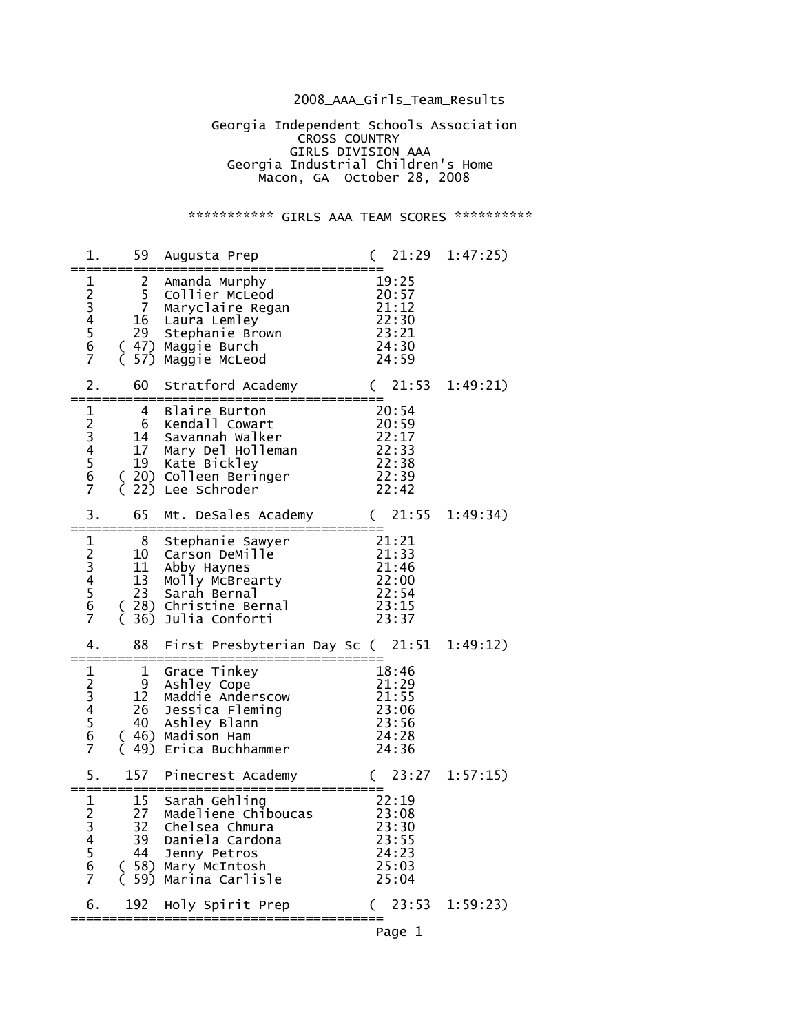## 2008\_AAA\_Girls\_Team\_Results

 Georgia Independent Schools Association **CROSS COUNTRY**  GIRLS DIVISION AAA Georgia Industrial Children's Home Macon, GA October 28, 2008

\*\*\*\*\*\*\*\*\*\*\*\* GIRLS AAA TEAM SCORES \*\*\*\*\*\*\*\*\*\*\*

| 1.                                           |                                | 59 Augusta Prep                                                                                                                                              | 21:29                                                                   | 1:47:25) |
|----------------------------------------------|--------------------------------|--------------------------------------------------------------------------------------------------------------------------------------------------------------|-------------------------------------------------------------------------|----------|
| $\mathbf 1$<br>23456<br>$\overline{7}$       | $\mathbf{2}$<br>$\overline{7}$ | Amanda Murphy<br>5 Collier McLeod<br>Maryclaire Regan<br>16 Laura Lemley<br>29 Stephanie Brown<br>( 47) Maggie Burch<br>57) Maggie McLeod                    | 19:25<br>$\frac{1}{20:57}$<br>21:12<br>22:30<br>23:21<br>24:30<br>24:59 |          |
| 2.                                           | 60                             | Stratford Academy                                                                                                                                            | 21:53<br>$\left($                                                       | 1:49:21) |
| $\mathbf 1$<br>23456<br>$\overline{7}$       | 4<br>6<br>17                   | Blaire Burton<br>Kendall Cowart<br>14 Savannah Walker<br>Mary Del Holleman<br>19 Kate Bickley<br>( 20) Colleen Beringer<br>22) Lee Schroder                  | 20:54<br>$\frac{20}{22}:17$<br>22:33<br>22:38<br>22:39<br>22:42         |          |
| 3.                                           | 65                             | Mt. DeSales Academy                                                                                                                                          | (21:55)                                                                 | 1:49:34) |
| $\mathbf 1$<br>234567                        | 8<br>11                        | Stephanie Sawyer<br>10 Carson DeMille<br>Abby Haynes<br>13 Molly McBrea<br>23 Sarah Bernal<br>Molly McBrearty<br>(28) Christine Bernal<br>36) Julia Conforti | 21:21<br>21:33<br>21:46<br>22:00<br>22:54<br>23:15<br>23:37             |          |
| 4.                                           | 88                             | First Presbyterian Day Sc (21:51                                                                                                                             |                                                                         | 1:49:12) |
| $\frac{1}{2}$ 3 4 5 6<br>$\overline{7}$      | =========<br>1<br>C            | Grace Tinkey<br>9 Ashley Cope<br>12 Maddie Anderscow<br>26 Jessica Fleming<br>40 Ashley Blann<br>(46) Madison Ham<br>49) Erica Buchhammer                    | 18:46<br>21:29<br>21:55<br>23:06<br>23:56<br>24:28<br>24:36             |          |
| 5.                                           |                                | 157 Pinecrest Academy<br>==========                                                                                                                          | (23:27)                                                                 | 1:57:15) |
| 1<br>$\overline{c}$<br>3<br>4<br>5<br>6<br>7 | 15<br>27<br>44                 | Sarah Gehling<br>Madeliene Chiboucas<br>32 Chelsea Chmura<br>39 Daniela Cardona<br>Jenny Petros<br>(58) Mary McIntosh<br>( 59) Marina Carlisle               | 22:19<br>23:08<br>23:30<br>23:55<br>24:23<br>25:03<br>25:04             |          |
| 6.                                           |                                | 192 Holy Spirit Prep                                                                                                                                         | $(23:53 \t1:59:23)$                                                     |          |
|                                              |                                |                                                                                                                                                              | Page 1                                                                  |          |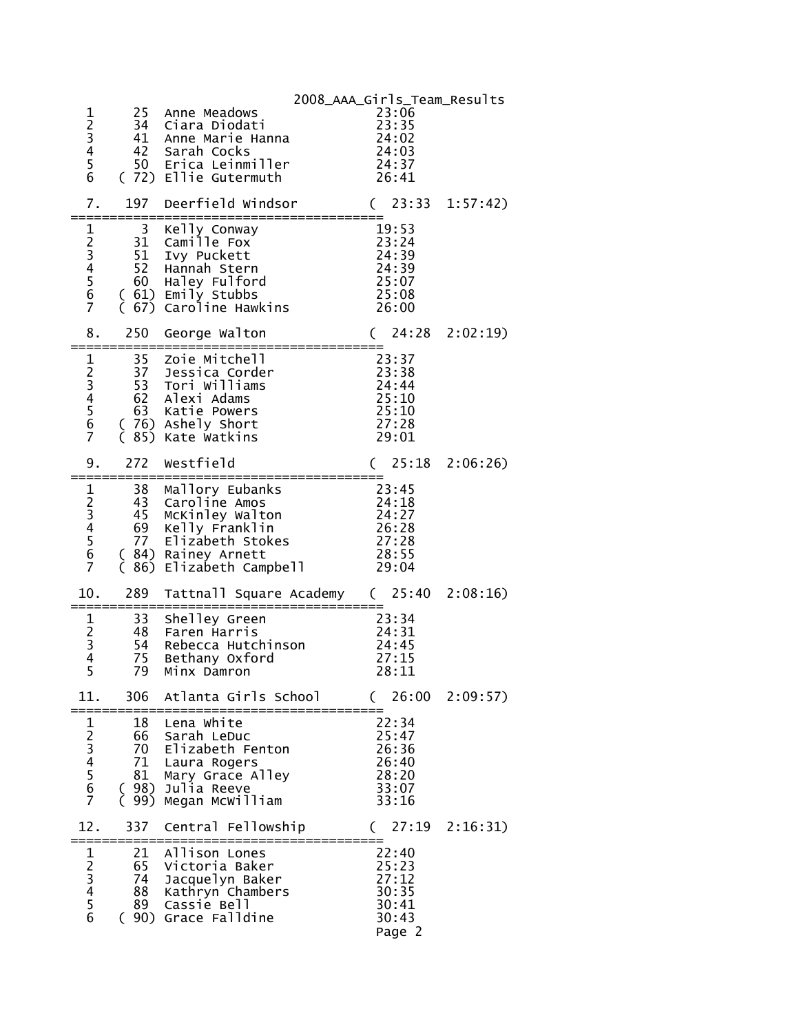| $\frac{1}{2}$<br>$\frac{3}{4}$<br>5<br>6 |                | 25 Anne Meadows<br>34 Ciara Diodati<br>41 Anne Marie Hanna<br>42 Sarah Cocks<br>50 Erica Leinmiller<br>מזוים ה-Fllie Gutermuth<br>(72) Ellie Gutermuth                                                                                                                                                                 | 2008_AAA_Girls_Team_Results<br>23:06<br>$23:35$<br>24:02<br>24:03<br>24:37<br>26:41 |  |
|------------------------------------------|----------------|------------------------------------------------------------------------------------------------------------------------------------------------------------------------------------------------------------------------------------------------------------------------------------------------------------------------|-------------------------------------------------------------------------------------|--|
| 7.                                       | ===========    | 197 Deerfield Windsor                                                                                                                                                                                                                                                                                                  | $(23:33 \t1:57:42)$                                                                 |  |
| $\overline{7}$                           |                | 52 Hannah Stern<br>(67) Caroline Hawkins 26:00                                                                                                                                                                                                                                                                         | 19:53<br>23:24<br>24:39<br>$24:39$<br>$25:07$<br>$25:08$                            |  |
| 8.                                       | 250            | George Walton<br>==============================                                                                                                                                                                                                                                                                        | (24:28 2:02:19)                                                                     |  |
| $\overline{7}$                           |                | (85) Kate Watkins                                                                                                                                                                                                                                                                                                      | 27:28<br>29:01                                                                      |  |
| 9.                                       | 272            | Westfield                                                                                                                                                                                                                                                                                                              | (25:182:06:26)                                                                      |  |
| $\overline{6}$<br>$\overline{7}$         |                | ----------------------------------<br>1 38 Mallory Eubanks<br>2 43 Caroline Amos<br>3 45 McKinley Walton<br>4 69 Kelly Franklin<br>5 77 Elizabeth Stokes<br>69 Kelly Franklin 26:28<br>77 Elizabeth Stokes 27:28<br>84) Rainey Arnett 28:55<br>(84) Rainey Arnett<br>$\zeta$ 86) Elizabeth Campbell $\overline{29:04}$ | 23:45<br>24:18<br>24:27                                                             |  |
| 10.                                      | =============  | 289 Tattnall Square Academy (25:40 2:08:16)<br>. ________________________                                                                                                                                                                                                                                              |                                                                                     |  |
| $\overline{4}$<br>5                      | 75<br>79       | 1 33 Shelley Green<br>2 48 Faren Harris<br>3 54 Rebecca Hutch<br>Rebecca Hutchinson 24:45<br>Bethany Oxford<br>Minx Damron                                                                                                                                                                                             | 23:34<br>24:31<br>27:15<br>28:11                                                    |  |
| 11.                                      | 306            | Atlanta Girls School                                                                                                                                                                                                                                                                                                   | (26:002:09:57)                                                                      |  |
| 1234567                                  | 18<br>66<br>81 | Lena White<br>Sarah LeDuc<br>70 Elizabeth Fenton<br>71 Laura Rogers<br>Mary Grace Alley<br>(98) Julia Reeve<br>( 99) Megan McWilliam                                                                                                                                                                                   | 22:34<br>25:47<br>26:36<br>26:40<br>28:20<br>33:07<br>33:16                         |  |
| 12.                                      | 337            | Central Fellowship<br>=======================                                                                                                                                                                                                                                                                          | (27:192:16:31)                                                                      |  |
| $\mathbf{1}$<br>23456                    | 21<br>88       | Allison Lones<br>65 Victoria Baker<br>74 Jacquelyn Baker<br>Kathryn Chambers<br>89 Cassie Bell<br>(90) Grace Falldine                                                                                                                                                                                                  | 22:40<br>25:23<br>27:12<br>30:35<br>30:41<br>30:43<br>Page 2                        |  |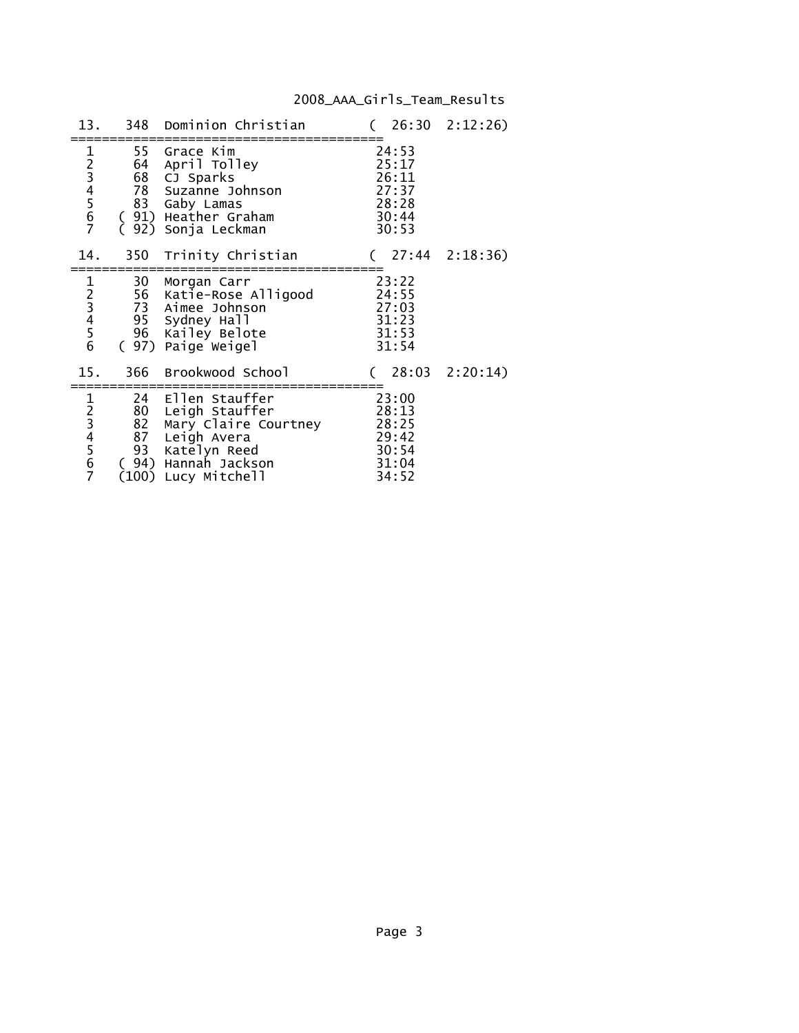# 2008\_AAA\_Girls\_Team\_Results

| 13.     |                  | 348 Dominion Christian                                                                                                                    |                                                             | (26:302:12:26)          |
|---------|------------------|-------------------------------------------------------------------------------------------------------------------------------------------|-------------------------------------------------------------|-------------------------|
| 1234567 |                  | 55 Grace Kim<br>64 April Tolley<br>68 CJ Sparks<br>78 Suzanne Johnson<br>83 Gaby Lamas<br>(91) Heather Graham<br>92) Sonja Leckman        | 24:53<br>25:17<br>26:11<br>27:37<br>28:28<br>30:44<br>30:53 |                         |
| 14.     |                  | 350 Trinity Christian                                                                                                                     |                                                             | $(27:44 \quad 2:18:36)$ |
| 123456  |                  | 30 Morgan Carr<br>56 Katie-Rose Alligood<br>73 Aimee Joh <u>ns</u> on<br>95 Sydney Hall<br>96 Kailey Belote<br>(97) Paige Weigel          | 23:22<br>24:55<br>27:03<br>31:23<br>31:53<br>31:54          |                         |
| 15.     |                  | 366 Brookwood School                                                                                                                      |                                                             | $(28:03 \t2:20:14)$     |
| 1234567 | 82<br>87<br>(94) | 24 Ellen Stauffer<br>80 Leigh Stauffer<br>Mary Claire Courtney<br>Leigh Avera<br>93 Katelyn Reed<br>Hannah Jackson<br>(100) Lucy Mitchell | 23:00<br>28:13<br>28:25<br>29:42<br>30:54<br>31:04<br>34:52 |                         |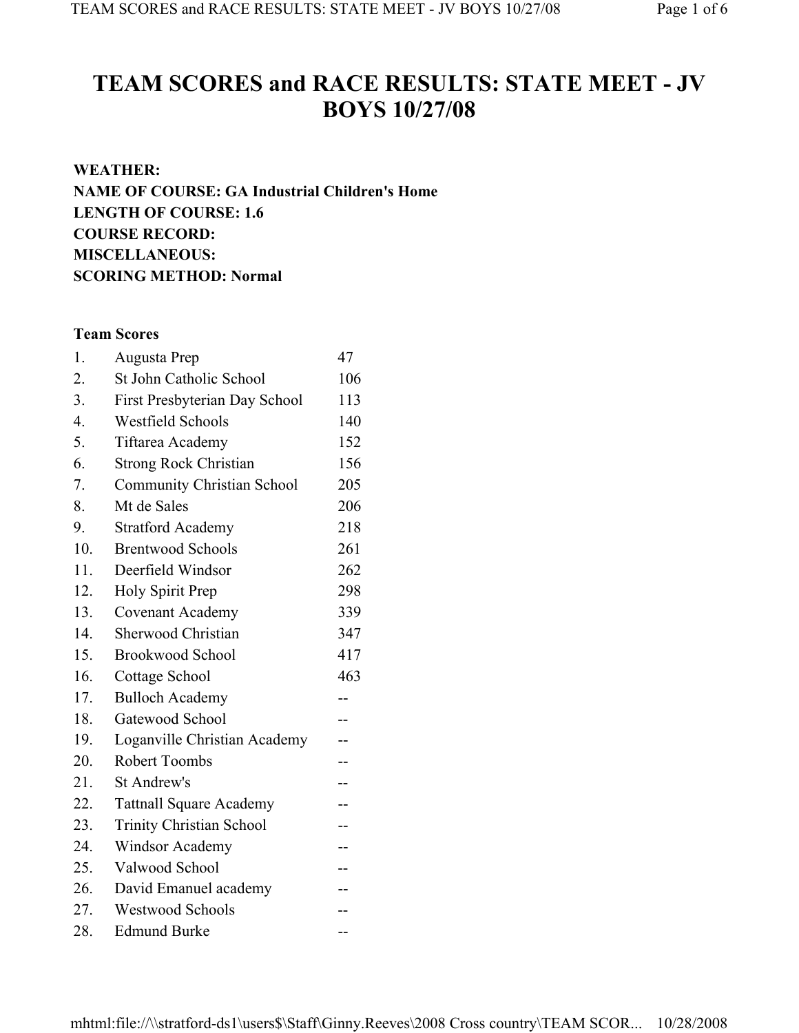# **TEAM SCORES and RACE RESULTS: STATE MEET - JV BOYS 10/27/08**

# **WEATHER: NAME OF COURSE: GA Industrial Children's Home LENGTH OF COURSE: 1.6 COURSE RECORD: MISCELLANEOUS: SCORING METHOD: Normal**

# **Team Scores**

| 1.               | Augusta Prep                      | 47  |
|------------------|-----------------------------------|-----|
| 2.               | St John Catholic School           | 106 |
| 3.               | First Presbyterian Day School     | 113 |
| $\overline{4}$ . | <b>Westfield Schools</b>          | 140 |
| 5.               | Tiftarea Academy                  | 152 |
| 6.               | <b>Strong Rock Christian</b>      | 156 |
| 7.               | <b>Community Christian School</b> | 205 |
| 8.               | Mt de Sales                       | 206 |
| 9.               | <b>Stratford Academy</b>          | 218 |
| 10.              | <b>Brentwood Schools</b>          | 261 |
| 11.              | Deerfield Windsor                 | 262 |
| 12.              | Holy Spirit Prep                  | 298 |
| 13.              | Covenant Academy                  | 339 |
| 14.              | Sherwood Christian                | 347 |
| 15.              | <b>Brookwood School</b>           | 417 |
| 16.              | Cottage School                    | 463 |
| 17.              | <b>Bulloch Academy</b>            | --  |
| 18.              | Gatewood School                   |     |
| 19.              | Loganville Christian Academy      | $-$ |
| 20.              | <b>Robert Toombs</b>              | --  |
| 21.              | St Andrew's                       | --  |
| 22.              | <b>Tattnall Square Academy</b>    | --  |
| 23.              | <b>Trinity Christian School</b>   | --  |
| 24.              | <b>Windsor Academy</b>            | --  |
| 25.              | Valwood School                    | --  |
| 26.              | David Emanuel academy             |     |
| 27.              | <b>Westwood Schools</b>           |     |
| 28.              | <b>Edmund Burke</b>               | --  |

mhtml:file://\\stratford-ds1\users\$\Staff\Ginny.Reeves\2008 Cross country\TEAM SCOR... 10/28/2008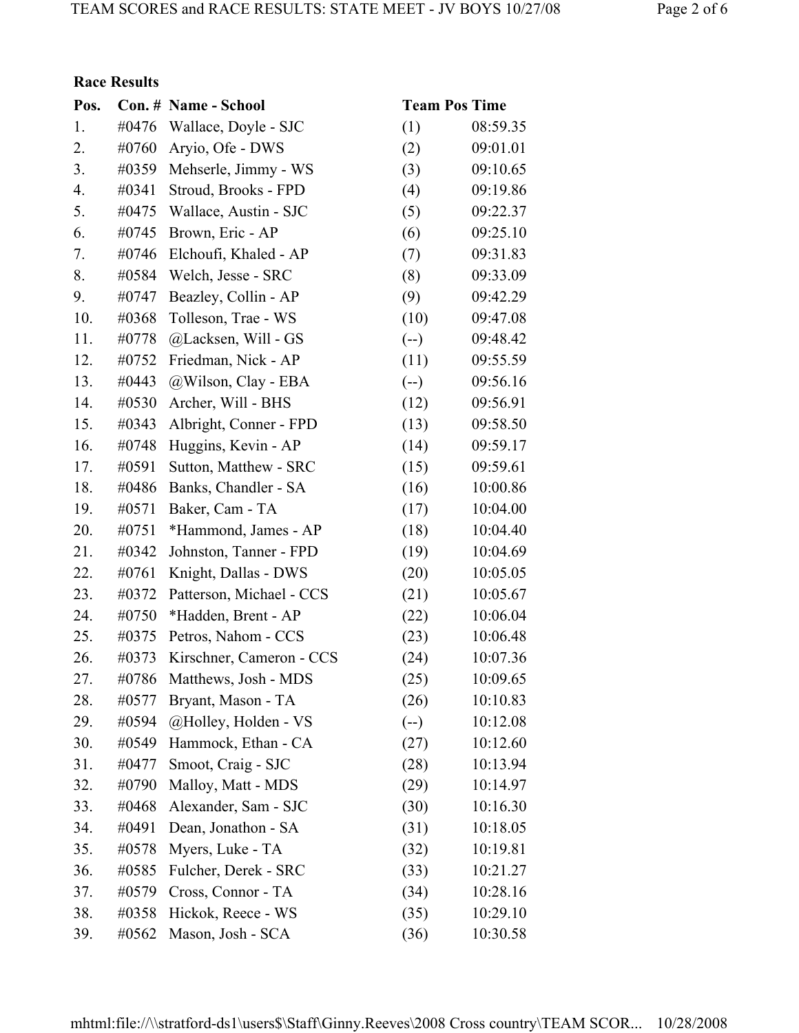# **Race Results**

| Pos. |       | Con. # Name - School       | <b>Team Pos Time</b> |          |
|------|-------|----------------------------|----------------------|----------|
| 1.   | #0476 | Wallace, Doyle - SJC       | (1)                  | 08:59.35 |
| 2.   | #0760 | Aryio, Ofe - DWS           | (2)                  | 09:01.01 |
| 3.   | #0359 | Mehserle, Jimmy - WS       | (3)                  | 09:10.65 |
| 4.   | #0341 | Stroud, Brooks - FPD       | (4)                  | 09:19.86 |
| 5.   | #0475 | Wallace, Austin - SJC      | (5)                  | 09:22.37 |
| 6.   | #0745 | Brown, Eric - AP           | (6)                  | 09:25.10 |
| 7.   | #0746 | Elchoufi, Khaled - AP      | (7)                  | 09:31.83 |
| 8.   | #0584 | Welch, Jesse - SRC         | (8)                  | 09:33.09 |
| 9.   | #0747 | Beazley, Collin - AP       | (9)                  | 09:42.29 |
| 10.  | #0368 | Tolleson, Trae - WS        | (10)                 | 09:47.08 |
| 11.  | #0778 | @Lacksen, Will - GS        | $(-)$                | 09:48.42 |
| 12.  | #0752 | Friedman, Nick - AP        | (11)                 | 09:55.59 |
| 13.  | #0443 | @Wilson, Clay - EBA        | $(-)$                | 09:56.16 |
| 14.  | #0530 | Archer, Will - BHS         | (12)                 | 09:56.91 |
| 15.  | #0343 | Albright, Conner - FPD     | (13)                 | 09:58.50 |
| 16.  | #0748 | Huggins, Kevin - AP        | (14)                 | 09:59.17 |
| 17.  | #0591 | Sutton, Matthew - SRC      | (15)                 | 09:59.61 |
| 18.  | #0486 | Banks, Chandler - SA       | (16)                 | 10:00.86 |
| 19.  | #0571 | Baker, Cam - TA            | (17)                 | 10:04.00 |
| 20.  | #0751 | *Hammond, James - AP       | (18)                 | 10:04.40 |
| 21.  | #0342 | Johnston, Tanner - FPD     | (19)                 | 10:04.69 |
| 22.  | #0761 | Knight, Dallas - DWS       | (20)                 | 10:05.05 |
| 23.  | #0372 | Patterson, Michael - CCS   | (21)                 | 10:05.67 |
| 24.  | #0750 | *Hadden, Brent - AP        | (22)                 | 10:06.04 |
| 25.  | #0375 | Petros, Nahom - CCS        | (23)                 | 10:06.48 |
| 26.  | #0373 | Kirschner, Cameron - CCS   | (24)                 | 10:07.36 |
| 27.  |       | #0786 Matthews, Josh - MDS | (25)                 | 10:09.65 |
| 28.  | #0577 | Bryant, Mason - TA         | (26)                 | 10:10.83 |
| 29.  | #0594 | @Holley, Holden - VS       | $(--)$               | 10:12.08 |
| 30.  | #0549 | Hammock, Ethan - CA        | (27)                 | 10:12.60 |
| 31.  | #0477 | Smoot, Craig - SJC         | (28)                 | 10:13.94 |
| 32.  | #0790 | Malloy, Matt - MDS         | (29)                 | 10:14.97 |
| 33.  | #0468 | Alexander, Sam - SJC       | (30)                 | 10:16.30 |
| 34.  | #0491 | Dean, Jonathon - SA        | (31)                 | 10:18.05 |
| 35.  | #0578 | Myers, Luke - TA           | (32)                 | 10:19.81 |
| 36.  | #0585 | Fulcher, Derek - SRC       | (33)                 | 10:21.27 |
| 37.  | #0579 | Cross, Connor - TA         | (34)                 | 10:28.16 |
| 38.  | #0358 | Hickok, Reece - WS         | (35)                 | 10:29.10 |
| 39.  | #0562 | Mason, Josh - SCA          | (36)                 | 10:30.58 |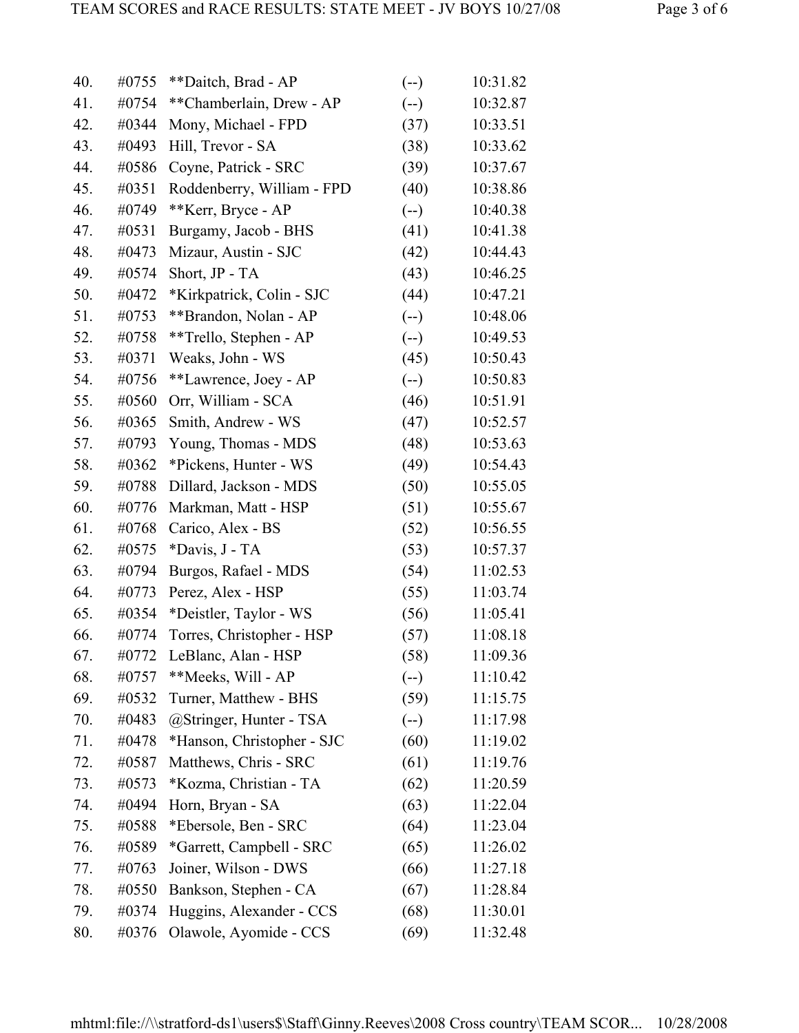| 40. | #0755 | **Daitch, Brad - AP        | $(-)$ | 10:31.82 |
|-----|-------|----------------------------|-------|----------|
| 41. | #0754 | **Chamberlain, Drew - AP   | $(-)$ | 10:32.87 |
| 42. | #0344 | Mony, Michael - FPD        | (37)  | 10:33.51 |
| 43. | #0493 | Hill, Trevor - SA          | (38)  | 10:33.62 |
| 44. | #0586 | Coyne, Patrick - SRC       | (39)  | 10:37.67 |
| 45. | #0351 | Roddenberry, William - FPD | (40)  | 10:38.86 |
| 46. | #0749 | **Kerr, Bryce - AP         | $(-)$ | 10:40.38 |
| 47. | #0531 | Burgamy, Jacob - BHS       | (41)  | 10:41.38 |
| 48. | #0473 | Mizaur, Austin - SJC       | (42)  | 10:44.43 |
| 49. | #0574 | Short, JP - TA             | (43)  | 10:46.25 |
| 50. | #0472 | *Kirkpatrick, Colin - SJC  | (44)  | 10:47.21 |
| 51. | #0753 | **Brandon, Nolan - AP      | $(-)$ | 10:48.06 |
| 52. | #0758 | **Trello, Stephen - AP     | $(-)$ | 10:49.53 |
| 53. | #0371 | Weaks, John - WS           | (45)  | 10:50.43 |
| 54. | #0756 | **Lawrence, Joey - AP      | $(-)$ | 10:50.83 |
| 55. | #0560 | Orr, William - SCA         | (46)  | 10:51.91 |
| 56. | #0365 | Smith, Andrew - WS         | (47)  | 10:52.57 |
| 57. | #0793 | Young, Thomas - MDS        | (48)  | 10:53.63 |
| 58. | #0362 | *Pickens, Hunter - WS      | (49)  | 10:54.43 |
| 59. | #0788 | Dillard, Jackson - MDS     | (50)  | 10:55.05 |
| 60. | #0776 | Markman, Matt - HSP        | (51)  | 10:55.67 |
| 61. | #0768 | Carico, Alex - BS          | (52)  | 10:56.55 |
| 62. | #0575 | *Davis, J - TA             | (53)  | 10:57.37 |
| 63. | #0794 | Burgos, Rafael - MDS       | (54)  | 11:02.53 |
| 64. | #0773 | Perez, Alex - HSP          | (55)  | 11:03.74 |
| 65. | #0354 | *Deistler, Taylor - WS     | (56)  | 11:05.41 |
| 66. | #0774 | Torres, Christopher - HSP  | (57)  | 11:08.18 |
| 67. | #0772 | LeBlanc, Alan - HSP        | (58)  | 11:09.36 |
| 68. | #0757 | **Meeks, Will - AP         | $(-)$ | 11:10.42 |
| 69. | #0532 | Turner, Matthew - BHS      | (59)  | 11:15.75 |
| 70. | #0483 | @Stringer, Hunter - TSA    | $(-)$ | 11:17.98 |
| 71. | #0478 | *Hanson, Christopher - SJC | (60)  | 11:19.02 |
| 72. | #0587 | Matthews, Chris - SRC      | (61)  | 11:19.76 |
| 73. | #0573 | *Kozma, Christian - TA     | (62)  | 11:20.59 |
| 74. | #0494 | Horn, Bryan - SA           | (63)  | 11:22.04 |
| 75. | #0588 | *Ebersole, Ben - SRC       | (64)  | 11:23.04 |
| 76. | #0589 | *Garrett, Campbell - SRC   | (65)  | 11:26.02 |
| 77. | #0763 | Joiner, Wilson - DWS       | (66)  | 11:27.18 |
| 78. | #0550 | Bankson, Stephen - CA      | (67)  | 11:28.84 |
| 79. | #0374 | Huggins, Alexander - CCS   | (68)  | 11:30.01 |
| 80. | #0376 | Olawole, Ayomide - CCS     | (69)  | 11:32.48 |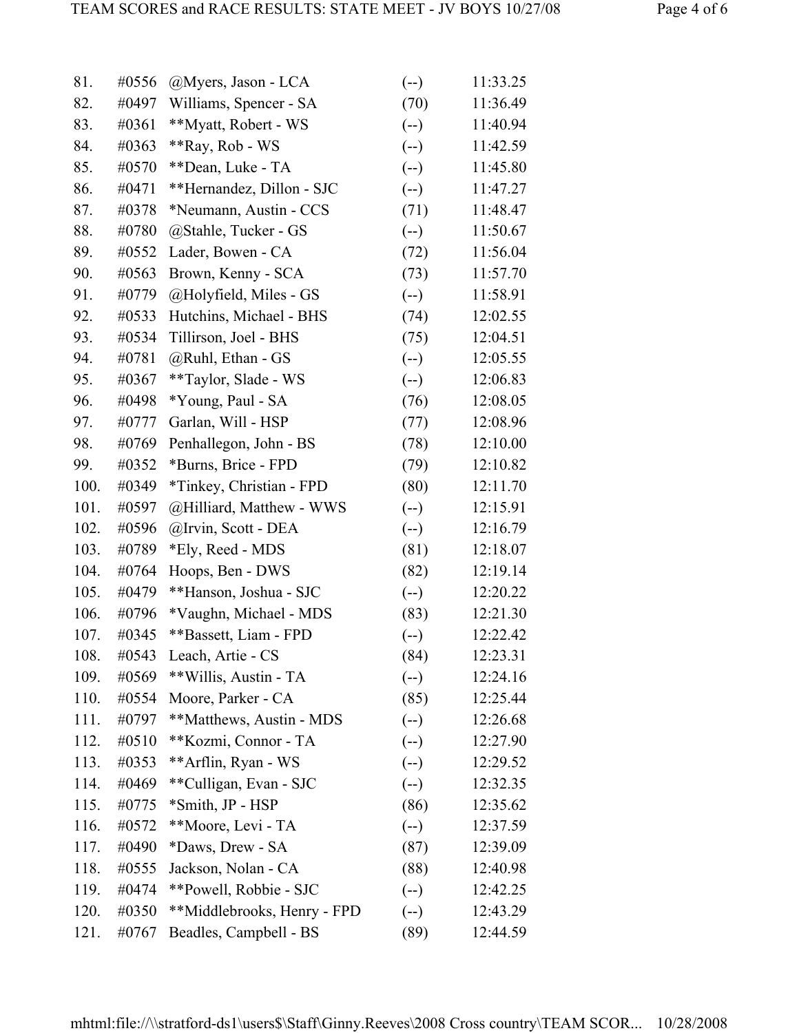| 81.  | #0556 | @Myers, Jason - LCA         | $(-)$ | 11:33.25 |
|------|-------|-----------------------------|-------|----------|
| 82.  | #0497 | Williams, Spencer - SA      | (70)  | 11:36.49 |
| 83.  | #0361 | **Myatt, Robert - WS        | $(-)$ | 11:40.94 |
| 84.  | #0363 | **Ray, Rob - WS             | $(-)$ | 11:42.59 |
| 85.  | #0570 | **Dean, Luke - TA           | $(-)$ | 11:45.80 |
| 86.  | #0471 | **Hernandez, Dillon - SJC   | $(-)$ | 11:47.27 |
| 87.  | #0378 | *Neumann, Austin - CCS      | (71)  | 11:48.47 |
| 88.  | #0780 | @Stahle, Tucker - GS        | $(-)$ | 11:50.67 |
| 89.  | #0552 | Lader, Bowen - CA           | (72)  | 11:56.04 |
| 90.  | #0563 | Brown, Kenny - SCA          | (73)  | 11:57.70 |
| 91.  | #0779 | @Holyfield, Miles - GS      | $(-)$ | 11:58.91 |
| 92.  | #0533 | Hutchins, Michael - BHS     | (74)  | 12:02.55 |
| 93.  | #0534 | Tillirson, Joel - BHS       | (75)  | 12:04.51 |
| 94.  | #0781 | @Ruhl, Ethan - GS           | $(-)$ | 12:05.55 |
| 95.  | #0367 | **Taylor, Slade - WS        | $(-)$ | 12:06.83 |
| 96.  | #0498 | *Young, Paul - SA           | (76)  | 12:08.05 |
| 97.  | #0777 | Garlan, Will - HSP          | (77)  | 12:08.96 |
| 98.  | #0769 | Penhallegon, John - BS      | (78)  | 12:10.00 |
| 99.  | #0352 | *Burns, Brice - FPD         | (79)  | 12:10.82 |
| 100. | #0349 | *Tinkey, Christian - FPD    | (80)  | 12:11.70 |
| 101. | #0597 | @Hilliard, Matthew - WWS    | $(-)$ | 12:15.91 |
| 102. | #0596 | @Irvin, Scott - DEA         | $(-)$ | 12:16.79 |
| 103. | #0789 | *Ely, Reed - MDS            | (81)  | 12:18.07 |
| 104. | #0764 | Hoops, Ben - DWS            | (82)  | 12:19.14 |
| 105. | #0479 | **Hanson, Joshua - SJC      | $(-)$ | 12:20.22 |
| 106. | #0796 | *Vaughn, Michael - MDS      | (83)  | 12:21.30 |
| 107. | #0345 | **Bassett, Liam - FPD       | $(-)$ | 12:22.42 |
| 108. | #0543 | Leach, Artie - CS           | (84)  | 12:23.31 |
| 109. | #0569 | **Willis, Austin - TA       | $(-)$ | 12:24.16 |
| 110. | #0554 | Moore, Parker - CA          | (85)  | 12:25.44 |
| 111. | #0797 | **Matthews, Austin - MDS    | $(-)$ | 12:26.68 |
| 112. | #0510 | **Kozmi, Connor - TA        | $(-)$ | 12:27.90 |
| 113. | #0353 | **Arflin, Ryan - WS         | $(-)$ | 12:29.52 |
| 114. | #0469 | **Culligan, Evan - SJC      | $(-)$ | 12:32.35 |
| 115. | #0775 | *Smith, JP - HSP            | (86)  | 12:35.62 |
| 116. | #0572 | **Moore, Levi - TA          | $(-)$ | 12:37.59 |
| 117. | #0490 | *Daws, Drew - SA            | (87)  | 12:39.09 |
| 118. | #0555 | Jackson, Nolan - CA         | (88)  | 12:40.98 |
| 119. | #0474 | **Powell, Robbie - SJC      | $(-)$ | 12:42.25 |
| 120. | #0350 | **Middlebrooks, Henry - FPD | $(-)$ | 12:43.29 |
| 121. | #0767 | Beadles, Campbell - BS      | (89)  | 12:44.59 |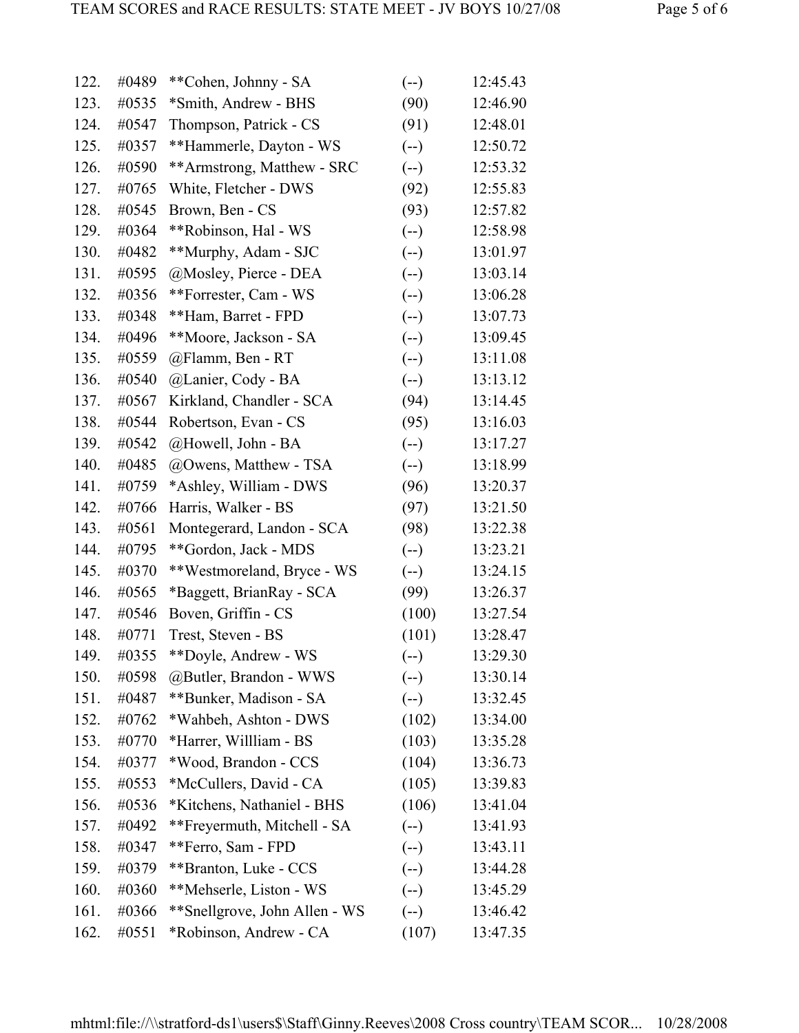| 122. | #0489 | **Cohen, Johnny - SA          | $(-)$  | 12:45.43 |
|------|-------|-------------------------------|--------|----------|
| 123. | #0535 | *Smith, Andrew - BHS          | (90)   | 12:46.90 |
| 124. | #0547 | Thompson, Patrick - CS        | (91)   | 12:48.01 |
| 125. | #0357 | **Hammerle, Dayton - WS       | $(-)$  | 12:50.72 |
| 126. | #0590 | **Armstrong, Matthew - SRC    | $(-)$  | 12:53.32 |
| 127. | #0765 | White, Fletcher - DWS         | (92)   | 12:55.83 |
| 128. | #0545 | Brown, Ben - CS               | (93)   | 12:57.82 |
| 129. | #0364 | **Robinson, Hal - WS          | $(-)$  | 12:58.98 |
| 130. | #0482 | **Murphy, Adam - SJC          | $(-)$  | 13:01.97 |
| 131. | #0595 | @Mosley, Pierce - DEA         | $(-)$  | 13:03.14 |
| 132. | #0356 | **Forrester, Cam - WS         | $(-)$  | 13:06.28 |
| 133. | #0348 | **Ham, Barret - FPD           | $(-)$  | 13:07.73 |
| 134. | #0496 | **Moore, Jackson - SA         | $(-)$  | 13:09.45 |
| 135. | #0559 | @Flamm, Ben - RT              | $(-)$  | 13:11.08 |
| 136. | #0540 | @Lanier, Cody - BA            | $(-)$  | 13:13.12 |
| 137. | #0567 | Kirkland, Chandler - SCA      | (94)   | 13:14.45 |
| 138. | #0544 | Robertson, Evan - CS          | (95)   | 13:16.03 |
| 139. | #0542 | @Howell, John - BA            | $(-)$  | 13:17.27 |
| 140. | #0485 | @Owens, Matthew - TSA         | $(-)$  | 13:18.99 |
| 141. | #0759 | *Ashley, William - DWS        | (96)   | 13:20.37 |
| 142. | #0766 | Harris, Walker - BS           | (97)   | 13:21.50 |
| 143. | #0561 | Montegerard, Landon - SCA     | (98)   | 13:22.38 |
| 144. | #0795 | **Gordon, Jack - MDS          | $(-)$  | 13:23.21 |
| 145. | #0370 | **Westmoreland, Bryce - WS    | $(-)$  | 13:24.15 |
| 146. | #0565 | *Baggett, BrianRay - SCA      | (99)   | 13:26.37 |
| 147. | #0546 | Boven, Griffin - CS           | (100)  | 13:27.54 |
| 148. | #0771 | Trest, Steven - BS            | (101)  | 13:28.47 |
| 149. | #0355 | **Doyle, Andrew - WS          | $(--)$ | 13:29.30 |
| 150. | #0598 | @Butler, Brandon - WWS        | $(-)$  | 13:30.14 |
| 151. | #0487 | **Bunker, Madison - SA        | $(-)$  | 13:32.45 |
| 152. | #0762 | *Wahbeh, Ashton - DWS         | (102)  | 13:34.00 |
| 153. | #0770 | *Harrer, Willliam - BS        | (103)  | 13:35.28 |
| 154. | #0377 | *Wood, Brandon - CCS          | (104)  | 13:36.73 |
| 155. | #0553 | *McCullers, David - CA        | (105)  | 13:39.83 |
| 156. | #0536 | *Kitchens, Nathaniel - BHS    | (106)  | 13:41.04 |
| 157. | #0492 | **Freyermuth, Mitchell - SA   | $(-)$  | 13:41.93 |
| 158. | #0347 | **Ferro, Sam - FPD            | $(-)$  | 13:43.11 |
| 159. | #0379 | **Branton, Luke - CCS         | $(-)$  | 13:44.28 |
| 160. | #0360 | **Mehserle, Liston - WS       | $(-)$  | 13:45.29 |
| 161. | #0366 | **Snellgrove, John Allen - WS | $(-)$  | 13:46.42 |
| 162. | #0551 | *Robinson, Andrew - CA        | (107)  | 13:47.35 |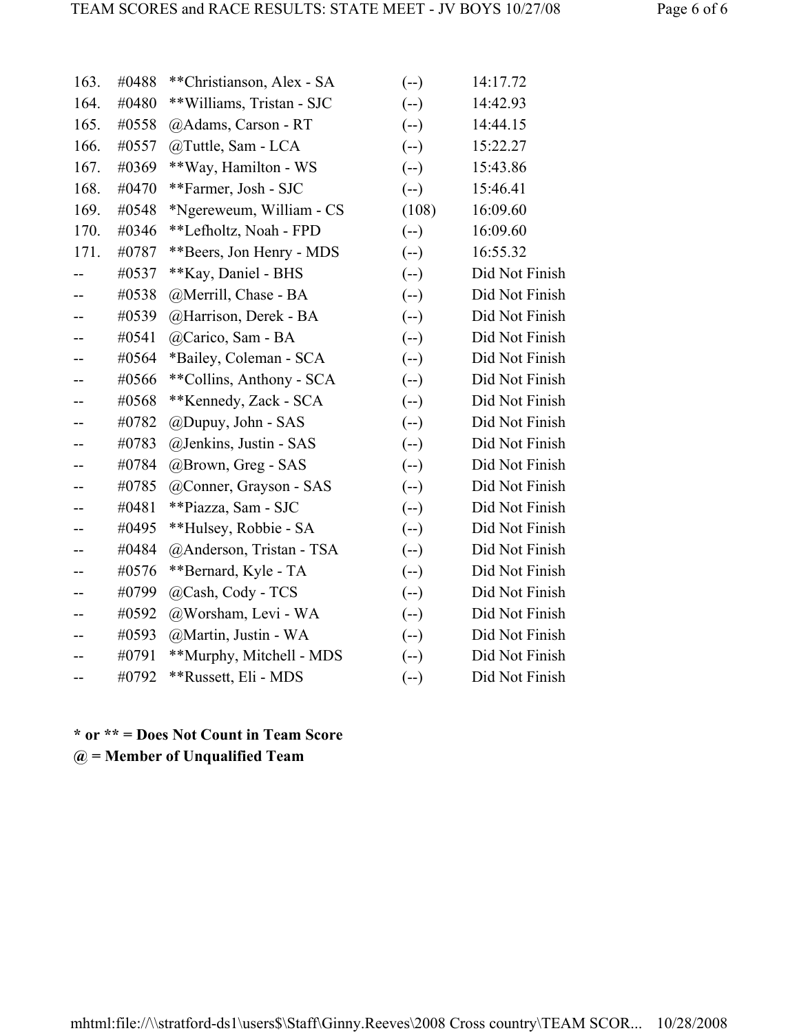| 163.                     | #0488 | **Christianson, Alex - SA | $(-)$ | 14:17.72       |
|--------------------------|-------|---------------------------|-------|----------------|
| 164.                     | #0480 | **Williams, Tristan - SJC | $(-)$ | 14:42.93       |
| 165.                     | #0558 | @Adams, Carson - RT       | $(-)$ | 14:44.15       |
| 166.                     | #0557 | @Tuttle, Sam - LCA        | $(-)$ | 15:22.27       |
| 167.                     | #0369 | **Way, Hamilton - WS      | $(-)$ | 15:43.86       |
| 168.                     | #0470 | **Farmer, Josh - SJC      | $(-)$ | 15:46.41       |
| 169.                     | #0548 | *Ngereweum, William - CS  | (108) | 16:09.60       |
| 170.                     | #0346 | **Lefholtz, Noah - FPD    | $(-)$ | 16:09.60       |
| 171.                     | #0787 | **Beers, Jon Henry - MDS  | $(-)$ | 16:55.32       |
|                          | #0537 | **Kay, Daniel - BHS       | $(-)$ | Did Not Finish |
| --                       | #0538 | @Merrill, Chase - BA      | $(-)$ | Did Not Finish |
|                          | #0539 | @Harrison, Derek - BA     | $(-)$ | Did Not Finish |
| $-$                      | #0541 | @Carico, Sam - BA         | $(-)$ | Did Not Finish |
|                          | #0564 | *Bailey, Coleman - SCA    | $(-)$ | Did Not Finish |
|                          | #0566 | **Collins, Anthony - SCA  | $(-)$ | Did Not Finish |
| $-$                      | #0568 | **Kennedy, Zack - SCA     | $(-)$ | Did Not Finish |
|                          | #0782 | @Dupuy, John - SAS        | $(-)$ | Did Not Finish |
|                          | #0783 | @Jenkins, Justin - SAS    | $(-)$ | Did Not Finish |
|                          | #0784 | @Brown, Greg - SAS        | $(-)$ | Did Not Finish |
| --                       | #0785 | @Conner, Grayson - SAS    | $(-)$ | Did Not Finish |
|                          | #0481 | **Piazza, Sam - SJC       | $(-)$ | Did Not Finish |
|                          | #0495 | **Hulsey, Robbie - SA     | $(-)$ | Did Not Finish |
| --                       | #0484 | @Anderson, Tristan - TSA  | $(-)$ | Did Not Finish |
|                          | #0576 | **Bernard, Kyle - TA      | $(-)$ | Did Not Finish |
|                          | #0799 | @Cash, Cody - TCS         | $(-)$ | Did Not Finish |
| $\overline{\phantom{m}}$ | #0592 | @Worsham, Levi - WA       | $(-)$ | Did Not Finish |
|                          | #0593 | @Martin, Justin - WA      | $(-)$ | Did Not Finish |
|                          | #0791 | **Murphy, Mitchell - MDS  | $(-)$ | Did Not Finish |
|                          | #0792 | **Russett, Eli - MDS      | $(-)$ | Did Not Finish |

**\* or \*\* = Does Not Count in Team Score @ = Member of Unqualified Team**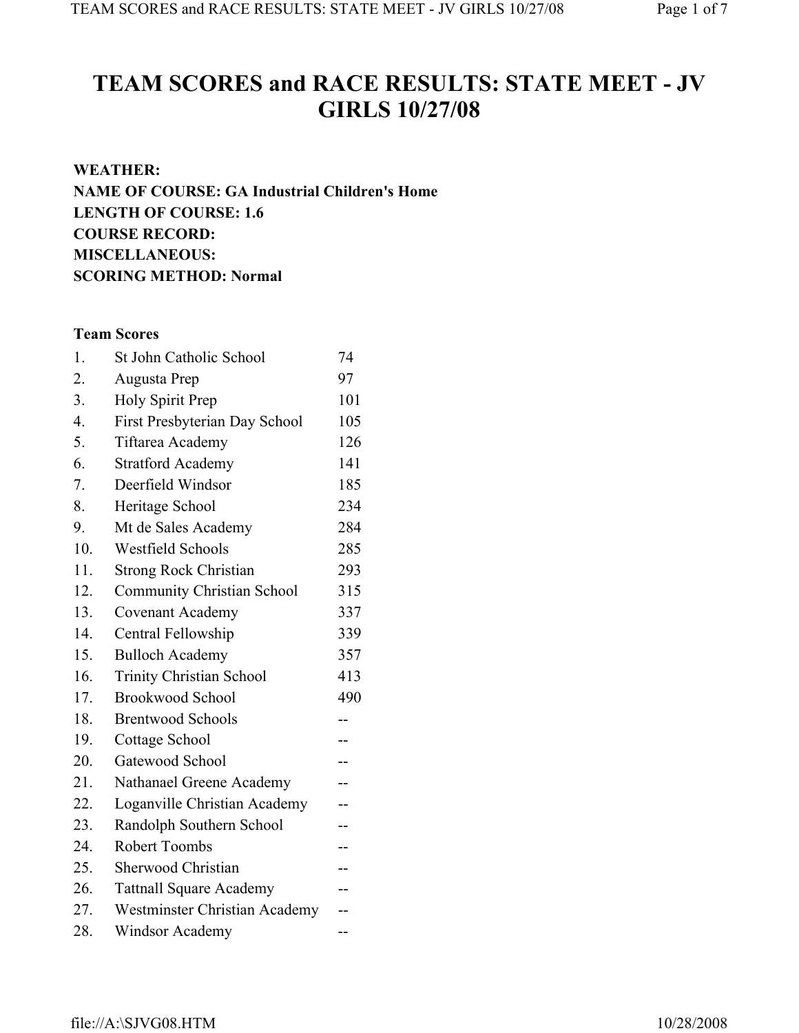# **TEAM SCORES and RACE RESULTS: STATE MEET - JV GIRLS 10/27/08**

# **WEATHER: NAME OF COURSE: GA Industrial Children's Home LENGTH OF COURSE: 1.6 COURSE RECORD: MISCELLANEOUS: SCORING METHOD: Normal**

# **Team Scores**

| 1.               | St John Catholic School           | 74  |
|------------------|-----------------------------------|-----|
| 2.               | Augusta Prep                      | 97  |
| 3.               | <b>Holy Spirit Prep</b>           | 101 |
| $\overline{4}$ . | First Presbyterian Day School     | 105 |
| 5.               | Tiftarea Academy                  | 126 |
| 6.               | <b>Stratford Academy</b>          | 141 |
| 7.               | Deerfield Windsor                 | 185 |
| 8.               | Heritage School                   | 234 |
| 9.               | Mt de Sales Academy               | 284 |
| 10.              | <b>Westfield Schools</b>          | 285 |
| 11.              | <b>Strong Rock Christian</b>      | 293 |
| 12.              | <b>Community Christian School</b> | 315 |
| 13.              | <b>Covenant Academy</b>           | 337 |
| 14.              | Central Fellowship                | 339 |
| 15.              | <b>Bulloch Academy</b>            | 357 |
| 16.              | <b>Trinity Christian School</b>   | 413 |
| 17.              | <b>Brookwood School</b>           | 490 |
| 18.              | <b>Brentwood Schools</b>          |     |
| 19.              | Cottage School                    | --  |
| 20.              | Gatewood School                   | --  |
| 21.              | Nathanael Greene Academy          |     |
| 22.              | Loganville Christian Academy      | --  |
| 23.              | Randolph Southern School          | --  |
| 24.              | Robert Toombs                     | --  |
| 25.              | <b>Sherwood Christian</b>         | --  |
| 26.              | <b>Tattnall Square Academy</b>    |     |
| 27.              | Westminster Christian Academy     |     |
| 28.              | <b>Windsor Academy</b>            |     |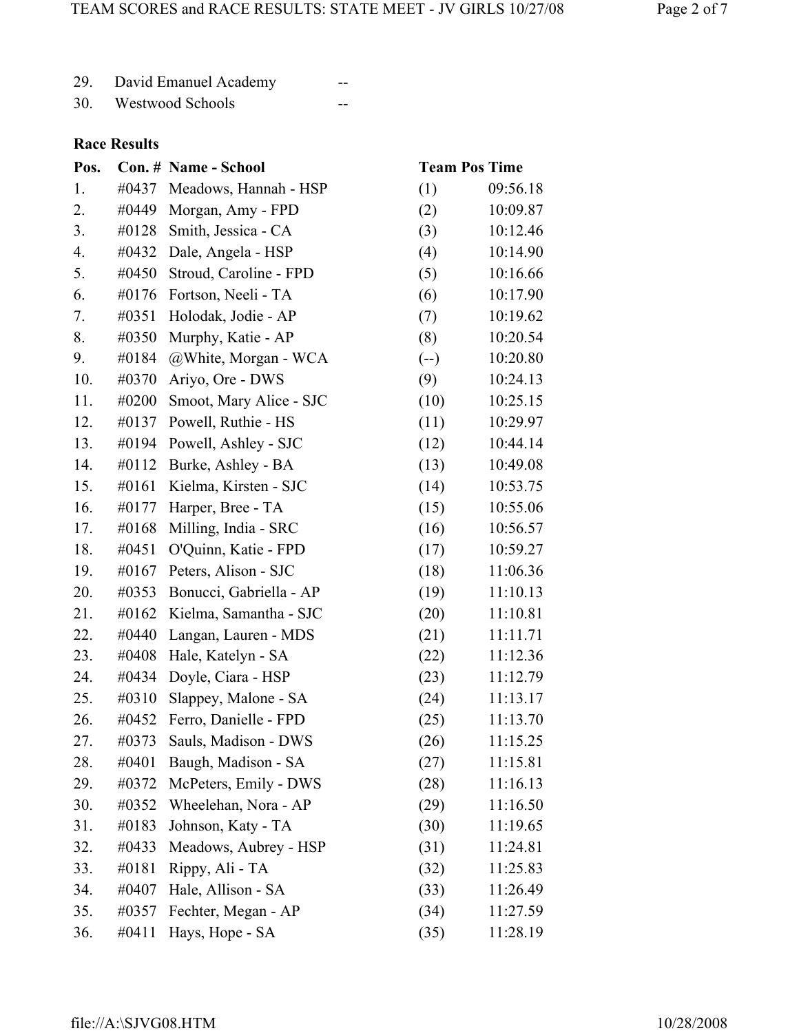| 29. | David Emanuel Academy |  |
|-----|-----------------------|--|
|     |                       |  |

30. Westwood Schools --

# **Race Results**

| Pos. |       | Con. # Name - School    | <b>Team Pos Time</b> |          |
|------|-------|-------------------------|----------------------|----------|
| 1.   | #0437 | Meadows, Hannah - HSP   | (1)                  | 09:56.18 |
| 2.   | #0449 | Morgan, Amy - FPD       | (2)                  | 10:09.87 |
| 3.   | #0128 | Smith, Jessica - CA     | (3)                  | 10:12.46 |
| 4.   | #0432 | Dale, Angela - HSP      | (4)                  | 10:14.90 |
| 5.   | #0450 | Stroud, Caroline - FPD  | (5)                  | 10:16.66 |
| 6.   | #0176 | Fortson, Neeli - TA     | (6)                  | 10:17.90 |
| 7.   | #0351 | Holodak, Jodie - AP     | (7)                  | 10:19.62 |
| 8.   | #0350 | Murphy, Katie - AP      | (8)                  | 10:20.54 |
| 9.   | #0184 | @White, Morgan - WCA    | $(-)$                | 10:20.80 |
| 10.  | #0370 | Ariyo, Ore - DWS        | (9)                  | 10:24.13 |
| 11.  | #0200 | Smoot, Mary Alice - SJC | (10)                 | 10:25.15 |
| 12.  | #0137 | Powell, Ruthie - HS     | (11)                 | 10:29.97 |
| 13.  | #0194 | Powell, Ashley - SJC    | (12)                 | 10:44.14 |
| 14.  | #0112 | Burke, Ashley - BA      | (13)                 | 10:49.08 |
| 15.  | #0161 | Kielma, Kirsten - SJC   | (14)                 | 10:53.75 |
| 16.  | #0177 | Harper, Bree - TA       | (15)                 | 10:55.06 |
| 17.  | #0168 | Milling, India - SRC    | (16)                 | 10:56.57 |
| 18.  | #0451 | O'Quinn, Katie - FPD    | (17)                 | 10:59.27 |
| 19.  | #0167 | Peters, Alison - SJC    | (18)                 | 11:06.36 |
| 20.  | #0353 | Bonucci, Gabriella - AP | (19)                 | 11:10.13 |
| 21.  | #0162 | Kielma, Samantha - SJC  | (20)                 | 11:10.81 |
| 22.  | #0440 | Langan, Lauren - MDS    | (21)                 | 11:11.71 |
| 23.  | #0408 | Hale, Katelyn - SA      | (22)                 | 11:12.36 |
| 24.  | #0434 | Doyle, Ciara - HSP      | (23)                 | 11:12.79 |
| 25.  | #0310 | Slappey, Malone - SA    | (24)                 | 11:13.17 |
| 26.  | #0452 | Ferro, Danielle - FPD   | (25)                 | 11:13.70 |
| 27.  | #0373 | Sauls, Madison - DWS    | (26)                 | 11:15.25 |
| 28.  | #0401 | Baugh, Madison - SA     | (27)                 | 11:15.81 |
| 29.  | #0372 | McPeters, Emily - DWS   | (28)                 | 11:16.13 |
| 30.  | #0352 | Wheelehan, Nora - AP    | (29)                 | 11:16.50 |
| 31.  | #0183 | Johnson, Katy - TA      | (30)                 | 11:19.65 |
| 32.  | #0433 | Meadows, Aubrey - HSP   | (31)                 | 11:24.81 |
| 33.  | #0181 | Rippy, Ali - TA         | (32)                 | 11:25.83 |
| 34.  | #0407 | Hale, Allison - SA      | (33)                 | 11:26.49 |
| 35.  | #0357 | Fechter, Megan - AP     | (34)                 | 11:27.59 |
| 36.  | #0411 | Hays, Hope - SA         | (35)                 | 11:28.19 |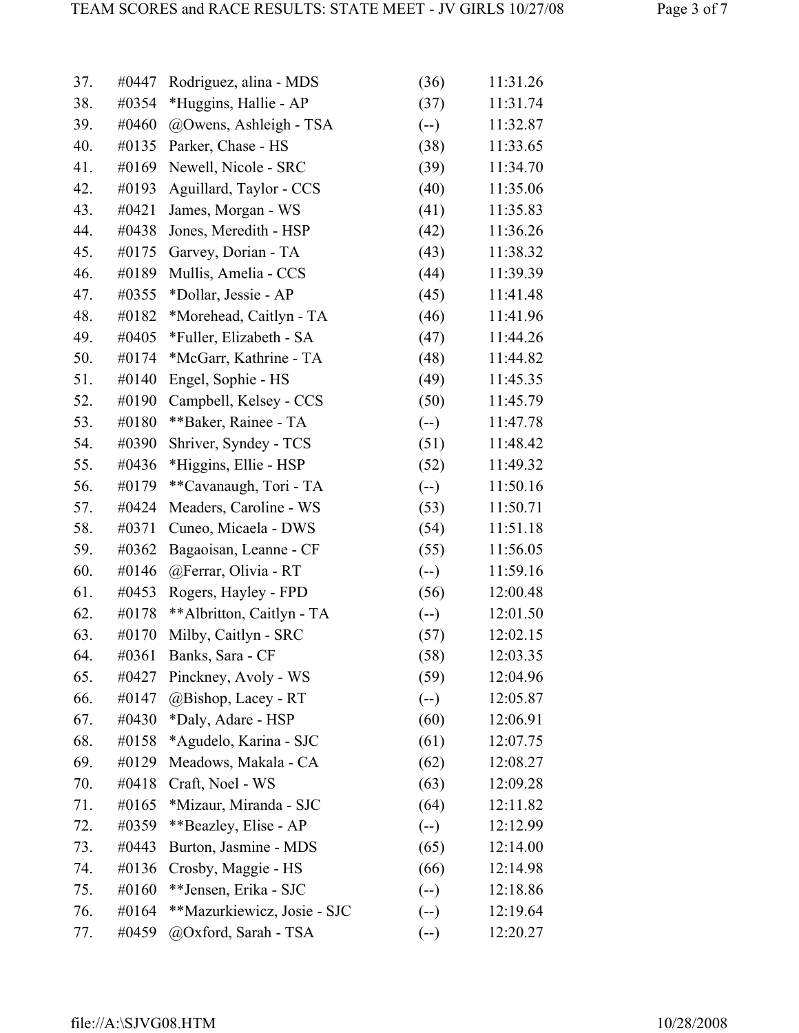| 37.        | #0447 | Rodriguez, alina - MDS         | (36)   | 11:31.26   |
|------------|-------|--------------------------------|--------|------------|
| 38.        | #0354 | *Huggins, Hallie - AP          | (37)   | 11:31.74   |
| 39.        | #0460 | @Owens, Ashleigh - TSA         | $(-)$  | 11:32.87   |
| 40.        | #0135 | Parker, Chase - HS             | (38)   | 11:33.65   |
| 41.        | #0169 | Newell, Nicole - SRC           | (39)   | 11:34.70   |
| 42.        | #0193 | Aguillard, Taylor - CCS        | (40)   | 11:35.06   |
| 43.        | #0421 | James, Morgan - WS             | (41)   | 11:35.83   |
| 44.        | #0438 | Jones, Meredith - HSP          | (42)   | 11:36.26   |
| 45.        | #0175 | Garvey, Dorian - TA            | (43)   | 11:38.32   |
| 46.        | #0189 | Mullis, Amelia - CCS           | (44)   | 11:39.39   |
| 47.        | #0355 | *Dollar, Jessie - AP           | (45)   | 11:41.48   |
| 48.        | #0182 | *Morehead, Caitlyn - TA        | (46)   | 11:41.96   |
| 49.        | #0405 | *Fuller, Elizabeth - SA        | (47)   | 11:44.26   |
| 50.        | #0174 | *McGarr, Kathrine - TA         | (48)   | 11:44.82   |
| 51.        | #0140 | Engel, Sophie - HS             | (49)   | 11:45.35   |
| 52.        | #0190 | Campbell, Kelsey - CCS         | (50)   | 11:45.79   |
| 53.        | #0180 | **Baker, Rainee - TA           | $(--)$ | 11:47.78   |
| 54.        | #0390 | Shriver, Syndey - TCS          | (51)   | 11:48.42   |
| 55.        | #0436 | *Higgins, Ellie - HSP          | (52)   | 11:49.32   |
| 56.        | #0179 | **Cavanaugh, Tori - TA         | $(-)$  | 11:50.16   |
| 57.        | #0424 | Meaders, Caroline - WS         | (53)   | 11:50.71   |
| 58.        | #0371 | Cuneo, Micaela - DWS           | (54)   | 11:51.18   |
| 59.        | #0362 | Bagaoisan, Leanne - CF         | (55)   | 11:56.05   |
| 60.        | #0146 | @Ferrar, Olivia - RT           | $(--)$ | 11:59.16   |
| 61.        | #0453 | Rogers, Hayley - FPD           | (56)   | 12:00.48   |
| 62.        | #0178 | ** Albritton, Caitlyn - TA     | $(-)$  | 12:01.50   |
| $\epsilon$ |       | $\mu$ 0170 Miller Caitlers CDC | (57)   | 10.00 $15$ |

| 63. |       | #0170 Milby, Caitlyn - SRC     | (57)   | 12:02.15 |
|-----|-------|--------------------------------|--------|----------|
| 64. |       | $\#0361$ Banks, Sara - CF      | (58)   | 12:03.35 |
| 65. |       | #0427 Pinckney, Avoly - WS     | (59)   | 12:04.96 |
| 66. | #0147 | @Bishop, Lacey - RT            | $(--)$ | 12:05.87 |
| 67. |       | $\#0430$ *Daly, Adare - HSP    | (60)   | 12:06.91 |
| 68. |       | #0158 *Agudelo, Karina - SJC   | (61)   | 12:07.75 |
| 69. |       | #0129 Meadows, Makala - CA     | (62)   | 12:08.27 |
| 70. |       | #0418 Craft, Noel - WS         | (63)   | 12:09.28 |
| 71. |       | #0165 *Mizaur, Miranda - SJC   | (64)   | 12:11.82 |
| 72. |       | #0359 **Beazley, Elise - AP    | $(--)$ | 12:12.99 |
| 73. |       | #0443 Burton, Jasmine - MDS    | (65)   | 12:14.00 |
| 74. |       | $\#0136$ Crosby, Maggie - HS   | (66)   | 12:14.98 |
| 75. |       | $\#0160$ **Jensen, Erika - SJC | $(--)$ | 12:18.86 |
|     |       |                                |        |          |

- 76. #0164 \*\*Mazurkiewicz, Josie SJC (--) 12:19.64
- 77. #0459 @Oxford, Sarah TSA (--) 12:20.27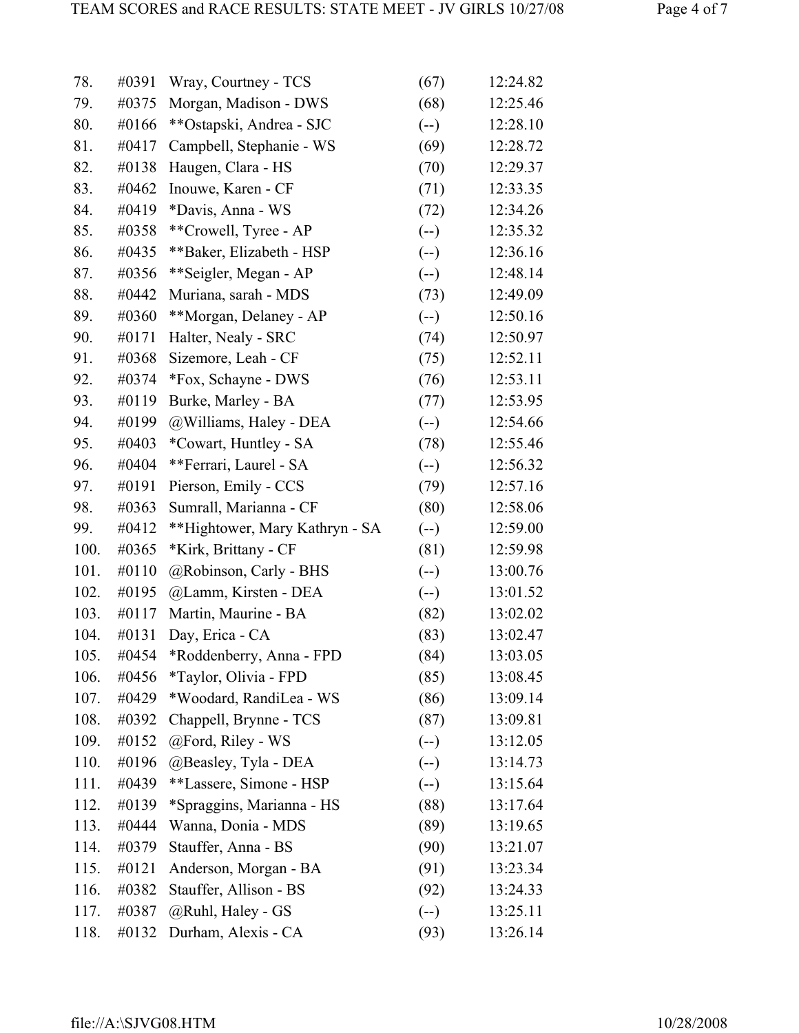| 78.  | #0391 | Wray, Courtney - TCS           | (67)  | 12:24.82 |
|------|-------|--------------------------------|-------|----------|
| 79.  | #0375 | Morgan, Madison - DWS          | (68)  | 12:25.46 |
| 80.  | #0166 | **Ostapski, Andrea - SJC       | $(-)$ | 12:28.10 |
| 81.  | #0417 | Campbell, Stephanie - WS       | (69)  | 12:28.72 |
| 82.  | #0138 | Haugen, Clara - HS             | (70)  | 12:29.37 |
| 83.  | #0462 | Inouwe, Karen - CF             | (71)  | 12:33.35 |
| 84.  | #0419 | *Davis, Anna - WS              | (72)  | 12:34.26 |
| 85.  | #0358 | **Crowell, Tyree - AP          | $(-)$ | 12:35.32 |
| 86.  | #0435 | **Baker, Elizabeth - HSP       | $(-)$ | 12:36.16 |
| 87.  | #0356 | **Seigler, Megan - AP          | $(-)$ | 12:48.14 |
| 88.  | #0442 | Muriana, sarah - MDS           | (73)  | 12:49.09 |
| 89.  | #0360 | **Morgan, Delaney - AP         | $(-)$ | 12:50.16 |
| 90.  | #0171 | Halter, Nealy - SRC            | (74)  | 12:50.97 |
| 91.  | #0368 | Sizemore, Leah - CF            | (75)  | 12:52.11 |
| 92.  | #0374 | *Fox, Schayne - DWS            | (76)  | 12:53.11 |
| 93.  | #0119 | Burke, Marley - BA             | (77)  | 12:53.95 |
| 94.  | #0199 | @Williams, Haley - DEA         | $(-)$ | 12:54.66 |
| 95.  | #0403 | *Cowart, Huntley - SA          | (78)  | 12:55.46 |
| 96.  | #0404 | **Ferrari, Laurel - SA         | $(-)$ | 12:56.32 |
| 97.  | #0191 | Pierson, Emily - CCS           | (79)  | 12:57.16 |
| 98.  | #0363 | Sumrall, Marianna - CF         | (80)  | 12:58.06 |
| 99.  | #0412 | **Hightower, Mary Kathryn - SA | $(-)$ | 12:59.00 |
| 100. | #0365 | *Kirk, Brittany - CF           | (81)  | 12:59.98 |
| 101. | #0110 | @Robinson, Carly - BHS         | $(-)$ | 13:00.76 |
| 102. | #0195 | @Lamm, Kirsten - DEA           | $(-)$ | 13:01.52 |
| 103. | #0117 | Martin, Maurine - BA           | (82)  | 13:02.02 |
| 104. | #0131 | Day, Erica - CA                | (83)  | 13:02.47 |
| 105. | #0454 | *Roddenberry, Anna - FPD       | (84)  | 13:03.05 |
| 106. | #0456 | <i>*Taylor, Olivia - FPD</i>   | (85)  | 13:08.45 |
| 107. | #0429 | *Woodard, RandiLea - WS        | (86)  | 13:09.14 |
| 108. | #0392 | Chappell, Brynne - TCS         | (87)  | 13:09.81 |
| 109. | #0152 | @Ford, Riley - WS              | $(-)$ | 13:12.05 |
| 110. | #0196 | @Beasley, Tyla - DEA           | $(-)$ | 13:14.73 |
| 111. | #0439 | **Lassere, Simone - HSP        | $(-)$ | 13:15.64 |
| 112. | #0139 | *Spraggins, Marianna - HS      | (88)  | 13:17.64 |
| 113. | #0444 | Wanna, Donia - MDS             | (89)  | 13:19.65 |
| 114. | #0379 | Stauffer, Anna - BS            | (90)  | 13:21.07 |
| 115. | #0121 | Anderson, Morgan - BA          | (91)  | 13:23.34 |
| 116. | #0382 | Stauffer, Allison - BS         | (92)  | 13:24.33 |
| 117. | #0387 | @Ruhl, Haley - GS              | $(-)$ | 13:25.11 |
| 118. | #0132 | Durham, Alexis - CA            | (93)  | 13:26.14 |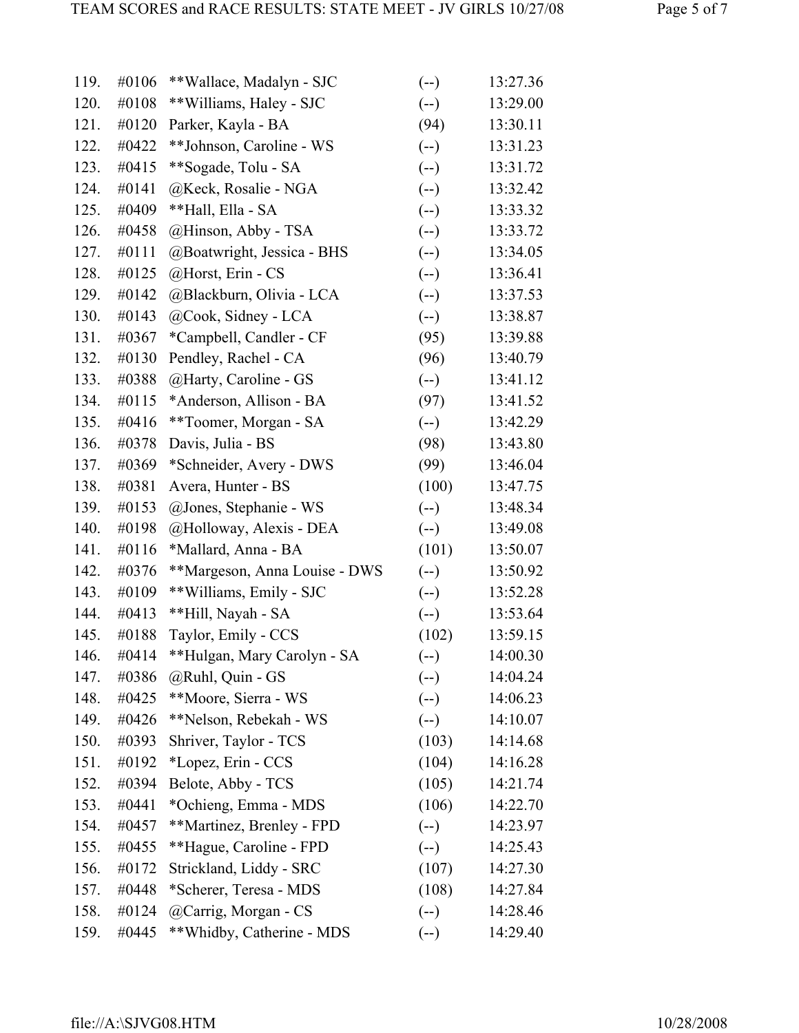| 120.<br>#0108<br>**Williams, Haley - SJC<br>$(-)$<br>121.<br>#0120<br>(94)<br>Parker, Kayla - BA<br>#0422<br>**Johnson, Caroline - WS<br>$(-)$<br>122.<br>123.<br>**Sogade, Tolu - SA<br>$(-)$<br>#0415<br>124.<br>#0141<br>@Keck, Rosalie - NGA<br>$(-)$<br>#0409<br>**Hall, Ella - SA<br>125.<br>$(-)$<br>@Hinson, Abby - TSA<br>126.<br>#0458<br>$(-)$<br>127.<br>#0111<br>$(-)$<br>@Boatwright, Jessica - BHS<br>@Horst, Erin - CS<br>#0125<br>$(-)$<br>128.<br>129.<br>#0142<br>@Blackburn, Olivia - LCA<br>$(-)$<br>130.<br>#0143<br>@Cook, Sidney - LCA<br>$(-)$<br>131.<br>#0367<br>*Campbell, Candler - CF<br>(95)<br>132.<br>Pendley, Rachel - CA<br>(96)<br>#0130<br>#0388<br>@Harty, Caroline - GS<br>$(-)$<br>133.<br>134.<br>*Anderson, Allison - BA<br>(97)<br>#0115<br>135.<br>#0416<br>**Toomer, Morgan - SA<br>$(-)$<br>136.<br>Davis, Julia - BS<br>#0378<br>(98)<br>137.<br>*Schneider, Avery - DWS<br>(99)<br>#0369<br>138.<br>Avera, Hunter - BS<br>(100)<br>#0381<br>139.<br>#0153<br>@Jones, Stephanie - WS<br>$(-)$<br>140.<br>#0198<br>@Holloway, Alexis - DEA<br>$(-)$<br>141.<br>(101)<br>#0116<br>*Mallard, Anna - BA<br>142.<br>**Margeson, Anna Louise - DWS<br>$(-)$<br>#0376<br>** Williams, Emily - SJC<br>143.<br>#0109<br>$(-)$<br>144.<br>**Hill, Nayah - SA<br>#0413<br>$(-)$<br>145.<br>Taylor, Emily - CCS<br>(102)<br>#0188<br>**Hulgan, Mary Carolyn - SA<br>146.<br>#0414<br>$(--)$<br>@Ruhl, Quin - GS<br>147.<br>#0386<br>$(-)$<br>148.<br>**Moore, Sierra - WS<br>$(--)$<br>#0425<br>**Nelson, Rebekah - WS<br>149.<br>#0426<br>$(--)$<br>Shriver, Taylor - TCS<br>150.<br>#0393<br>(103)<br>151.<br>*Lopez, Erin - CCS<br>(104)<br>#0192<br>Belote, Abby - TCS<br>(105)<br>152.<br>#0394<br>(106)<br>153.<br>*Ochieng, Emma - MDS<br>#0441<br>154.<br>**Martinez, Brenley - FPD<br>$(--)$<br>#0457<br>155.<br>**Hague, Caroline - FPD<br>$(--)$<br>#0455<br>156.<br>Strickland, Liddy - SRC<br>(107)<br>#0172<br>157.<br>*Scherer, Teresa - MDS<br>(108)<br>#0448<br>158.<br>@Carrig, Morgan - CS<br>$(-)$<br>#0124<br>159.<br>**Whidby, Catherine - MDS<br>#0445<br>$(-)$ | 119. | #0106 | **Wallace, Madalyn - SJC | $(-)$ | 13:27.36 |
|---------------------------------------------------------------------------------------------------------------------------------------------------------------------------------------------------------------------------------------------------------------------------------------------------------------------------------------------------------------------------------------------------------------------------------------------------------------------------------------------------------------------------------------------------------------------------------------------------------------------------------------------------------------------------------------------------------------------------------------------------------------------------------------------------------------------------------------------------------------------------------------------------------------------------------------------------------------------------------------------------------------------------------------------------------------------------------------------------------------------------------------------------------------------------------------------------------------------------------------------------------------------------------------------------------------------------------------------------------------------------------------------------------------------------------------------------------------------------------------------------------------------------------------------------------------------------------------------------------------------------------------------------------------------------------------------------------------------------------------------------------------------------------------------------------------------------------------------------------------------------------------------------------------------------------------------------------------------------------------------------------------------------------------------------------------------------------------------------------------------------|------|-------|--------------------------|-------|----------|
|                                                                                                                                                                                                                                                                                                                                                                                                                                                                                                                                                                                                                                                                                                                                                                                                                                                                                                                                                                                                                                                                                                                                                                                                                                                                                                                                                                                                                                                                                                                                                                                                                                                                                                                                                                                                                                                                                                                                                                                                                                                                                                                           |      |       |                          |       | 13:29.00 |
|                                                                                                                                                                                                                                                                                                                                                                                                                                                                                                                                                                                                                                                                                                                                                                                                                                                                                                                                                                                                                                                                                                                                                                                                                                                                                                                                                                                                                                                                                                                                                                                                                                                                                                                                                                                                                                                                                                                                                                                                                                                                                                                           |      |       |                          |       | 13:30.11 |
|                                                                                                                                                                                                                                                                                                                                                                                                                                                                                                                                                                                                                                                                                                                                                                                                                                                                                                                                                                                                                                                                                                                                                                                                                                                                                                                                                                                                                                                                                                                                                                                                                                                                                                                                                                                                                                                                                                                                                                                                                                                                                                                           |      |       |                          |       | 13:31.23 |
|                                                                                                                                                                                                                                                                                                                                                                                                                                                                                                                                                                                                                                                                                                                                                                                                                                                                                                                                                                                                                                                                                                                                                                                                                                                                                                                                                                                                                                                                                                                                                                                                                                                                                                                                                                                                                                                                                                                                                                                                                                                                                                                           |      |       |                          |       | 13:31.72 |
|                                                                                                                                                                                                                                                                                                                                                                                                                                                                                                                                                                                                                                                                                                                                                                                                                                                                                                                                                                                                                                                                                                                                                                                                                                                                                                                                                                                                                                                                                                                                                                                                                                                                                                                                                                                                                                                                                                                                                                                                                                                                                                                           |      |       |                          |       | 13:32.42 |
|                                                                                                                                                                                                                                                                                                                                                                                                                                                                                                                                                                                                                                                                                                                                                                                                                                                                                                                                                                                                                                                                                                                                                                                                                                                                                                                                                                                                                                                                                                                                                                                                                                                                                                                                                                                                                                                                                                                                                                                                                                                                                                                           |      |       |                          |       | 13:33.32 |
|                                                                                                                                                                                                                                                                                                                                                                                                                                                                                                                                                                                                                                                                                                                                                                                                                                                                                                                                                                                                                                                                                                                                                                                                                                                                                                                                                                                                                                                                                                                                                                                                                                                                                                                                                                                                                                                                                                                                                                                                                                                                                                                           |      |       |                          |       | 13:33.72 |
|                                                                                                                                                                                                                                                                                                                                                                                                                                                                                                                                                                                                                                                                                                                                                                                                                                                                                                                                                                                                                                                                                                                                                                                                                                                                                                                                                                                                                                                                                                                                                                                                                                                                                                                                                                                                                                                                                                                                                                                                                                                                                                                           |      |       |                          |       | 13:34.05 |
|                                                                                                                                                                                                                                                                                                                                                                                                                                                                                                                                                                                                                                                                                                                                                                                                                                                                                                                                                                                                                                                                                                                                                                                                                                                                                                                                                                                                                                                                                                                                                                                                                                                                                                                                                                                                                                                                                                                                                                                                                                                                                                                           |      |       |                          |       | 13:36.41 |
|                                                                                                                                                                                                                                                                                                                                                                                                                                                                                                                                                                                                                                                                                                                                                                                                                                                                                                                                                                                                                                                                                                                                                                                                                                                                                                                                                                                                                                                                                                                                                                                                                                                                                                                                                                                                                                                                                                                                                                                                                                                                                                                           |      |       |                          |       | 13:37.53 |
|                                                                                                                                                                                                                                                                                                                                                                                                                                                                                                                                                                                                                                                                                                                                                                                                                                                                                                                                                                                                                                                                                                                                                                                                                                                                                                                                                                                                                                                                                                                                                                                                                                                                                                                                                                                                                                                                                                                                                                                                                                                                                                                           |      |       |                          |       | 13:38.87 |
|                                                                                                                                                                                                                                                                                                                                                                                                                                                                                                                                                                                                                                                                                                                                                                                                                                                                                                                                                                                                                                                                                                                                                                                                                                                                                                                                                                                                                                                                                                                                                                                                                                                                                                                                                                                                                                                                                                                                                                                                                                                                                                                           |      |       |                          |       | 13:39.88 |
|                                                                                                                                                                                                                                                                                                                                                                                                                                                                                                                                                                                                                                                                                                                                                                                                                                                                                                                                                                                                                                                                                                                                                                                                                                                                                                                                                                                                                                                                                                                                                                                                                                                                                                                                                                                                                                                                                                                                                                                                                                                                                                                           |      |       |                          |       | 13:40.79 |
|                                                                                                                                                                                                                                                                                                                                                                                                                                                                                                                                                                                                                                                                                                                                                                                                                                                                                                                                                                                                                                                                                                                                                                                                                                                                                                                                                                                                                                                                                                                                                                                                                                                                                                                                                                                                                                                                                                                                                                                                                                                                                                                           |      |       |                          |       | 13:41.12 |
|                                                                                                                                                                                                                                                                                                                                                                                                                                                                                                                                                                                                                                                                                                                                                                                                                                                                                                                                                                                                                                                                                                                                                                                                                                                                                                                                                                                                                                                                                                                                                                                                                                                                                                                                                                                                                                                                                                                                                                                                                                                                                                                           |      |       |                          |       | 13:41.52 |
|                                                                                                                                                                                                                                                                                                                                                                                                                                                                                                                                                                                                                                                                                                                                                                                                                                                                                                                                                                                                                                                                                                                                                                                                                                                                                                                                                                                                                                                                                                                                                                                                                                                                                                                                                                                                                                                                                                                                                                                                                                                                                                                           |      |       |                          |       | 13:42.29 |
|                                                                                                                                                                                                                                                                                                                                                                                                                                                                                                                                                                                                                                                                                                                                                                                                                                                                                                                                                                                                                                                                                                                                                                                                                                                                                                                                                                                                                                                                                                                                                                                                                                                                                                                                                                                                                                                                                                                                                                                                                                                                                                                           |      |       |                          |       | 13:43.80 |
|                                                                                                                                                                                                                                                                                                                                                                                                                                                                                                                                                                                                                                                                                                                                                                                                                                                                                                                                                                                                                                                                                                                                                                                                                                                                                                                                                                                                                                                                                                                                                                                                                                                                                                                                                                                                                                                                                                                                                                                                                                                                                                                           |      |       |                          |       | 13:46.04 |
|                                                                                                                                                                                                                                                                                                                                                                                                                                                                                                                                                                                                                                                                                                                                                                                                                                                                                                                                                                                                                                                                                                                                                                                                                                                                                                                                                                                                                                                                                                                                                                                                                                                                                                                                                                                                                                                                                                                                                                                                                                                                                                                           |      |       |                          |       | 13:47.75 |
|                                                                                                                                                                                                                                                                                                                                                                                                                                                                                                                                                                                                                                                                                                                                                                                                                                                                                                                                                                                                                                                                                                                                                                                                                                                                                                                                                                                                                                                                                                                                                                                                                                                                                                                                                                                                                                                                                                                                                                                                                                                                                                                           |      |       |                          |       | 13:48.34 |
|                                                                                                                                                                                                                                                                                                                                                                                                                                                                                                                                                                                                                                                                                                                                                                                                                                                                                                                                                                                                                                                                                                                                                                                                                                                                                                                                                                                                                                                                                                                                                                                                                                                                                                                                                                                                                                                                                                                                                                                                                                                                                                                           |      |       |                          |       | 13:49.08 |
|                                                                                                                                                                                                                                                                                                                                                                                                                                                                                                                                                                                                                                                                                                                                                                                                                                                                                                                                                                                                                                                                                                                                                                                                                                                                                                                                                                                                                                                                                                                                                                                                                                                                                                                                                                                                                                                                                                                                                                                                                                                                                                                           |      |       |                          |       | 13:50.07 |
|                                                                                                                                                                                                                                                                                                                                                                                                                                                                                                                                                                                                                                                                                                                                                                                                                                                                                                                                                                                                                                                                                                                                                                                                                                                                                                                                                                                                                                                                                                                                                                                                                                                                                                                                                                                                                                                                                                                                                                                                                                                                                                                           |      |       |                          |       | 13:50.92 |
|                                                                                                                                                                                                                                                                                                                                                                                                                                                                                                                                                                                                                                                                                                                                                                                                                                                                                                                                                                                                                                                                                                                                                                                                                                                                                                                                                                                                                                                                                                                                                                                                                                                                                                                                                                                                                                                                                                                                                                                                                                                                                                                           |      |       |                          |       | 13:52.28 |
|                                                                                                                                                                                                                                                                                                                                                                                                                                                                                                                                                                                                                                                                                                                                                                                                                                                                                                                                                                                                                                                                                                                                                                                                                                                                                                                                                                                                                                                                                                                                                                                                                                                                                                                                                                                                                                                                                                                                                                                                                                                                                                                           |      |       |                          |       | 13:53.64 |
|                                                                                                                                                                                                                                                                                                                                                                                                                                                                                                                                                                                                                                                                                                                                                                                                                                                                                                                                                                                                                                                                                                                                                                                                                                                                                                                                                                                                                                                                                                                                                                                                                                                                                                                                                                                                                                                                                                                                                                                                                                                                                                                           |      |       |                          |       | 13:59.15 |
|                                                                                                                                                                                                                                                                                                                                                                                                                                                                                                                                                                                                                                                                                                                                                                                                                                                                                                                                                                                                                                                                                                                                                                                                                                                                                                                                                                                                                                                                                                                                                                                                                                                                                                                                                                                                                                                                                                                                                                                                                                                                                                                           |      |       |                          |       | 14:00.30 |
|                                                                                                                                                                                                                                                                                                                                                                                                                                                                                                                                                                                                                                                                                                                                                                                                                                                                                                                                                                                                                                                                                                                                                                                                                                                                                                                                                                                                                                                                                                                                                                                                                                                                                                                                                                                                                                                                                                                                                                                                                                                                                                                           |      |       |                          |       | 14:04.24 |
|                                                                                                                                                                                                                                                                                                                                                                                                                                                                                                                                                                                                                                                                                                                                                                                                                                                                                                                                                                                                                                                                                                                                                                                                                                                                                                                                                                                                                                                                                                                                                                                                                                                                                                                                                                                                                                                                                                                                                                                                                                                                                                                           |      |       |                          |       | 14:06.23 |
|                                                                                                                                                                                                                                                                                                                                                                                                                                                                                                                                                                                                                                                                                                                                                                                                                                                                                                                                                                                                                                                                                                                                                                                                                                                                                                                                                                                                                                                                                                                                                                                                                                                                                                                                                                                                                                                                                                                                                                                                                                                                                                                           |      |       |                          |       | 14:10.07 |
|                                                                                                                                                                                                                                                                                                                                                                                                                                                                                                                                                                                                                                                                                                                                                                                                                                                                                                                                                                                                                                                                                                                                                                                                                                                                                                                                                                                                                                                                                                                                                                                                                                                                                                                                                                                                                                                                                                                                                                                                                                                                                                                           |      |       |                          |       | 14:14.68 |
|                                                                                                                                                                                                                                                                                                                                                                                                                                                                                                                                                                                                                                                                                                                                                                                                                                                                                                                                                                                                                                                                                                                                                                                                                                                                                                                                                                                                                                                                                                                                                                                                                                                                                                                                                                                                                                                                                                                                                                                                                                                                                                                           |      |       |                          |       | 14:16.28 |
|                                                                                                                                                                                                                                                                                                                                                                                                                                                                                                                                                                                                                                                                                                                                                                                                                                                                                                                                                                                                                                                                                                                                                                                                                                                                                                                                                                                                                                                                                                                                                                                                                                                                                                                                                                                                                                                                                                                                                                                                                                                                                                                           |      |       |                          |       | 14:21.74 |
|                                                                                                                                                                                                                                                                                                                                                                                                                                                                                                                                                                                                                                                                                                                                                                                                                                                                                                                                                                                                                                                                                                                                                                                                                                                                                                                                                                                                                                                                                                                                                                                                                                                                                                                                                                                                                                                                                                                                                                                                                                                                                                                           |      |       |                          |       | 14:22.70 |
|                                                                                                                                                                                                                                                                                                                                                                                                                                                                                                                                                                                                                                                                                                                                                                                                                                                                                                                                                                                                                                                                                                                                                                                                                                                                                                                                                                                                                                                                                                                                                                                                                                                                                                                                                                                                                                                                                                                                                                                                                                                                                                                           |      |       |                          |       | 14:23.97 |
|                                                                                                                                                                                                                                                                                                                                                                                                                                                                                                                                                                                                                                                                                                                                                                                                                                                                                                                                                                                                                                                                                                                                                                                                                                                                                                                                                                                                                                                                                                                                                                                                                                                                                                                                                                                                                                                                                                                                                                                                                                                                                                                           |      |       |                          |       | 14:25.43 |
|                                                                                                                                                                                                                                                                                                                                                                                                                                                                                                                                                                                                                                                                                                                                                                                                                                                                                                                                                                                                                                                                                                                                                                                                                                                                                                                                                                                                                                                                                                                                                                                                                                                                                                                                                                                                                                                                                                                                                                                                                                                                                                                           |      |       |                          |       | 14:27.30 |
|                                                                                                                                                                                                                                                                                                                                                                                                                                                                                                                                                                                                                                                                                                                                                                                                                                                                                                                                                                                                                                                                                                                                                                                                                                                                                                                                                                                                                                                                                                                                                                                                                                                                                                                                                                                                                                                                                                                                                                                                                                                                                                                           |      |       |                          |       | 14:27.84 |
|                                                                                                                                                                                                                                                                                                                                                                                                                                                                                                                                                                                                                                                                                                                                                                                                                                                                                                                                                                                                                                                                                                                                                                                                                                                                                                                                                                                                                                                                                                                                                                                                                                                                                                                                                                                                                                                                                                                                                                                                                                                                                                                           |      |       |                          |       | 14:28.46 |
|                                                                                                                                                                                                                                                                                                                                                                                                                                                                                                                                                                                                                                                                                                                                                                                                                                                                                                                                                                                                                                                                                                                                                                                                                                                                                                                                                                                                                                                                                                                                                                                                                                                                                                                                                                                                                                                                                                                                                                                                                                                                                                                           |      |       |                          |       | 14:29.40 |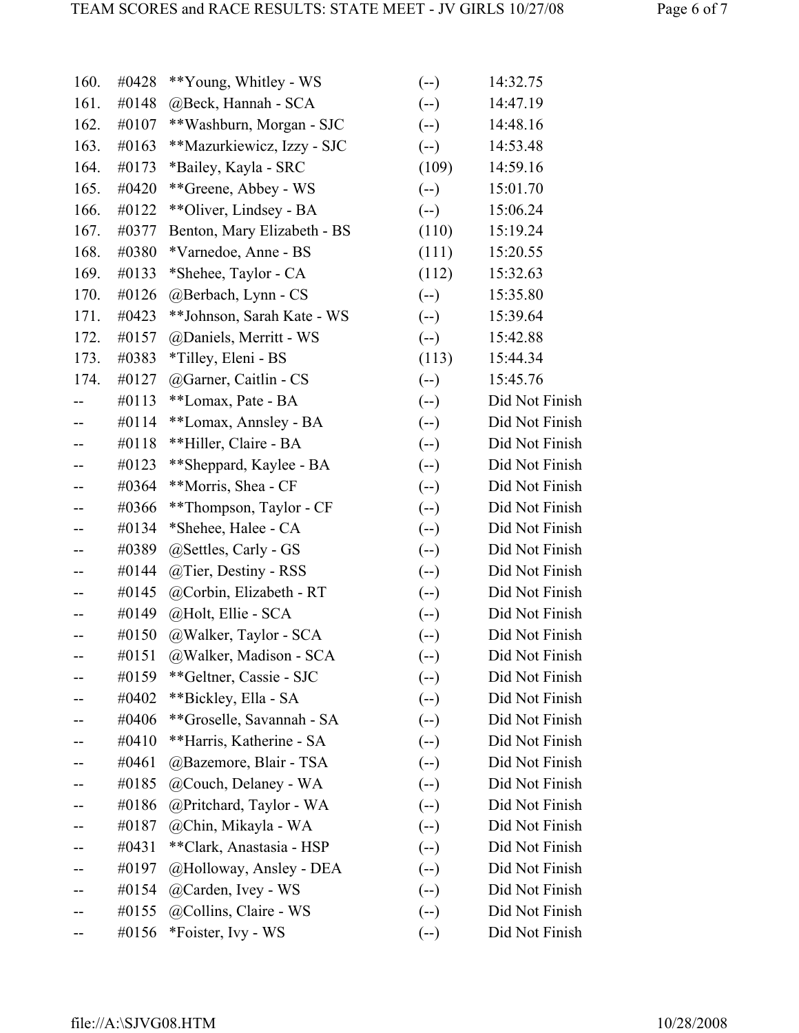| 160. | #0428 | **Young, Whitley - WS       | $(-)$ | 14:32.75       |
|------|-------|-----------------------------|-------|----------------|
| 161. | #0148 | @Beck, Hannah - SCA         | $(-)$ | 14:47.19       |
| 162. | #0107 | **Washburn, Morgan - SJC    | $(-)$ | 14:48.16       |
| 163. | #0163 | **Mazurkiewicz, Izzy - SJC  | $(-)$ | 14:53.48       |
| 164. | #0173 | *Bailey, Kayla - SRC        | (109) | 14:59.16       |
| 165. | #0420 | **Greene, Abbey - WS        | $(-)$ | 15:01.70       |
| 166. | #0122 | **Oliver, Lindsey - BA      | $(-)$ | 15:06.24       |
| 167. | #0377 | Benton, Mary Elizabeth - BS | (110) | 15:19.24       |
| 168. | #0380 | *Varnedoe, Anne - BS        | (111) | 15:20.55       |
| 169. | #0133 | *Shehee, Taylor - CA        | (112) | 15:32.63       |
| 170. | #0126 | @Berbach, Lynn - CS         | $(-)$ | 15:35.80       |
| 171. | #0423 | **Johnson, Sarah Kate - WS  | $(-)$ | 15:39.64       |
| 172. | #0157 | @Daniels, Merritt - WS      | $(-)$ | 15:42.88       |
| 173. | #0383 | *Tilley, Eleni - BS         | (113) | 15:44.34       |
| 174. | #0127 | @Garner, Caitlin - CS       | $(-)$ | 15:45.76       |
|      | #0113 | **Lomax, Pate - BA          | $(-)$ | Did Not Finish |
|      | #0114 | **Lomax, Annsley - BA       | $(-)$ | Did Not Finish |
| --   | #0118 | **Hiller, Claire - BA       | $(-)$ | Did Not Finish |
|      | #0123 | **Sheppard, Kaylee - BA     | $(-)$ | Did Not Finish |
|      | #0364 | **Morris, Shea - CF         | $(-)$ | Did Not Finish |
|      | #0366 | **Thompson, Taylor - CF     | $(-)$ | Did Not Finish |
|      | #0134 | *Shehee, Halee - CA         | $(-)$ | Did Not Finish |
|      | #0389 | @Settles, Carly - GS        | $(-)$ | Did Not Finish |
| --   | #0144 | @Tier, Destiny - RSS        | $(-)$ | Did Not Finish |
|      | #0145 | @Corbin, Elizabeth - RT     | $(-)$ | Did Not Finish |
|      | #0149 | @Holt, Ellie - SCA          | $(-)$ | Did Not Finish |
|      | #0150 | @Walker, Taylor - SCA       | $(-)$ | Did Not Finish |
|      | #0151 | @Walker, Madison - SCA      | $(-)$ | Did Not Finish |
|      | #0159 | **Geltner, Cassie - SJC     | $(-)$ | Did Not Finish |
|      | #0402 | **Bickley, Ella - SA        | $(-)$ | Did Not Finish |
|      | #0406 | **Groselle, Savannah - SA   | $(-)$ | Did Not Finish |
|      | #0410 | **Harris, Katherine - SA    | $(-)$ | Did Not Finish |
|      | #0461 | @Bazemore, Blair - TSA      | $(-)$ | Did Not Finish |
|      | #0185 | @Couch, Delaney - WA        | $(-)$ | Did Not Finish |
|      | #0186 | @Pritchard, Taylor - WA     | $(-)$ | Did Not Finish |
|      | #0187 | @Chin, Mikayla - WA         | $(-)$ | Did Not Finish |
|      | #0431 | **Clark, Anastasia - HSP    | $(-)$ | Did Not Finish |
|      | #0197 | @Holloway, Ansley - DEA     | $(-)$ | Did Not Finish |
|      | #0154 | @Carden, Ivey - WS          | $(-)$ | Did Not Finish |
|      | #0155 | @Collins, Claire - WS       | $(-)$ | Did Not Finish |
|      | #0156 | *Foister, Ivy - WS          | $(-)$ | Did Not Finish |